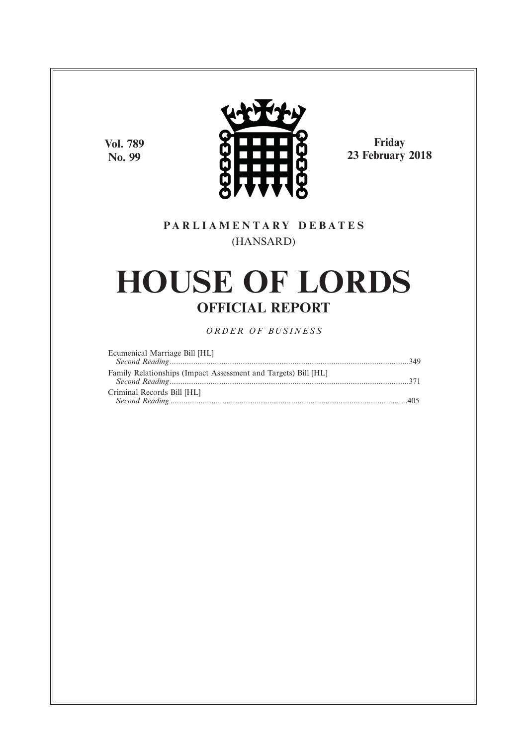**Vol. 789 No. 99**



**Friday 23 February 2018**

# **P A R L I A M E N T A R Y D E B A T E S** (HANSARD)

# **HOUSE OF LORDS OFFICIAL REPORT**

*O R D E R O F BU S I N E S S*

| Ecumenical Marriage Bill [HL]                                  |  |
|----------------------------------------------------------------|--|
|                                                                |  |
| Family Relationships (Impact Assessment and Targets) Bill [HL] |  |
|                                                                |  |
| Criminal Records Bill [HL]                                     |  |
|                                                                |  |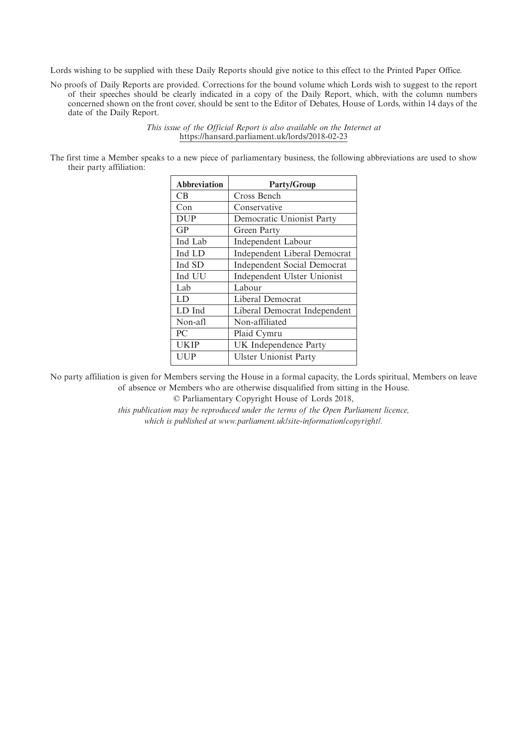Lords wishing to be supplied with these Daily Reports should give notice to this effect to the Printed Paper Office.

No proofs of Daily Reports are provided. Corrections for the bound volume which Lords wish to suggest to the report of their speeches should be clearly indicated in a copy of the Daily Report, which, with the column numbers concerned shown on the front cover, should be sent to the Editor of Debates, House of Lords, within 14 days of the date of the Daily Report.

> *This issue of the Official Report is also available on the Internet at* https://hansard.parliament.uk/lords/2018-02-23

The first time a Member speaks to a new piece of parliamentary business, the following abbreviations are used to show their party affiliation:

| <b>Abbreviation</b> | <b>Party/Group</b>                  |
|---------------------|-------------------------------------|
| CB.                 | Cross Bench                         |
| Con                 | Conservative                        |
| <b>DUP</b>          | Democratic Unionist Party           |
| GP                  | Green Party                         |
| Ind Lab             | <b>Independent Labour</b>           |
| Ind LD              | <b>Independent Liberal Democrat</b> |
| Ind SD              | <b>Independent Social Democrat</b>  |
| Ind UU              | Independent Ulster Unionist         |
| Lab                 | Labour                              |
| LD                  | Liberal Democrat                    |
| LD Ind              | Liberal Democrat Independent        |
| Non-afl             | Non-affiliated                      |
| PC                  | Plaid Cymru                         |
| <b>UKIP</b>         | UK Independence Party               |
| UUP                 | <b>Ulster Unionist Party</b>        |

No party affiliation is given for Members serving the House in a formal capacity, the Lords spiritual, Members on leave of absence or Members who are otherwise disqualified from sitting in the House.

© Parliamentary Copyright House of Lords 2018,

*this publication may be reproduced under the terms of the Open Parliament licence, which is published at www.parliament.uk/site-information/copyright/.*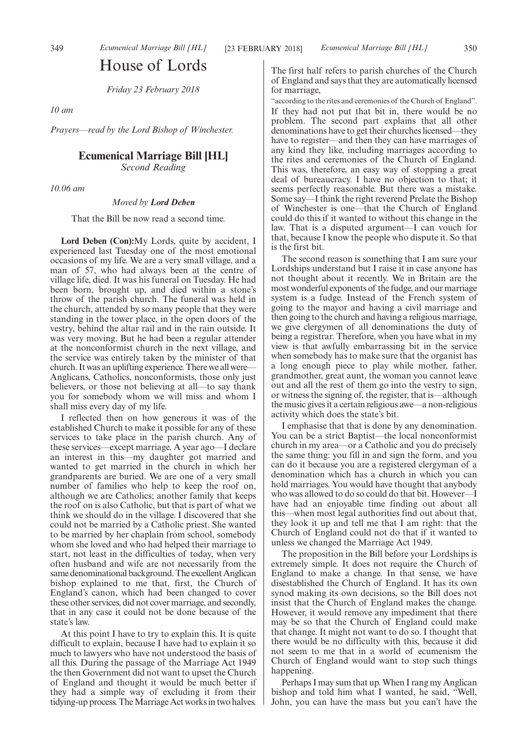# House of Lords

*Friday 23 February 2018*

*10 am*

*Prayers—read by the Lord Bishop of Winchester.*

# **Ecumenical Marriage Bill [HL]**

*Second Reading*

*10.06 am*

*Moved by Lord Deben*

That the Bill be now read a second time.

**Lord Deben (Con):**My Lords, quite by accident, I experienced last Tuesday one of the most emotional occasions of my life. We are a very small village, and a man of 57, who had always been at the centre of village life, died. It was his funeral on Tuesday. He had been born, brought up, and died within a stone's throw of the parish church. The funeral was held in the church, attended by so many people that they were standing in the tower place, in the open doors of the vestry, behind the altar rail and in the rain outside. It was very moving. But he had been a regular attender at the nonconformist church in the next village, and the service was entirely taken by the minister of that church. It was an uplifting experience. There we all were— Anglicans, Catholics, nonconformists, those only just believers, or those not believing at all—to say thank you for somebody whom we will miss and whom I shall miss every day of my life.

I reflected then on how generous it was of the established Church to make it possible for any of these services to take place in the parish church. Any of these services—except marriage. A year ago—I declare an interest in this—my daughter got married and wanted to get married in the church in which her grandparents are buried. We are one of a very small number of families who help to keep the roof on, although we are Catholics; another family that keeps the roof on is also Catholic, but that is part of what we think we should do in the village. I discovered that she could not be married by a Catholic priest. She wanted to be married by her chaplain from school, somebody whom she loved and who had helped their marriage to start, not least in the difficulties of today, when very often husband and wife are not necessarily from the same denominational background. The excellent Anglican bishop explained to me that, first, the Church of England's canon, which had been changed to cover these other services, did not cover marriage, and secondly, that in any case it could not be done because of the state's law.

At this point I have to try to explain this. It is quite difficult to explain, because I have had to explain it so much to lawyers who have not understood the basis of all this. During the passage of the Marriage Act 1949 the then Government did not want to upset the Church of England and thought it would be much better if they had a simple way of excluding it from their tidying-up process. The Marriage Act works in two halves.

The first half refers to parish churches of the Church of England and says that they are automatically licensed for marriage,

"according to the rites and ceremonies of the Church of England". If they had not put that bit in, there would be no problem. The second part explains that all other denominations have to get their churches licensed—they have to register—and then they can have marriages of any kind they like, including marriages according to the rites and ceremonies of the Church of England. This was, therefore, an easy way of stopping a great deal of bureaucracy. I have no objection to that; it seems perfectly reasonable. But there was a mistake. Some say—I think the right reverend Prelate the Bishop of Winchester is one—that the Church of England could do this if it wanted to without this change in the law. That is a disputed argument—I can vouch for that, because I know the people who dispute it. So that is the first bit.

The second reason is something that I am sure your Lordships understand but I raise it in case anyone has not thought about it recently. We in Britain are the most wonderful exponents of the fudge, and our marriage system is a fudge. Instead of the French system of going to the mayor and having a civil marriage and then going to the church and having a religious marriage, we give clergymen of all denominations the duty of being a registrar. Therefore, when you have what in my view is that awfully embarrassing bit in the service when somebody has to make sure that the organist has a long enough piece to play while mother, father, grandmother, great aunt, the woman you cannot leave out and all the rest of them go into the vestry to sign, or witness the signing of, the register, that is—although the music gives it a certain religious awe—a non-religious activity which does the state's bit.

I emphasise that that is done by any denomination. You can be a strict Baptist—the local nonconformist church in my area—or a Catholic and you do precisely the same thing: you fill in and sign the form, and you can do it because you are a registered clergyman of a denomination which has a church in which you can hold marriages. You would have thought that anybody who was allowed to do so could do that bit. However—I have had an enjoyable time finding out about all this—when most legal authorities find out about that, they look it up and tell me that I am right: that the Church of England could not do that if it wanted to unless we changed the Marriage Act 1949.

The proposition in the Bill before your Lordships is extremely simple. It does not require the Church of England to make a change. In that sense, we have disestablished the Church of England. It has its own synod making its own decisions, so the Bill does not insist that the Church of England makes the change. However, it would remove any impediment that there may be so that the Church of England could make that change. It might not want to do so. I thought that there would be no difficulty with this, because it did not seem to me that in a world of ecumenism the Church of England would want to stop such things happening.

Perhaps I may sum that up. When I rang my Anglican bishop and told him what I wanted, he said, "Well, John, you can have the mass but you can't have the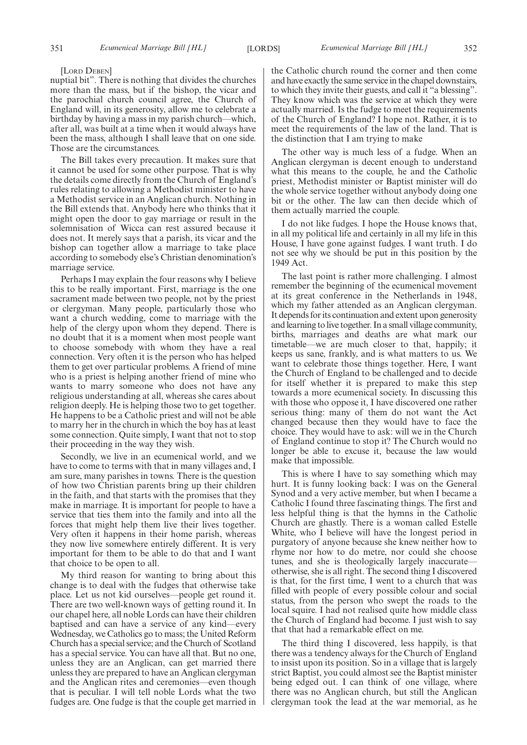[LORD DEBEN]

nuptial bit". There is nothing that divides the churches more than the mass, but if the bishop, the vicar and the parochial church council agree, the Church of England will, in its generosity, allow me to celebrate a birthday by having a mass in my parish church—which, after all, was built at a time when it would always have been the mass, although I shall leave that on one side. Those are the circumstances.

The Bill takes every precaution. It makes sure that it cannot be used for some other purpose. That is why the details come directly from the Church of England's rules relating to allowing a Methodist minister to have a Methodist service in an Anglican church. Nothing in the Bill extends that. Anybody here who thinks that it might open the door to gay marriage or result in the solemnisation of Wicca can rest assured because it does not. It merely says that a parish, its vicar and the bishop can together allow a marriage to take place according to somebody else's Christian denomination's marriage service.

Perhaps I may explain the four reasons why I believe this to be really important. First, marriage is the one sacrament made between two people, not by the priest or clergyman. Many people, particularly those who want a church wedding, come to marriage with the help of the clergy upon whom they depend. There is no doubt that it is a moment when most people want to choose somebody with whom they have a real connection. Very often it is the person who has helped them to get over particular problems. A friend of mine who is a priest is helping another friend of mine who wants to marry someone who does not have any religious understanding at all, whereas she cares about religion deeply. He is helping those two to get together. He happens to be a Catholic priest and will not be able to marry her in the church in which the boy has at least some connection. Quite simply, I want that not to stop their proceeding in the way they wish.

Secondly, we live in an ecumenical world, and we have to come to terms with that in many villages and, I am sure, many parishes in towns. There is the question of how two Christian parents bring up their children in the faith, and that starts with the promises that they make in marriage. It is important for people to have a service that ties them into the family and into all the forces that might help them live their lives together. Very often it happens in their home parish, whereas they now live somewhere entirely different. It is very important for them to be able to do that and I want that choice to be open to all.

My third reason for wanting to bring about this change is to deal with the fudges that otherwise take place. Let us not kid ourselves—people get round it. There are two well-known ways of getting round it. In our chapel here, all noble Lords can have their children baptised and can have a service of any kind—every Wednesday, we Catholics go to mass; the United Reform Church has a special service; and the Church of Scotland has a special service. You can have all that. But no one, unless they are an Anglican, can get married there unless they are prepared to have an Anglican clergyman and the Anglican rites and ceremonies—even though that is peculiar. I will tell noble Lords what the two fudges are. One fudge is that the couple get married in the Catholic church round the corner and then come and have exactly the same service in the chapel downstairs, to which they invite their guests, and call it "a blessing". They know which was the service at which they were actually married. Is the fudge to meet the requirements of the Church of England? I hope not. Rather, it is to meet the requirements of the law of the land. That is the distinction that I am trying to make

The other way is much less of a fudge. When an Anglican clergyman is decent enough to understand what this means to the couple, he and the Catholic priest, Methodist minister or Baptist minister will do the whole service together without anybody doing one bit or the other. The law can then decide which of them actually married the couple.

I do not like fudges. I hope the House knows that, in all my political life and certainly in all my life in this House, I have gone against fudges. I want truth. I do not see why we should be put in this position by the 1949 Act.

The last point is rather more challenging. I almost remember the beginning of the ecumenical movement at its great conference in the Netherlands in 1948, which my father attended as an Anglican clergyman. It depends for its continuation and extent upon generosity and learning to live together. In a small village community, births, marriages and deaths are what mark our timetable—we are much closer to that, happily; it keeps us sane, frankly, and is what matters to us. We want to celebrate those things together. Here, I want the Church of England to be challenged and to decide for itself whether it is prepared to make this step towards a more ecumenical society. In discussing this with those who oppose it, I have discovered one rather serious thing: many of them do not want the Act changed because then they would have to face the choice. They would have to ask: will we in the Church of England continue to stop it? The Church would no longer be able to excuse it, because the law would make that impossible.

This is where I have to say something which may hurt. It is funny looking back: I was on the General Synod and a very active member, but when I became a Catholic I found three fascinating things. The first and less helpful thing is that the hymns in the Catholic Church are ghastly. There is a woman called Estelle White, who I believe will have the longest period in purgatory of anyone because she knew neither how to rhyme nor how to do metre, nor could she choose tunes, and she is theologically largely inaccurate otherwise, she is all right. The second thing I discovered is that, for the first time, I went to a church that was filled with people of every possible colour and social status, from the person who swept the roads to the local squire. I had not realised quite how middle class the Church of England had become. I just wish to say that that had a remarkable effect on me.

The third thing I discovered, less happily, is that there was a tendency always for the Church of England to insist upon its position. So in a village that is largely strict Baptist, you could almost see the Baptist minister being edged out. I can think of one village, where there was no Anglican church, but still the Anglican clergyman took the lead at the war memorial, as he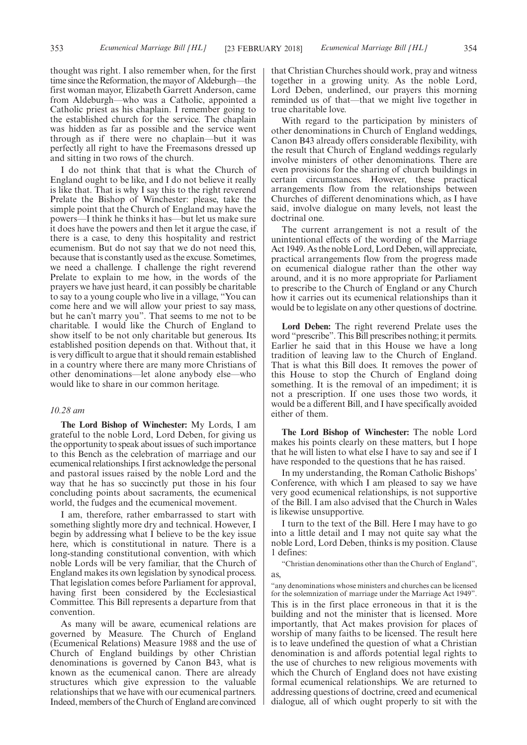thought was right. I also remember when, for the first time since the Reformation, the mayor of Aldeburgh—the first woman mayor, Elizabeth Garrett Anderson, came from Aldeburgh—who was a Catholic, appointed a Catholic priest as his chaplain. I remember going to the established church for the service. The chaplain was hidden as far as possible and the service went through as if there were no chaplain—but it was perfectly all right to have the Freemasons dressed up and sitting in two rows of the church.

I do not think that that is what the Church of England ought to be like, and I do not believe it really is like that. That is why I say this to the right reverend Prelate the Bishop of Winchester: please, take the simple point that the Church of England may have the powers—I think he thinks it has—but let us make sure it does have the powers and then let it argue the case, if there is a case, to deny this hospitality and restrict ecumenism. But do not say that we do not need this, because that is constantly used as the excuse. Sometimes, we need a challenge. I challenge the right reverend Prelate to explain to me how, in the words of the prayers we have just heard, it can possibly be charitable to say to a young couple who live in a village, "You can come here and we will allow your priest to say mass, but he can't marry you". That seems to me not to be charitable. I would like the Church of England to show itself to be not only charitable but generous. Its established position depends on that. Without that, it is very difficult to argue that it should remain established in a country where there are many more Christians of other denominations—let alone anybody else—who would like to share in our common heritage.

# *10.28 am*

**The Lord Bishop of Winchester:** My Lords, I am grateful to the noble Lord, Lord Deben, for giving us the opportunity to speak about issues of such importance to this Bench as the celebration of marriage and our ecumenical relationships. I first acknowledge the personal and pastoral issues raised by the noble Lord and the way that he has so succinctly put those in his four concluding points about sacraments, the ecumenical world, the fudges and the ecumenical movement.

I am, therefore, rather embarrassed to start with something slightly more dry and technical. However, I begin by addressing what I believe to be the key issue here, which is constitutional in nature. There is a long-standing constitutional convention, with which noble Lords will be very familiar, that the Church of England makes its own legislation by synodical process. That legislation comes before Parliament for approval, having first been considered by the Ecclesiastical Committee. This Bill represents a departure from that convention.

As many will be aware, ecumenical relations are governed by Measure. The Church of England (Ecumenical Relations) Measure 1988 and the use of Church of England buildings by other Christian denominations is governed by Canon B43, what is known as the ecumenical canon. There are already structures which give expression to the valuable relationships that we have with our ecumenical partners. Indeed, members of the Church of England are convinced

that Christian Churches should work, pray and witness together in a growing unity. As the noble Lord, Lord Deben, underlined, our prayers this morning reminded us of that—that we might live together in true charitable love.

With regard to the participation by ministers of other denominations in Church of England weddings, Canon B43 already offers considerable flexibility, with the result that Church of England weddings regularly involve ministers of other denominations. There are even provisions for the sharing of church buildings in certain circumstances. However, these practical arrangements flow from the relationships between Churches of different denominations which, as I have said, involve dialogue on many levels, not least the doctrinal one.

The current arrangement is not a result of the unintentional effects of the wording of the Marriage Act 1949. As the noble Lord, Lord Deben, will appreciate, practical arrangements flow from the progress made on ecumenical dialogue rather than the other way around, and it is no more appropriate for Parliament to prescribe to the Church of England or any Church how it carries out its ecumenical relationships than it would be to legislate on any other questions of doctrine.

**Lord Deben:** The right reverend Prelate uses the word "prescribe". This Bill prescribes nothing; it permits. Earlier he said that in this House we have a long tradition of leaving law to the Church of England. That is what this Bill does. It removes the power of this House to stop the Church of England doing something. It is the removal of an impediment; it is not a prescription. If one uses those two words, it would be a different Bill, and I have specifically avoided either of them.

**The Lord Bishop of Winchester:** The noble Lord makes his points clearly on these matters, but I hope that he will listen to what else I have to say and see if I have responded to the questions that he has raised.

In my understanding, the Roman Catholic Bishops' Conference, with which I am pleased to say we have very good ecumenical relationships, is not supportive of the Bill. I am also advised that the Church in Wales is likewise unsupportive.

I turn to the text of the Bill. Here I may have to go into a little detail and I may not quite say what the noble Lord, Lord Deben, thinks is my position. Clause 1 defines:

"Christian denominations other than the Church of England", as,

"any denominations whose ministers and churches can be licensed for the solemnization of marriage under the Marriage Act 1949". This is in the first place erroneous in that it is the building and not the minister that is licensed. More importantly, that Act makes provision for places of worship of many faiths to be licensed. The result here is to leave undefined the question of what a Christian denomination is and affords potential legal rights to the use of churches to new religious movements with which the Church of England does not have existing formal ecumenical relationships. We are returned to addressing questions of doctrine, creed and ecumenical dialogue, all of which ought properly to sit with the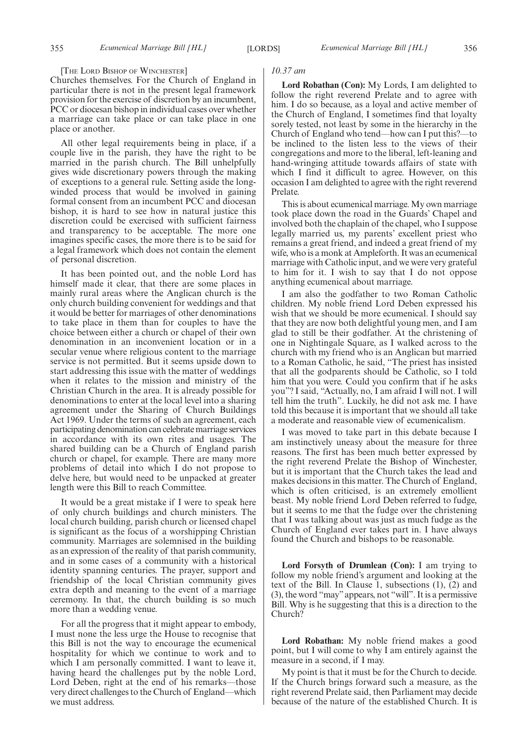#### [THE LORD BISHOP OF WINCHESTER]

Churches themselves. For the Church of England in particular there is not in the present legal framework provision for the exercise of discretion by an incumbent, PCC or diocesan bishop in individual cases over whether a marriage can take place or can take place in one place or another.

All other legal requirements being in place, if a couple live in the parish, they have the right to be married in the parish church. The Bill unhelpfully gives wide discretionary powers through the making of exceptions to a general rule. Setting aside the longwinded process that would be involved in gaining formal consent from an incumbent PCC and diocesan bishop, it is hard to see how in natural justice this discretion could be exercised with sufficient fairness and transparency to be acceptable. The more one imagines specific cases, the more there is to be said for a legal framework which does not contain the element of personal discretion.

It has been pointed out, and the noble Lord has himself made it clear, that there are some places in mainly rural areas where the Anglican church is the only church building convenient for weddings and that it would be better for marriages of other denominations to take place in them than for couples to have the choice between either a church or chapel of their own denomination in an inconvenient location or in a secular venue where religious content to the marriage service is not permitted. But it seems upside down to start addressing this issue with the matter of weddings when it relates to the mission and ministry of the Christian Church in the area. It is already possible for denominations to enter at the local level into a sharing agreement under the Sharing of Church Buildings Act 1969. Under the terms of such an agreement, each participating denomination can celebrate marriage services in accordance with its own rites and usages. The shared building can be a Church of England parish church or chapel, for example. There are many more problems of detail into which I do not propose to delve here, but would need to be unpacked at greater length were this Bill to reach Committee.

It would be a great mistake if I were to speak here of only church buildings and church ministers. The local church building, parish church or licensed chapel is significant as the focus of a worshipping Christian community. Marriages are solemnised in the building as an expression of the reality of that parish community, and in some cases of a community with a historical identity spanning centuries. The prayer, support and friendship of the local Christian community gives extra depth and meaning to the event of a marriage ceremony. In that, the church building is so much more than a wedding venue.

For all the progress that it might appear to embody, I must none the less urge the House to recognise that this Bill is not the way to encourage the ecumenical hospitality for which we continue to work and to which I am personally committed. I want to leave it, having heard the challenges put by the noble Lord, Lord Deben, right at the end of his remarks—those very direct challenges to the Church of England—which we must address.

#### *10.37 am*

**Lord Robathan (Con):** My Lords, I am delighted to follow the right reverend Prelate and to agree with him. I do so because, as a loyal and active member of the Church of England, I sometimes find that loyalty sorely tested, not least by some in the hierarchy in the Church of England who tend—how can I put this?—to be inclined to the listen less to the views of their congregations and more to the liberal, left-leaning and hand-wringing attitude towards affairs of state with which I find it difficult to agree. However, on this occasion I am delighted to agree with the right reverend Prelate.

This is about ecumenical marriage. My own marriage took place down the road in the Guards' Chapel and involved both the chaplain of the chapel, who I suppose legally married us, my parents' excellent priest who remains a great friend, and indeed a great friend of my wife, who is a monk at Ampleforth. It was an ecumenical marriage with Catholic input, and we were very grateful to him for it. I wish to say that I do not oppose anything ecumenical about marriage.

I am also the godfather to two Roman Catholic children. My noble friend Lord Deben expressed his wish that we should be more ecumenical. I should say that they are now both delightful young men, and I am glad to still be their godfather. At the christening of one in Nightingale Square, as I walked across to the church with my friend who is an Anglican but married to a Roman Catholic, he said, "The priest has insisted that all the godparents should be Catholic, so I told him that you were. Could you confirm that if he asks you"? I said, "Actually, no, I am afraid I will not. I will tell him the truth". Luckily, he did not ask me. I have told this because it is important that we should all take a moderate and reasonable view of ecumenicalism.

I was moved to take part in this debate because I am instinctively uneasy about the measure for three reasons. The first has been much better expressed by the right reverend Prelate the Bishop of Winchester, but it is important that the Church takes the lead and makes decisions in this matter. The Church of England, which is often criticised, is an extremely emollient beast. My noble friend Lord Deben referred to fudge, but it seems to me that the fudge over the christening that I was talking about was just as much fudge as the Church of England ever takes part in. I have always found the Church and bishops to be reasonable.

**Lord Forsyth of Drumlean (Con):** I am trying to follow my noble friend's argument and looking at the text of the Bill. In Clause 1, subsections (1), (2) and (3), the word "may"appears, not "will". It is a permissive Bill. Why is he suggesting that this is a direction to the Church?

**Lord Robathan:** My noble friend makes a good point, but I will come to why I am entirely against the measure in a second, if I may.

My point is that it must be for the Church to decide. If the Church brings forward such a measure, as the right reverend Prelate said, then Parliament may decide because of the nature of the established Church. It is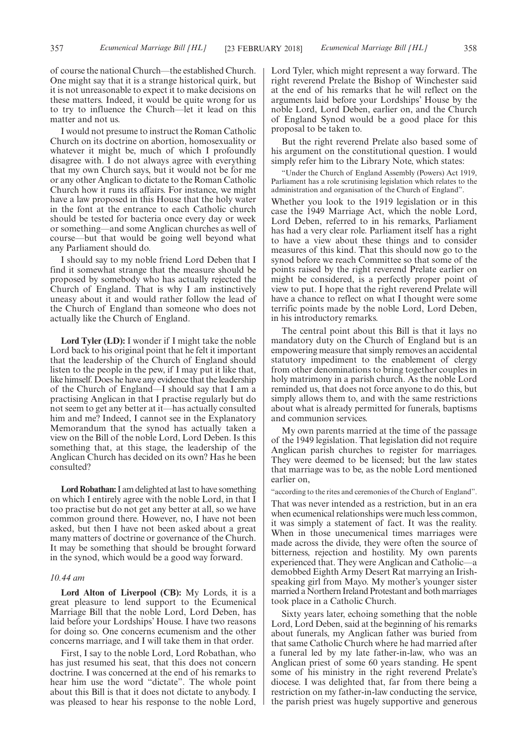of course the national Church—the established Church. One might say that it is a strange historical quirk, but it is not unreasonable to expect it to make decisions on these matters. Indeed, it would be quite wrong for us to try to influence the Church—let it lead on this matter and not us.

I would not presume to instruct the Roman Catholic Church on its doctrine on abortion, homosexuality or whatever it might be, much of which I profoundly disagree with. I do not always agree with everything that my own Church says, but it would not be for me or any other Anglican to dictate to the Roman Catholic Church how it runs its affairs. For instance, we might have a law proposed in this House that the holy water in the font at the entrance to each Catholic church should be tested for bacteria once every day or week or something—and some Anglican churches as well of course—but that would be going well beyond what any Parliament should do.

I should say to my noble friend Lord Deben that I find it somewhat strange that the measure should be proposed by somebody who has actually rejected the Church of England. That is why I am instinctively uneasy about it and would rather follow the lead of the Church of England than someone who does not actually like the Church of England.

**Lord Tyler (LD):** I wonder if I might take the noble Lord back to his original point that he felt it important that the leadership of the Church of England should listen to the people in the pew, if I may put it like that, like himself. Does he have any evidence that the leadership of the Church of England—I should say that I am a practising Anglican in that I practise regularly but do not seem to get any better at it—has actually consulted him and me? Indeed, I cannot see in the Explanatory Memorandum that the synod has actually taken a view on the Bill of the noble Lord, Lord Deben. Is this something that, at this stage, the leadership of the Anglican Church has decided on its own? Has he been consulted?

**Lord Robathan:**I am delighted at last to have something on which I entirely agree with the noble Lord, in that I too practise but do not get any better at all, so we have common ground there. However, no, I have not been asked, but then I have not been asked about a great many matters of doctrine or governance of the Church. It may be something that should be brought forward in the synod, which would be a good way forward.

#### *10.44 am*

**Lord Alton of Liverpool (CB):** My Lords, it is a great pleasure to lend support to the Ecumenical Marriage Bill that the noble Lord, Lord Deben, has laid before your Lordships' House. I have two reasons for doing so. One concerns ecumenism and the other concerns marriage, and I will take them in that order.

First, I say to the noble Lord, Lord Robathan, who has just resumed his seat, that this does not concern doctrine. I was concerned at the end of his remarks to hear him use the word "dictate". The whole point about this Bill is that it does not dictate to anybody. I was pleased to hear his response to the noble Lord, Lord Tyler, which might represent a way forward. The right reverend Prelate the Bishop of Winchester said at the end of his remarks that he will reflect on the arguments laid before your Lordships' House by the noble Lord, Lord Deben, earlier on, and the Church of England Synod would be a good place for this proposal to be taken to.

But the right reverend Prelate also based some of his argument on the constitutional question. I would simply refer him to the Library Note, which states:

"Under the Church of England Assembly (Powers) Act 1919, Parliament has a role scrutinising legislation which relates to the administration and organisation of the Church of England".

Whether you look to the 1919 legislation or in this case the 1949 Marriage Act, which the noble Lord, Lord Deben, referred to in his remarks, Parliament has had a very clear role. Parliament itself has a right to have a view about these things and to consider measures of this kind. That this should now go to the synod before we reach Committee so that some of the points raised by the right reverend Prelate earlier on might be considered, is a perfectly proper point of view to put. I hope that the right reverend Prelate will have a chance to reflect on what I thought were some terrific points made by the noble Lord, Lord Deben, in his introductory remarks.

The central point about this Bill is that it lays no mandatory duty on the Church of England but is an empowering measure that simply removes an accidental statutory impediment to the enablement of clergy from other denominations to bring together couples in holy matrimony in a parish church. As the noble Lord reminded us, that does not force anyone to do this, but simply allows them to, and with the same restrictions about what is already permitted for funerals, baptisms and communion services.

My own parents married at the time of the passage of the 1949 legislation. That legislation did not require Anglican parish churches to register for marriages. They were deemed to be licensed; but the law states that marriage was to be, as the noble Lord mentioned earlier on,

"according to the rites and ceremonies of the Church of England".

That was never intended as a restriction, but in an era when ecumenical relationships were much less common, it was simply a statement of fact. It was the reality. When in those unecumenical times marriages were made across the divide, they were often the source of bitterness, rejection and hostility. My own parents experienced that. They were Anglican and Catholic—a demobbed Eighth Army Desert Rat marrying an Irishspeaking girl from Mayo. My mother's younger sister married a Northern Ireland Protestant and both marriages took place in a Catholic Church.

Sixty years later, echoing something that the noble Lord, Lord Deben, said at the beginning of his remarks about funerals, my Anglican father was buried from that same Catholic Church where he had married after a funeral led by my late father-in-law, who was an Anglican priest of some 60 years standing. He spent some of his ministry in the right reverend Prelate's diocese. I was delighted that, far from there being a restriction on my father-in-law conducting the service, the parish priest was hugely supportive and generous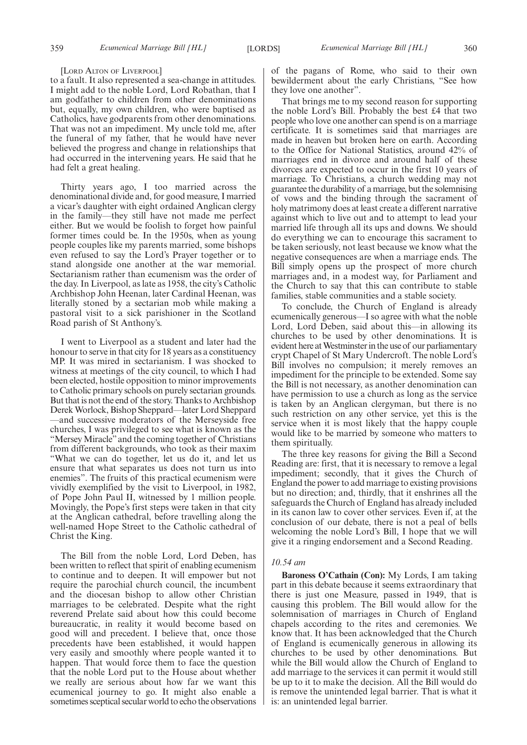#### [LORD ALTON OF LIVERPOOL]

to a fault. It also represented a sea-change in attitudes. I might add to the noble Lord, Lord Robathan, that I am godfather to children from other denominations but, equally, my own children, who were baptised as Catholics, have godparents from other denominations. That was not an impediment. My uncle told me, after the funeral of my father, that he would have never believed the progress and change in relationships that had occurred in the intervening years. He said that he had felt a great healing.

Thirty years ago, I too married across the denominational divide and, for good measure, I married a vicar's daughter with eight ordained Anglican clergy in the family—they still have not made me perfect either. But we would be foolish to forget how painful former times could be. In the 1950s, when as young people couples like my parents married, some bishops even refused to say the Lord's Prayer together or to stand alongside one another at the war memorial. Sectarianism rather than ecumenism was the order of the day. In Liverpool, as late as 1958, the city's Catholic Archbishop John Heenan, later Cardinal Heenan, was literally stoned by a sectarian mob while making a pastoral visit to a sick parishioner in the Scotland Road parish of St Anthony's.

I went to Liverpool as a student and later had the honour to serve in that city for 18 years as a constituency MP. It was mired in sectarianism. I was shocked to witness at meetings of the city council, to which I had been elected, hostile opposition to minor improvements to Catholic primary schools on purely sectarian grounds. But that is not the end of the story. Thanks to Archbishop Derek Worlock, Bishop Sheppard—later Lord Sheppard —and successive moderators of the Merseyside free churches, I was privileged to see what is known as the "Mersey Miracle" and the coming together of Christians from different backgrounds, who took as their maxim "What we can do together, let us do it, and let us ensure that what separates us does not turn us into enemies". The fruits of this practical ecumenism were vividly exemplified by the visit to Liverpool, in 1982, of Pope John Paul II, witnessed by 1 million people. Movingly, the Pope's first steps were taken in that city at the Anglican cathedral, before travelling along the well-named Hope Street to the Catholic cathedral of Christ the King.

The Bill from the noble Lord, Lord Deben, has been written to reflect that spirit of enabling ecumenism to continue and to deepen. It will empower but not require the parochial church council, the incumbent and the diocesan bishop to allow other Christian marriages to be celebrated. Despite what the right reverend Prelate said about how this could become bureaucratic, in reality it would become based on good will and precedent. I believe that, once those precedents have been established, it would happen very easily and smoothly where people wanted it to happen. That would force them to face the question that the noble Lord put to the House about whether we really are serious about how far we want this ecumenical journey to go. It might also enable a sometimes sceptical secular world to echo the observations of the pagans of Rome, who said to their own bewilderment about the early Christians, "See how they love one another".

That brings me to my second reason for supporting the noble Lord's Bill. Probably the best £4 that two people who love one another can spend is on a marriage certificate. It is sometimes said that marriages are made in heaven but broken here on earth. According to the Office for National Statistics, around 42% of marriages end in divorce and around half of these divorces are expected to occur in the first 10 years of marriage. To Christians, a church wedding may not guarantee the durability of a marriage, but the solemnising of vows and the binding through the sacrament of holy matrimony does at least create a different narrative against which to live out and to attempt to lead your married life through all its ups and downs. We should do everything we can to encourage this sacrament to be taken seriously, not least because we know what the negative consequences are when a marriage ends. The Bill simply opens up the prospect of more church marriages and, in a modest way, for Parliament and the Church to say that this can contribute to stable families, stable communities and a stable society.

To conclude, the Church of England is already ecumenically generous—I so agree with what the noble Lord, Lord Deben, said about this—in allowing its churches to be used by other denominations. It is evident here at Westminster in the use of our parliamentary crypt Chapel of St Mary Undercroft. The noble Lord's Bill involves no compulsion; it merely removes an impediment for the principle to be extended. Some say the Bill is not necessary, as another denomination can have permission to use a church as long as the service is taken by an Anglican clergyman, but there is no such restriction on any other service, yet this is the service when it is most likely that the happy couple would like to be married by someone who matters to them spiritually.

The three key reasons for giving the Bill a Second Reading are: first, that it is necessary to remove a legal impediment; secondly, that it gives the Church of England the power to add marriage to existing provisions but no direction; and, thirdly, that it enshrines all the safeguards the Church of England has already included in its canon law to cover other services. Even if, at the conclusion of our debate, there is not a peal of bells welcoming the noble Lord's Bill, I hope that we will give it a ringing endorsement and a Second Reading.

# *10.54 am*

**Baroness O'Cathain (Con):** My Lords, I am taking part in this debate because it seems extraordinary that there is just one Measure, passed in 1949, that is causing this problem. The Bill would allow for the solemnisation of marriages in Church of England chapels according to the rites and ceremonies. We know that. It has been acknowledged that the Church of England is ecumenically generous in allowing its churches to be used by other denominations. But while the Bill would allow the Church of England to add marriage to the services it can permit it would still be up to it to make the decision. All the Bill would do is remove the unintended legal barrier. That is what it is: an unintended legal barrier.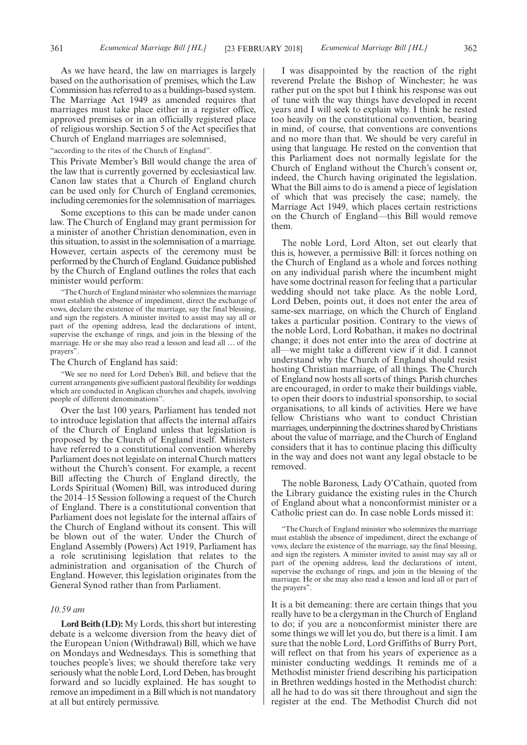As we have heard, the law on marriages is largely based on the authorisation of premises, which the Law Commission has referred to as a buildings-based system. The Marriage Act 1949 as amended requires that marriages must take place either in a register office, approved premises or in an officially registered place of religious worship. Section 5 of the Act specifies that Church of England marriages are solemnised,

"according to the rites of the Church of England".

This Private Member's Bill would change the area of the law that is currently governed by ecclesiastical law. Canon law states that a Church of England church can be used only for Church of England ceremonies, including ceremonies for the solemnisation of marriages.

Some exceptions to this can be made under canon law. The Church of England may grant permission for a minister of another Christian denomination, even in this situation, to assist in the solemnisation of a marriage. However, certain aspects of the ceremony must be performed by the Church of England. Guidance published by the Church of England outlines the roles that each minister would perform:

"The Church of England minister who solemnizes the marriage must establish the absence of impediment, direct the exchange of vows, declare the existence of the marriage, say the final blessing, and sign the registers. A minister invited to assist may say all or part of the opening address, lead the declarations of intent, supervise the exchange of rings, and join in the blessing of the marriage. He or she may also read a lesson and lead all … of the prayers".

#### The Church of England has said:

"We see no need for Lord Deben's Bill, and believe that the current arrangements give sufficient pastoral flexibility for weddings which are conducted in Anglican churches and chapels, involving people of different denominations".

Over the last 100 years, Parliament has tended not to introduce legislation that affects the internal affairs of the Church of England unless that legislation is proposed by the Church of England itself. Ministers have referred to a constitutional convention whereby Parliament does not legislate on internal Church matters without the Church's consent. For example, a recent Bill affecting the Church of England directly, the Lords Spiritual (Women) Bill, was introduced during the 2014–15 Session following a request of the Church of England. There is a constitutional convention that Parliament does not legislate for the internal affairs of the Church of England without its consent. This will be blown out of the water. Under the Church of England Assembly (Powers) Act 1919, Parliament has a role scrutinising legislation that relates to the administration and organisation of the Church of England. However, this legislation originates from the General Synod rather than from Parliament.

#### *10.59 am*

**Lord Beith (LD):** My Lords, this short but interesting debate is a welcome diversion from the heavy diet of the European Union (Withdrawal) Bill, which we have on Mondays and Wednesdays. This is something that touches people's lives; we should therefore take very seriously what the noble Lord, Lord Deben, has brought forward and so lucidly explained. He has sought to remove an impediment in a Bill which is not mandatory at all but entirely permissive.

I was disappointed by the reaction of the right reverend Prelate the Bishop of Winchester; he was rather put on the spot but I think his response was out of tune with the way things have developed in recent years and I will seek to explain why. I think he rested too heavily on the constitutional convention, bearing in mind, of course, that conventions are conventions and no more than that. We should be very careful in using that language. He rested on the convention that this Parliament does not normally legislate for the Church of England without the Church's consent or, indeed, the Church having originated the legislation. What the Bill aims to do is amend a piece of legislation of which that was precisely the case; namely, the Marriage Act 1949, which places certain restrictions on the Church of England—this Bill would remove them.

The noble Lord, Lord Alton, set out clearly that this is, however, a permissive Bill: it forces nothing on the Church of England as a whole and forces nothing on any individual parish where the incumbent might have some doctrinal reason for feeling that a particular wedding should not take place. As the noble Lord, Lord Deben, points out, it does not enter the area of same-sex marriage, on which the Church of England takes a particular position. Contrary to the views of the noble Lord, Lord Robathan, it makes no doctrinal change; it does not enter into the area of doctrine at all—we might take a different view if it did. I cannot understand why the Church of England should resist hosting Christian marriage, of all things. The Church of England now hosts all sorts of things. Parish churches are encouraged, in order to make their buildings viable, to open their doors to industrial sponsorship, to social organisations, to all kinds of activities. Here we have fellow Christians who want to conduct Christian marriages, underpinning the doctrines shared by Christians about the value of marriage, and the Church of England considers that it has to continue placing this difficulty in the way and does not want any legal obstacle to be removed.

The noble Baroness, Lady O'Cathain, quoted from the Library guidance the existing rules in the Church of England about what a nonconformist minister or a Catholic priest can do. In case noble Lords missed it:

"The Church of England minister who solemnizes the marriage must establish the absence of impediment, direct the exchange of vows, declare the existence of the marriage, say the final blessing, and sign the registers. A minister invited to assist may say all or part of the opening address, lead the declarations of intent, supervise the exchange of rings, and join in the blessing of the marriage. He or she may also read a lesson and lead all or part of the prayers".

It is a bit demeaning: there are certain things that you really have to be a clergyman in the Church of England to do; if you are a nonconformist minister there are some things we will let you do, but there is a limit. I am sure that the noble Lord, Lord Griffiths of Burry Port, will reflect on that from his years of experience as a minister conducting weddings. It reminds me of a Methodist minister friend describing his participation in Brethren weddings hosted in the Methodist church: all he had to do was sit there throughout and sign the register at the end. The Methodist Church did not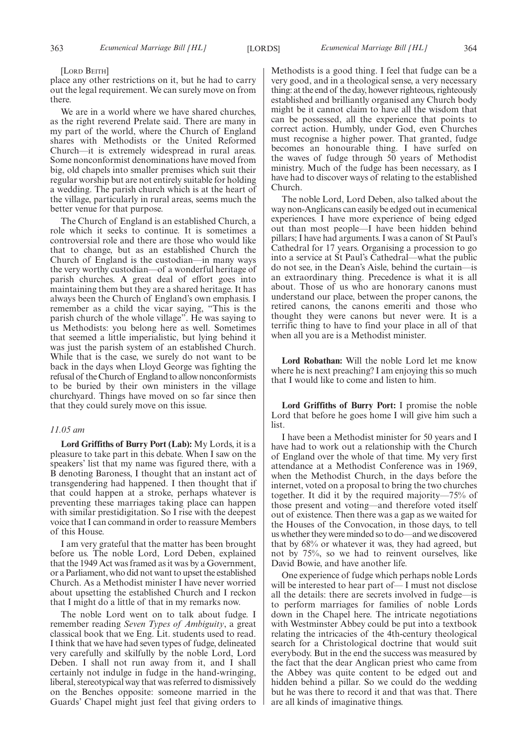[LORD BEITH]

place any other restrictions on it, but he had to carry out the legal requirement. We can surely move on from there.

We are in a world where we have shared churches, as the right reverend Prelate said. There are many in my part of the world, where the Church of England shares with Methodists or the United Reformed Church—it is extremely widespread in rural areas. Some nonconformist denominations have moved from big, old chapels into smaller premises which suit their regular worship but are not entirely suitable for holding a wedding. The parish church which is at the heart of the village, particularly in rural areas, seems much the better venue for that purpose.

The Church of England is an established Church, a role which it seeks to continue. It is sometimes a controversial role and there are those who would like that to change, but as an established Church the Church of England is the custodian—in many ways the very worthy custodian—of a wonderful heritage of parish churches. A great deal of effort goes into maintaining them but they are a shared heritage. It has always been the Church of England's own emphasis. I remember as a child the vicar saying, "This is the parish church of the whole village". He was saying to us Methodists: you belong here as well. Sometimes that seemed a little imperialistic, but lying behind it was just the parish system of an established Church. While that is the case, we surely do not want to be back in the days when Lloyd George was fighting the refusal of the Church of England to allow nonconformists to be buried by their own ministers in the village churchyard. Things have moved on so far since then that they could surely move on this issue.

#### *11.05 am*

**Lord Griffiths of Burry Port (Lab):** My Lords, it is a pleasure to take part in this debate. When I saw on the speakers' list that my name was figured there, with a B denoting Baroness, I thought that an instant act of transgendering had happened. I then thought that if that could happen at a stroke, perhaps whatever is preventing these marriages taking place can happen with similar prestidigitation. So I rise with the deepest voice that I can command in order to reassure Members of this House.

I am very grateful that the matter has been brought before us. The noble Lord, Lord Deben, explained that the 1949 Act was framed as it was by a Government, or a Parliament, who did not want to upset the established Church. As a Methodist minister I have never worried about upsetting the established Church and I reckon that I might do a little of that in my remarks now.

The noble Lord went on to talk about fudge. I remember reading *Seven Types of Ambiguity*, a great classical book that we Eng. Lit. students used to read. I think that we have had seven types of fudge, delineated very carefully and skilfully by the noble Lord, Lord Deben. I shall not run away from it, and I shall certainly not indulge in fudge in the hand-wringing, liberal, stereotypical way that was referred to dismissively on the Benches opposite: someone married in the Guards' Chapel might just feel that giving orders to Methodists is a good thing. I feel that fudge can be a very good, and in a theological sense, a very necessary thing: at the end of the day, however righteous, righteously established and brilliantly organised any Church body might be it cannot claim to have all the wisdom that can be possessed, all the experience that points to correct action. Humbly, under God, even Churches must recognise a higher power. That granted, fudge becomes an honourable thing. I have surfed on the waves of fudge through 50 years of Methodist ministry. Much of the fudge has been necessary, as I have had to discover ways of relating to the established Church.

The noble Lord, Lord Deben, also talked about the way non-Anglicans can easily be edged out in ecumenical experiences. I have more experience of being edged out than most people—I have been hidden behind pillars; I have had arguments. I was a canon of St Paul's Cathedral for 17 years. Organising a procession to go into a service at St Paul's Cathedral—what the public do not see, in the Dean's Aisle, behind the curtain—is an extraordinary thing. Precedence is what it is all about. Those of us who are honorary canons must understand our place, between the proper canons, the retired canons, the canons emeriti and those who thought they were canons but never were. It is a terrific thing to have to find your place in all of that when all you are is a Methodist minister.

**Lord Robathan:** Will the noble Lord let me know where he is next preaching? I am enjoying this so much that I would like to come and listen to him.

**Lord Griffiths of Burry Port:** I promise the noble Lord that before he goes home I will give him such a list.

I have been a Methodist minister for 50 years and I have had to work out a relationship with the Church of England over the whole of that time. My very first attendance at a Methodist Conference was in 1969, when the Methodist Church, in the days before the internet, voted on a proposal to bring the two churches together. It did it by the required majority—75% of those present and voting—and therefore voted itself out of existence. Then there was a gap as we waited for the Houses of the Convocation, in those days, to tell us whether they were minded so to do—and we discovered that by 68% or whatever it was, they had agreed, but not by 75%, so we had to reinvent ourselves, like David Bowie, and have another life.

One experience of fudge which perhaps noble Lords will be interested to hear part of— I must not disclose all the details: there are secrets involved in fudge—is to perform marriages for families of noble Lords down in the Chapel here. The intricate negotiations with Westminster Abbey could be put into a textbook relating the intricacies of the 4th-century theological search for a Christological doctrine that would suit everybody. But in the end the success was measured by the fact that the dear Anglican priest who came from the Abbey was quite content to be edged out and hidden behind a pillar. So we could do the wedding but he was there to record it and that was that. There are all kinds of imaginative things.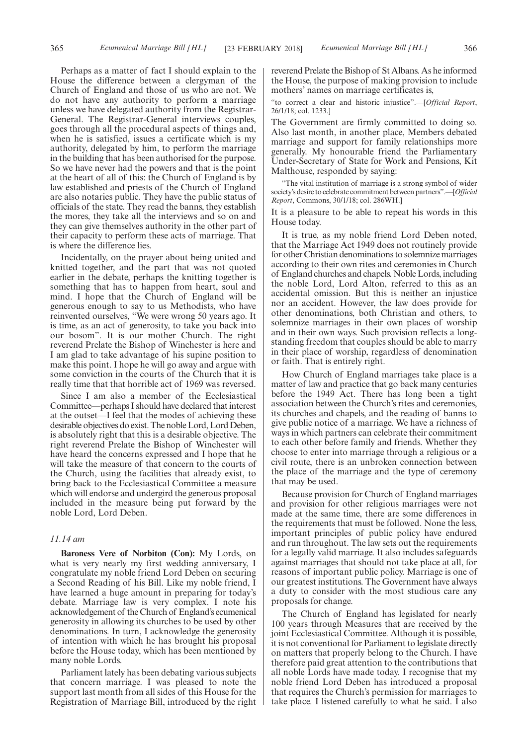Perhaps as a matter of fact I should explain to the House the difference between a clergyman of the Church of England and those of us who are not. We do not have any authority to perform a marriage unless we have delegated authority from the Registrar-General. The Registrar-General interviews couples, goes through all the procedural aspects of things and, when he is satisfied, issues a certificate which is my authority, delegated by him, to perform the marriage in the building that has been authorised for the purpose. So we have never had the powers and that is the point at the heart of all of this: the Church of England is by law established and priests of the Church of England are also notaries public. They have the public status of officials of the state. They read the banns, they establish the mores, they take all the interviews and so on and they can give themselves authority in the other part of their capacity to perform these acts of marriage. That is where the difference lies.

Incidentally, on the prayer about being united and knitted together, and the part that was not quoted earlier in the debate, perhaps the knitting together is something that has to happen from heart, soul and mind. I hope that the Church of England will be generous enough to say to us Methodists, who have reinvented ourselves, "We were wrong 50 years ago. It is time, as an act of generosity, to take you back into our bosom". It is our mother Church. The right reverend Prelate the Bishop of Winchester is here and I am glad to take advantage of his supine position to make this point. I hope he will go away and argue with some conviction in the courts of the Church that it is really time that that horrible act of 1969 was reversed.

Since I am also a member of the Ecclesiastical Committee—perhaps I should have declared that interest at the outset—I feel that the modes of achieving these desirable objectives do exist. The noble Lord, Lord Deben, is absolutely right that this is a desirable objective. The right reverend Prelate the Bishop of Winchester will have heard the concerns expressed and I hope that he will take the measure of that concern to the courts of the Church, using the facilities that already exist, to bring back to the Ecclesiastical Committee a measure which will endorse and undergird the generous proposal included in the measure being put forward by the noble Lord, Lord Deben.

# *11.14 am*

**Baroness Vere of Norbiton (Con):** My Lords, on what is very nearly my first wedding anniversary, I congratulate my noble friend Lord Deben on securing a Second Reading of his Bill. Like my noble friend, I have learned a huge amount in preparing for today's debate. Marriage law is very complex. I note his acknowledgement of the Church of England's ecumenical generosity in allowing its churches to be used by other denominations. In turn, I acknowledge the generosity of intention with which he has brought his proposal before the House today, which has been mentioned by many noble Lords.

Parliament lately has been debating various subjects that concern marriage. I was pleased to note the support last month from all sides of this House for the Registration of Marriage Bill, introduced by the right reverend Prelate the Bishop of St Albans. As he informed the House, the purpose of making provision to include mothers' names on marriage certificates is,

"to correct a clear and historic injustice".—[*Official Report*, 26/1/18; col. 1233.]

The Government are firmly committed to doing so. Also last month, in another place, Members debated marriage and support for family relationships more generally. My honourable friend the Parliamentary Under-Secretary of State for Work and Pensions, Kit Malthouse, responded by saying:

"The vital institution of marriage is a strong symbol of wider society's desire to celebrate commitment between partners".—[*Official Report*, Commons, 30/1/18; col. 286WH.]

It is a pleasure to be able to repeat his words in this House today.

It is true, as my noble friend Lord Deben noted, that the Marriage Act 1949 does not routinely provide for other Christian denominations to solemnize marriages according to their own rites and ceremonies in Church of England churches and chapels. Noble Lords, including the noble Lord, Lord Alton, referred to this as an accidental omission. But this is neither an injustice nor an accident. However, the law does provide for other denominations, both Christian and others, to solemnize marriages in their own places of worship and in their own ways. Such provision reflects a longstanding freedom that couples should be able to marry in their place of worship, regardless of denomination or faith. That is entirely right.

How Church of England marriages take place is a matter of law and practice that go back many centuries before the 1949 Act. There has long been a tight association between the Church's rites and ceremonies, its churches and chapels, and the reading of banns to give public notice of a marriage. We have a richness of ways in which partners can celebrate their commitment to each other before family and friends. Whether they choose to enter into marriage through a religious or a civil route, there is an unbroken connection between the place of the marriage and the type of ceremony that may be used.

Because provision for Church of England marriages and provision for other religious marriages were not made at the same time, there are some differences in the requirements that must be followed. None the less, important principles of public policy have endured and run throughout. The law sets out the requirements for a legally valid marriage. It also includes safeguards against marriages that should not take place at all, for reasons of important public policy. Marriage is one of our greatest institutions. The Government have always a duty to consider with the most studious care any proposals for change.

The Church of England has legislated for nearly 100 years through Measures that are received by the joint Ecclesiastical Committee. Although it is possible, it is not conventional for Parliament to legislate directly on matters that properly belong to the Church. I have therefore paid great attention to the contributions that all noble Lords have made today. I recognise that my noble friend Lord Deben has introduced a proposal that requires the Church's permission for marriages to take place. I listened carefully to what he said. I also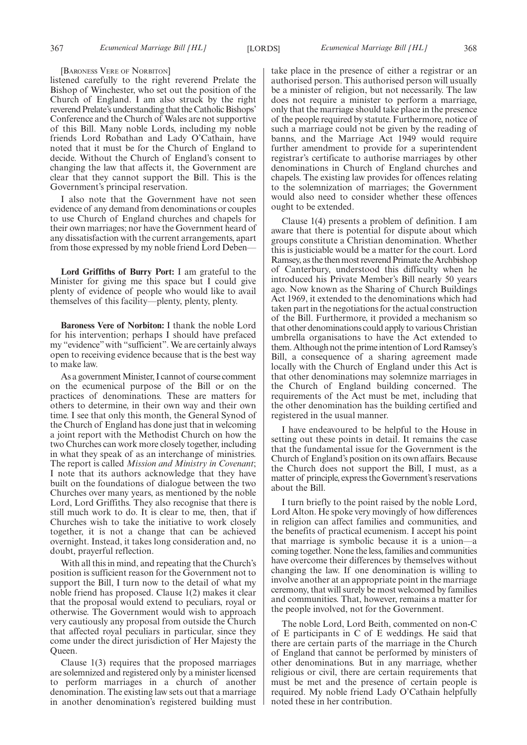[BARONESS VERE OF NORBITON]

listened carefully to the right reverend Prelate the Bishop of Winchester, who set out the position of the Church of England. I am also struck by the right reverend Prelate's understanding that the Catholic Bishops' Conference and the Church of Wales are not supportive of this Bill. Many noble Lords, including my noble friends Lord Robathan and Lady O'Cathain, have noted that it must be for the Church of England to decide. Without the Church of England's consent to changing the law that affects it, the Government are clear that they cannot support the Bill. This is the Government's principal reservation.

I also note that the Government have not seen evidence of any demand from denominations or couples to use Church of England churches and chapels for their own marriages; nor have the Government heard of any dissatisfaction with the current arrangements, apart from those expressed by my noble friend Lord Deben—

**Lord Griffiths of Burry Port:** I am grateful to the Minister for giving me this space but I could give plenty of evidence of people who would like to avail themselves of this facility—plenty, plenty, plenty.

**Baroness Vere of Norbiton:** I thank the noble Lord for his intervention; perhaps I should have prefaced my "evidence"with "sufficient". We are certainly always open to receiving evidence because that is the best way to make law.

As a government Minister, I cannot of course comment on the ecumenical purpose of the Bill or on the practices of denominations. These are matters for others to determine, in their own way and their own time. I see that only this month, the General Synod of the Church of England has done just that in welcoming a joint report with the Methodist Church on how the two Churches can work more closely together, including in what they speak of as an interchange of ministries. The report is called *Mission and Ministry in Covenant*; I note that its authors acknowledge that they have built on the foundations of dialogue between the two Churches over many years, as mentioned by the noble Lord, Lord Griffiths. They also recognise that there is still much work to do. It is clear to me, then, that if Churches wish to take the initiative to work closely together, it is not a change that can be achieved overnight. Instead, it takes long consideration and, no doubt, prayerful reflection.

With all this in mind, and repeating that the Church's position is sufficient reason for the Government not to support the Bill, I turn now to the detail of what my noble friend has proposed. Clause 1(2) makes it clear that the proposal would extend to peculiars, royal or otherwise. The Government would wish to approach very cautiously any proposal from outside the Church that affected royal peculiars in particular, since they come under the direct jurisdiction of Her Majesty the Queen.

Clause 1(3) requires that the proposed marriages are solemnized and registered only by a minister licensed to perform marriages in a church of another denomination. The existing law sets out that a marriage in another denomination's registered building must take place in the presence of either a registrar or an authorised person. This authorised person will usually be a minister of religion, but not necessarily. The law does not require a minister to perform a marriage, only that the marriage should take place in the presence of the people required by statute. Furthermore, notice of such a marriage could not be given by the reading of banns, and the Marriage Act 1949 would require further amendment to provide for a superintendent registrar's certificate to authorise marriages by other denominations in Church of England churches and chapels. The existing law provides for offences relating to the solemnization of marriages; the Government would also need to consider whether these offences ought to be extended.

Clause 1(4) presents a problem of definition. I am aware that there is potential for dispute about which groups constitute a Christian denomination. Whether this is justiciable would be a matter for the court. Lord Ramsey, as the then most reverend Primate the Archbishop of Canterbury, understood this difficulty when he introduced his Private Member's Bill nearly 50 years ago. Now known as the Sharing of Church Buildings Act 1969, it extended to the denominations which had taken part in the negotiations for the actual construction of the Bill. Furthermore, it provided a mechanism so that other denominations could apply to various Christian umbrella organisations to have the Act extended to them. Although not the prime intention of Lord Ramsey's Bill, a consequence of a sharing agreement made locally with the Church of England under this Act is that other denominations may solemnize marriages in the Church of England building concerned. The requirements of the Act must be met, including that the other denomination has the building certified and registered in the usual manner.

I have endeavoured to be helpful to the House in setting out these points in detail. It remains the case that the fundamental issue for the Government is the Church of England's position on its own affairs. Because the Church does not support the Bill, I must, as a matter of principle, express the Government's reservations about the Bill.

I turn briefly to the point raised by the noble Lord, Lord Alton. He spoke very movingly of how differences in religion can affect families and communities, and the benefits of practical ecumenism. I accept his point that marriage is symbolic because it is a union—a coming together. None the less, families and communities have overcome their differences by themselves without changing the law. If one denomination is willing to involve another at an appropriate point in the marriage ceremony, that will surely be most welcomed by families and communities. That, however, remains a matter for the people involved, not for the Government.

The noble Lord, Lord Beith, commented on non-C of E participants in C of E weddings. He said that there are certain parts of the marriage in the Church of England that cannot be performed by ministers of other denominations. But in any marriage, whether religious or civil, there are certain requirements that must be met and the presence of certain people is required. My noble friend Lady O'Cathain helpfully noted these in her contribution.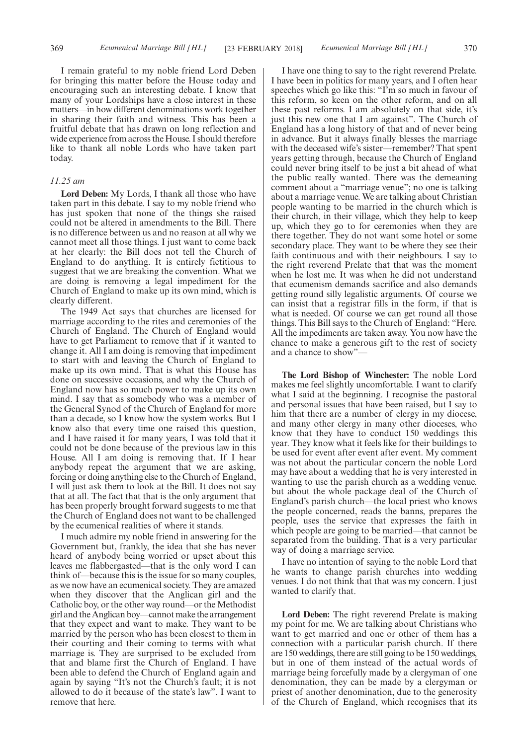I remain grateful to my noble friend Lord Deben for bringing this matter before the House today and encouraging such an interesting debate. I know that many of your Lordships have a close interest in these matters—in how different denominations work together in sharing their faith and witness. This has been a fruitful debate that has drawn on long reflection and wide experience from across the House. I should therefore like to thank all noble Lords who have taken part today.

#### *11.25 am*

**Lord Deben:** My Lords, I thank all those who have taken part in this debate. I say to my noble friend who has just spoken that none of the things she raised could not be altered in amendments to the Bill. There is no difference between us and no reason at all why we cannot meet all those things. I just want to come back at her clearly: the Bill does not tell the Church of England to do anything. It is entirely fictitious to suggest that we are breaking the convention. What we are doing is removing a legal impediment for the Church of England to make up its own mind, which is clearly different.

The 1949 Act says that churches are licensed for marriage according to the rites and ceremonies of the Church of England. The Church of England would have to get Parliament to remove that if it wanted to change it. All I am doing is removing that impediment to start with and leaving the Church of England to make up its own mind. That is what this House has done on successive occasions, and why the Church of England now has so much power to make up its own mind. I say that as somebody who was a member of the General Synod of the Church of England for more than a decade, so I know how the system works. But I know also that every time one raised this question, and I have raised it for many years, I was told that it could not be done because of the previous law in this House. All I am doing is removing that. If I hear anybody repeat the argument that we are asking, forcing or doing anything else to the Church of England, I will just ask them to look at the Bill. It does not say that at all. The fact that that is the only argument that has been properly brought forward suggests to me that the Church of England does not want to be challenged by the ecumenical realities of where it stands.

I much admire my noble friend in answering for the Government but, frankly, the idea that she has never heard of anybody being worried or upset about this leaves me flabbergasted—that is the only word I can think of—because this is the issue for so many couples, as we now have an ecumenical society. They are amazed when they discover that the Anglican girl and the Catholic boy, or the other way round—or the Methodist girl and the Anglican boy—cannot make the arrangement that they expect and want to make. They want to be married by the person who has been closest to them in their courting and their coming to terms with what marriage is. They are surprised to be excluded from that and blame first the Church of England. I have been able to defend the Church of England again and again by saying "It's not the Church's fault; it is not allowed to do it because of the state's law". I want to remove that here.

I have one thing to say to the right reverend Prelate. I have been in politics for many years, and I often hear speeches which go like this: "I'm so much in favour of this reform, so keen on the other reform, and on all these past reforms. I am absolutely on that side, it's just this new one that I am against". The Church of England has a long history of that and of never being in advance. But it always finally blesses the marriage with the deceased wife's sister—remember? That spent years getting through, because the Church of England could never bring itself to be just a bit ahead of what the public really wanted. There was the demeaning comment about a "marriage venue"; no one is talking about a marriage venue. We are talking about Christian people wanting to be married in the church which is their church, in their village, which they help to keep up, which they go to for ceremonies when they are there together. They do not want some hotel or some secondary place. They want to be where they see their faith continuous and with their neighbours. I say to the right reverend Prelate that that was the moment when he lost me. It was when he did not understand that ecumenism demands sacrifice and also demands getting round silly legalistic arguments. Of course we can insist that a registrar fills in the form, if that is what is needed. Of course we can get round all those things. This Bill says to the Church of England: "Here. All the impediments are taken away. You now have the chance to make a generous gift to the rest of society and a chance to show"—

**The Lord Bishop of Winchester:** The noble Lord makes me feel slightly uncomfortable. I want to clarify what I said at the beginning. I recognise the pastoral and personal issues that have been raised, but I say to him that there are a number of clergy in my diocese, and many other clergy in many other dioceses, who know that they have to conduct 150 weddings this year. They know what it feels like for their buildings to be used for event after event after event. My comment was not about the particular concern the noble Lord may have about a wedding that he is very interested in wanting to use the parish church as a wedding venue. but about the whole package deal of the Church of England's parish church—the local priest who knows the people concerned, reads the banns, prepares the people, uses the service that expresses the faith in which people are going to be married—that cannot be separated from the building. That is a very particular way of doing a marriage service.

I have no intention of saying to the noble Lord that he wants to change parish churches into wedding venues. I do not think that that was my concern. I just wanted to clarify that.

**Lord Deben:** The right reverend Prelate is making my point for me. We are talking about Christians who want to get married and one or other of them has a connection with a particular parish church. If there are 150 weddings, there are still going to be 150 weddings, but in one of them instead of the actual words of marriage being forcefully made by a clergyman of one denomination, they can be made by a clergyman or priest of another denomination, due to the generosity of the Church of England, which recognises that its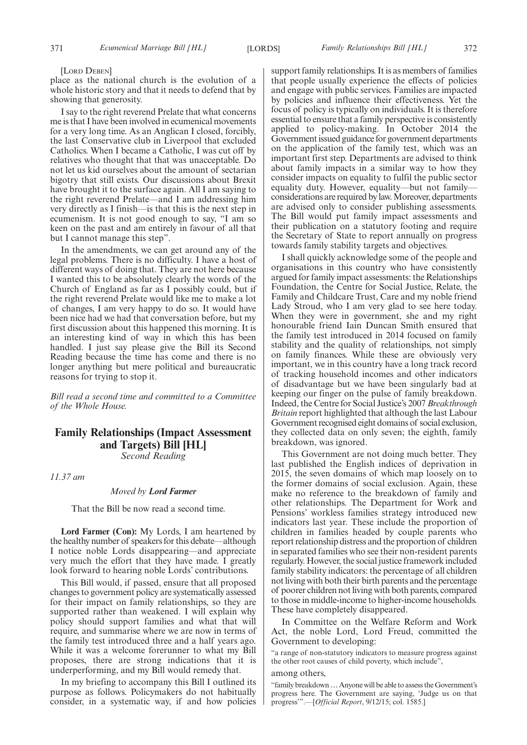#### [LORD DEBEN]

place as the national church is the evolution of a whole historic story and that it needs to defend that by showing that generosity.

I say to the right reverend Prelate that what concerns me is that I have been involved in ecumenical movements for a very long time. As an Anglican I closed, forcibly, the last Conservative club in Liverpool that excluded Catholics. When I became a Catholic, I was cut off by relatives who thought that that was unacceptable. Do not let us kid ourselves about the amount of sectarian bigotry that still exists. Our discussions about Brexit have brought it to the surface again. All I am saying to the right reverend Prelate—and I am addressing him very directly as I finish—is that this is the next step in ecumenism. It is not good enough to say, "I am so keen on the past and am entirely in favour of all that but I cannot manage this step".

In the amendments, we can get around any of the legal problems. There is no difficulty. I have a host of different ways of doing that. They are not here because I wanted this to be absolutely clearly the words of the Church of England as far as I possibly could, but if the right reverend Prelate would like me to make a lot of changes, I am very happy to do so. It would have been nice had we had that conversation before, but my first discussion about this happened this morning. It is an interesting kind of way in which this has been handled. I just say please give the Bill its Second Reading because the time has come and there is no longer anything but mere political and bureaucratic reasons for trying to stop it.

*Bill read a second time and committed to a Committee of the Whole House.*

# **Family Relationships (Impact Assessment and Targets) Bill [HL]** *Second Reading*

*11.37 am*

#### *Moved by Lord Farmer*

That the Bill be now read a second time.

**Lord Farmer (Con):** My Lords, I am heartened by the healthy number of speakers for this debate—although I notice noble Lords disappearing—and appreciate very much the effort that they have made. I greatly look forward to hearing noble Lords' contributions.

This Bill would, if passed, ensure that all proposed changes to government policy are systematically assessed for their impact on family relationships, so they are supported rather than weakened. I will explain why policy should support families and what that will require, and summarise where we are now in terms of the family test introduced three and a half years ago. While it was a welcome forerunner to what my Bill proposes, there are strong indications that it is underperforming, and my Bill would remedy that.

In my briefing to accompany this Bill I outlined its purpose as follows. Policymakers do not habitually consider, in a systematic way, if and how policies support family relationships. It is as members of families that people usually experience the effects of policies and engage with public services. Families are impacted by policies and influence their effectiveness. Yet the focus of policy is typically on individuals. It is therefore essential to ensure that a family perspective is consistently applied to policy-making. In October 2014 the Government issued guidance for government departments on the application of the family test, which was an important first step. Departments are advised to think about family impacts in a similar way to how they consider impacts on equality to fulfil the public sector equality duty. However, equality—but not family considerations are required by law. Moreover, departments are advised only to consider publishing assessments. The Bill would put family impact assessments and their publication on a statutory footing and require the Secretary of State to report annually on progress towards family stability targets and objectives.

I shall quickly acknowledge some of the people and organisations in this country who have consistently argued for family impact assessments: the Relationships Foundation, the Centre for Social Justice, Relate, the Family and Childcare Trust, Care and my noble friend Lady Stroud, who I am very glad to see here today. When they were in government, she and my right honourable friend Iain Duncan Smith ensured that the family test introduced in 2014 focused on family stability and the quality of relationships, not simply on family finances. While these are obviously very important, we in this country have a long track record of tracking household incomes and other indicators of disadvantage but we have been singularly bad at keeping our finger on the pulse of family breakdown. Indeed, the Centre for Social Justice's 2007*Breakthrough Britain* report highlighted that although the last Labour Government recognised eight domains of social exclusion, they collected data on only seven; the eighth, family breakdown, was ignored.

This Government are not doing much better. They last published the English indices of deprivation in 2015, the seven domains of which map loosely on to the former domains of social exclusion. Again, these make no reference to the breakdown of family and other relationships. The Department for Work and Pensions' workless families strategy introduced new indicators last year. These include the proportion of children in families headed by couple parents who report relationship distress and the proportion of children in separated families who see their non-resident parents regularly. However, the social justice framework included family stability indicators: the percentage of all children not living with both their birth parents and the percentage of poorer children not living with both parents, compared to those in middle-income to higher-income households. These have completely disappeared.

In Committee on the Welfare Reform and Work Act, the noble Lord, Lord Freud, committed the Government to developing:

"a range of non-statutory indicators to measure progress against the other root causes of child poverty, which include",

# among others,

"family breakdown…Anyone will be able to assess the Government's progress here. The Government are saying, 'Judge us on that progress'".—[*Official Report*, 9/12/15; col. 1585.]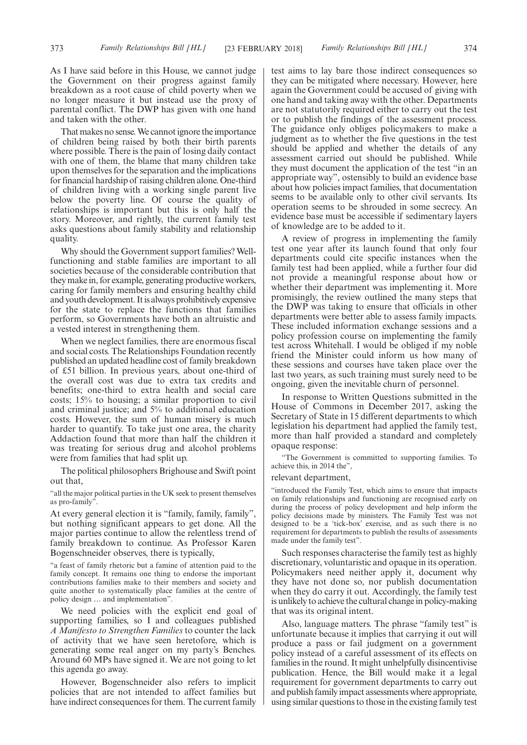As I have said before in this House, we cannot judge the Government on their progress against family breakdown as a root cause of child poverty when we no longer measure it but instead use the proxy of parental conflict. The DWP has given with one hand and taken with the other.

That makes no sense. We cannot ignore the importance of children being raised by both their birth parents where possible. There is the pain of losing daily contact with one of them, the blame that many children take upon themselves for the separation and the implications for financial hardship of raising children alone. One-third of children living with a working single parent live below the poverty line. Of course the quality of relationships is important but this is only half the story. Moreover, and rightly, the current family test asks questions about family stability and relationship quality.

Why should the Government support families? Wellfunctioning and stable families are important to all societies because of the considerable contribution that they make in, for example, generating productive workers, caring for family members and ensuring healthy child and youth development. It is always prohibitively expensive for the state to replace the functions that families perform, so Governments have both an altruistic and a vested interest in strengthening them.

When we neglect families, there are enormous fiscal and social costs. The Relationships Foundation recently published an updated headline cost of family breakdown of £51 billion. In previous years, about one-third of the overall cost was due to extra tax credits and benefits; one-third to extra health and social care costs; 15% to housing; a similar proportion to civil and criminal justice; and 5% to additional education costs. However, the sum of human misery is much harder to quantify. To take just one area, the charity Addaction found that more than half the children it was treating for serious drug and alcohol problems were from families that had split up.

The political philosophers Brighouse and Swift point out that,

"all the major political parties in the UK seek to present themselves as pro-family".

At every general election it is "family, family, family", but nothing significant appears to get done. All the major parties continue to allow the relentless trend of family breakdown to continue. As Professor Karen Bogenschneider observes, there is typically,

"a feast of family rhetoric but a famine of attention paid to the family concept. It remains one thing to endorse the important contributions families make to their members and society and quite another to systematically place families at the centre of policy design … and implementation".

We need policies with the explicit end goal of supporting families, so I and colleagues published *A Manifesto to Strengthen Families* to counter the lack of activity that we have seen heretofore, which is generating some real anger on my party's Benches. Around 60 MPs have signed it. We are not going to let this agenda go away.

However, Bogenschneider also refers to implicit policies that are not intended to affect families but have indirect consequences for them. The current family test aims to lay bare those indirect consequences so they can be mitigated where necessary. However, here again the Government could be accused of giving with one hand and taking away with the other. Departments are not statutorily required either to carry out the test or to publish the findings of the assessment process. The guidance only obliges policymakers to make a judgment as to whether the five questions in the test should be applied and whether the details of any assessment carried out should be published. While they must document the application of the test "in an appropriate way", ostensibly to build an evidence base about how policies impact families, that documentation seems to be available only to other civil servants. Its operation seems to be shrouded in some secrecy. An evidence base must be accessible if sedimentary layers of knowledge are to be added to it.

A review of progress in implementing the family test one year after its launch found that only four departments could cite specific instances when the family test had been applied, while a further four did not provide a meaningful response about how or whether their department was implementing it. More promisingly, the review outlined the many steps that the DWP was taking to ensure that officials in other departments were better able to assess family impacts. These included information exchange sessions and a policy profession course on implementing the family test across Whitehall. I would be obliged if my noble friend the Minister could inform us how many of these sessions and courses have taken place over the last two years, as such training must surely need to be ongoing, given the inevitable churn of personnel.

In response to Written Questions submitted in the House of Commons in December 2017, asking the Secretary of State in 15 different departments to which legislation his department had applied the family test, more than half provided a standard and completely opaque response:

"The Government is committed to supporting families. To achieve this, in 2014 the",

#### relevant department,

"introduced the Family Test, which aims to ensure that impacts on family relationships and functioning are recognised early on during the process of policy development and help inform the policy decisions made by ministers. The Family Test was not designed to be a 'tick-box' exercise, and as such there is no requirement for departments to publish the results of assessments made under the family test".

Such responses characterise the family test as highly discretionary, voluntaristic and opaque in its operation. Policymakers need neither apply it, document why they have not done so, nor publish documentation when they do carry it out. Accordingly, the family test is unlikely to achieve the cultural change in policy-making that was its original intent.

Also, language matters. The phrase "family test" is unfortunate because it implies that carrying it out will produce a pass or fail judgment on a government policy instead of a careful assessment of its effects on families in the round. It might unhelpfully disincentivise publication. Hence, the Bill would make it a legal requirement for government departments to carry out and publish family impact assessments where appropriate, using similar questions to those in the existing family test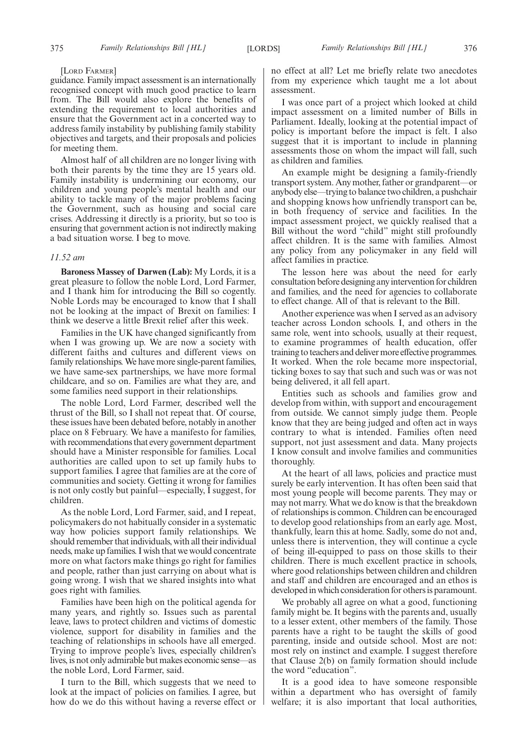#### [LORD FARMER]

guidance. Family impact assessment is an internationally recognised concept with much good practice to learn from. The Bill would also explore the benefits of extending the requirement to local authorities and ensure that the Government act in a concerted way to address family instability by publishing family stability objectives and targets, and their proposals and policies for meeting them.

Almost half of all children are no longer living with both their parents by the time they are 15 years old. Family instability is undermining our economy, our children and young people's mental health and our ability to tackle many of the major problems facing the Government, such as housing and social care crises. Addressing it directly is a priority, but so too is ensuring that government action is not indirectly making a bad situation worse. I beg to move.

#### *11.52 am*

**Baroness Massey of Darwen (Lab):** My Lords, it is a great pleasure to follow the noble Lord, Lord Farmer, and I thank him for introducing the Bill so cogently. Noble Lords may be encouraged to know that I shall not be looking at the impact of Brexit on families: I think we deserve a little Brexit relief after this week.

Families in the UK have changed significantly from when I was growing up. We are now a society with different faiths and cultures and different views on family relationships. We have more single-parent families, we have same-sex partnerships, we have more formal childcare, and so on. Families are what they are, and some families need support in their relationships.

The noble Lord, Lord Farmer, described well the thrust of the Bill, so I shall not repeat that. Of course, these issues have been debated before, notably in another place on 8 February. We have a manifesto for families, with recommendations that every government department should have a Minister responsible for families. Local authorities are called upon to set up family hubs to support families. I agree that families are at the core of communities and society. Getting it wrong for families is not only costly but painful—especially, I suggest, for children.

As the noble Lord, Lord Farmer, said, and I repeat, policymakers do not habitually consider in a systematic way how policies support family relationships. We should remember that individuals, with all their individual needs, make up families. I wish that we would concentrate more on what factors make things go right for families and people, rather than just carrying on about what is going wrong. I wish that we shared insights into what goes right with families.

Families have been high on the political agenda for many years, and rightly so. Issues such as parental leave, laws to protect children and victims of domestic violence, support for disability in families and the teaching of relationships in schools have all emerged. Trying to improve people's lives, especially children's lives, is not only admirable but makes economic sense—as the noble Lord, Lord Farmer, said.

I turn to the Bill, which suggests that we need to look at the impact of policies on families. I agree, but how do we do this without having a reverse effect or no effect at all? Let me briefly relate two anecdotes from my experience which taught me a lot about assessment.

I was once part of a project which looked at child impact assessment on a limited number of Bills in Parliament. Ideally, looking at the potential impact of policy is important before the impact is felt. I also suggest that it is important to include in planning assessments those on whom the impact will fall, such as children and families.

An example might be designing a family-friendly transport system. Any mother, father or grandparent—or anybody else—trying to balance two children, a pushchair and shopping knows how unfriendly transport can be, in both frequency of service and facilities. In the impact assessment project, we quickly realised that a Bill without the word "child" might still profoundly affect children. It is the same with families. Almost any policy from any policymaker in any field will affect families in practice.

The lesson here was about the need for early consultation before designing any intervention for children and families, and the need for agencies to collaborate to effect change. All of that is relevant to the Bill.

Another experience was when I served as an advisory teacher across London schools. I, and others in the same role, went into schools, usually at their request, to examine programmes of health education, offer training to teachers and deliver more effective programmes. It worked. When the role became more inspectorial, ticking boxes to say that such and such was or was not being delivered, it all fell apart.

Entities such as schools and families grow and develop from within, with support and encouragement from outside. We cannot simply judge them. People know that they are being judged and often act in ways contrary to what is intended. Families often need support, not just assessment and data. Many projects I know consult and involve families and communities thoroughly.

At the heart of all laws, policies and practice must surely be early intervention. It has often been said that most young people will become parents. They may or may not marry. What we do know is that the breakdown of relationships is common. Children can be encouraged to develop good relationships from an early age. Most, thankfully, learn this at home. Sadly, some do not and, unless there is intervention, they will continue a cycle of being ill-equipped to pass on those skills to their children. There is much excellent practice in schools, where good relationships between children and children and staff and children are encouraged and an ethos is developed in which consideration for others is paramount.

We probably all agree on what a good, functioning family might be. It begins with the parents and, usually to a lesser extent, other members of the family. Those parents have a right to be taught the skills of good parenting, inside and outside school. Most are not: most rely on instinct and example. I suggest therefore that Clause 2(b) on family formation should include the word "education".

It is a good idea to have someone responsible within a department who has oversight of family welfare; it is also important that local authorities,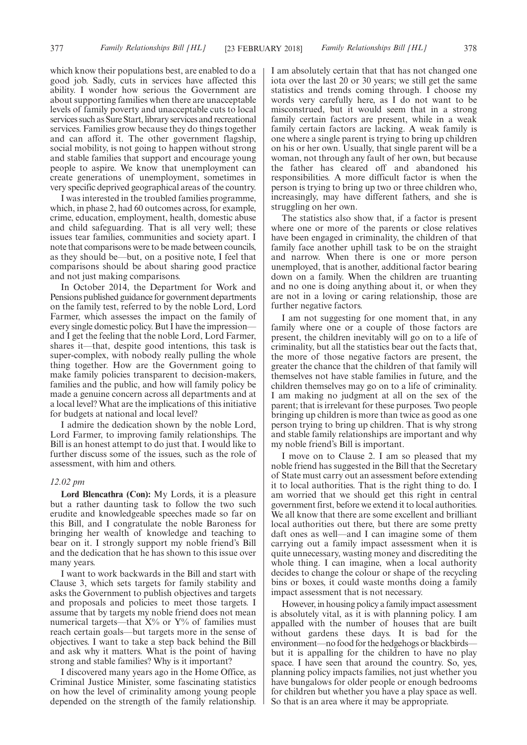which know their populations best, are enabled to do a good job. Sadly, cuts in services have affected this ability. I wonder how serious the Government are about supporting families when there are unacceptable levels of family poverty and unacceptable cuts to local services such as Sure Start, library services and recreational services. Families grow because they do things together and can afford it. The other government flagship, social mobility, is not going to happen without strong and stable families that support and encourage young people to aspire. We know that unemployment can create generations of unemployment, sometimes in very specific deprived geographical areas of the country.

I was interested in the troubled families programme, which, in phase 2, had 60 outcomes across, for example, crime, education, employment, health, domestic abuse and child safeguarding. That is all very well; these issues tear families, communities and society apart. I note that comparisons were to be made between councils, as they should be—but, on a positive note, I feel that comparisons should be about sharing good practice and not just making comparisons.

In October 2014, the Department for Work and Pensions published guidance for government departments on the family test, referred to by the noble Lord, Lord Farmer, which assesses the impact on the family of every single domestic policy. But I have the impression and I get the feeling that the noble Lord, Lord Farmer, shares it—that, despite good intentions, this task is super-complex, with nobody really pulling the whole thing together. How are the Government going to make family policies transparent to decision-makers, families and the public, and how will family policy be made a genuine concern across all departments and at a local level? What are the implications of this initiative for budgets at national and local level?

I admire the dedication shown by the noble Lord, Lord Farmer, to improving family relationships. The Bill is an honest attempt to do just that. I would like to further discuss some of the issues, such as the role of assessment, with him and others.

#### *12.02 pm*

**Lord Blencathra (Con):** My Lords, it is a pleasure but a rather daunting task to follow the two such erudite and knowledgeable speeches made so far on this Bill, and I congratulate the noble Baroness for bringing her wealth of knowledge and teaching to bear on it. I strongly support my noble friend's Bill and the dedication that he has shown to this issue over many years.

I want to work backwards in the Bill and start with Clause 3, which sets targets for family stability and asks the Government to publish objectives and targets and proposals and policies to meet those targets. I assume that by targets my noble friend does not mean numerical targets—that  $X\%$  or  $Y\%$  of families must reach certain goals—but targets more in the sense of objectives. I want to take a step back behind the Bill and ask why it matters. What is the point of having strong and stable families? Why is it important?

I discovered many years ago in the Home Office, as Criminal Justice Minister, some fascinating statistics on how the level of criminality among young people depended on the strength of the family relationship. I am absolutely certain that that has not changed one iota over the last 20 or 30 years; we still get the same statistics and trends coming through. I choose my words very carefully here, as I do not want to be misconstrued, but it would seem that in a strong family certain factors are present, while in a weak family certain factors are lacking. A weak family is one where a single parent is trying to bring up children on his or her own. Usually, that single parent will be a woman, not through any fault of her own, but because the father has cleared off and abandoned his responsibilities. A more difficult factor is when the person is trying to bring up two or three children who, increasingly, may have different fathers, and she is struggling on her own.

The statistics also show that, if a factor is present where one or more of the parents or close relatives have been engaged in criminality, the children of that family face another uphill task to be on the straight and narrow. When there is one or more person unemployed, that is another, additional factor bearing down on a family. When the children are truanting and no one is doing anything about it, or when they are not in a loving or caring relationship, those are further negative factors.

I am not suggesting for one moment that, in any family where one or a couple of those factors are present, the children inevitably will go on to a life of criminality, but all the statistics bear out the facts that, the more of those negative factors are present, the greater the chance that the children of that family will themselves not have stable families in future, and the children themselves may go on to a life of criminality. I am making no judgment at all on the sex of the parent; that is irrelevant for these purposes. Two people bringing up children is more than twice as good as one person trying to bring up children. That is why strong and stable family relationships are important and why my noble friend's Bill is important.

I move on to Clause 2. I am so pleased that my noble friend has suggested in the Bill that the Secretary of State must carry out an assessment before extending it to local authorities. That is the right thing to do. I am worried that we should get this right in central government first, before we extend it to local authorities. We all know that there are some excellent and brilliant local authorities out there, but there are some pretty daft ones as well—and I can imagine some of them carrying out a family impact assessment when it is quite unnecessary, wasting money and discrediting the whole thing. I can imagine, when a local authority decides to change the colour or shape of the recycling bins or boxes, it could waste months doing a family impact assessment that is not necessary.

However, in housing policy a family impact assessment is absolutely vital, as it is with planning policy. I am appalled with the number of houses that are built without gardens these days. It is bad for the environment—no food for the hedgehogs or blackbirds but it is appalling for the children to have no play space. I have seen that around the country. So, yes, planning policy impacts families, not just whether you have bungalows for older people or enough bedrooms for children but whether you have a play space as well. So that is an area where it may be appropriate.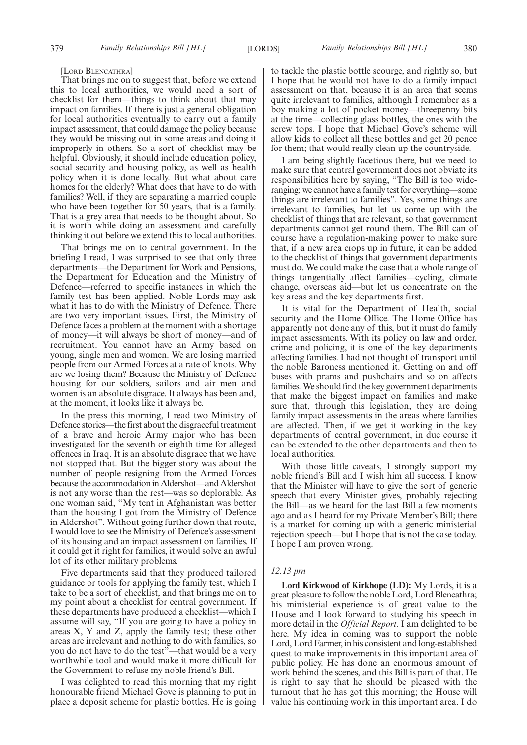#### [LORD BLENCATHRA]

That brings me on to suggest that, before we extend this to local authorities, we would need a sort of checklist for them—things to think about that may impact on families. If there is just a general obligation for local authorities eventually to carry out a family impact assessment, that could damage the policy because they would be missing out in some areas and doing it improperly in others. So a sort of checklist may be helpful. Obviously, it should include education policy, social security and housing policy, as well as health policy when it is done locally. But what about care homes for the elderly? What does that have to do with families? Well, if they are separating a married couple who have been together for 50 years, that is a family. That is a grey area that needs to be thought about. So it is worth while doing an assessment and carefully thinking it out before we extend this to local authorities.

That brings me on to central government. In the briefing I read, I was surprised to see that only three departments—the Department for Work and Pensions, the Department for Education and the Ministry of Defence—referred to specific instances in which the family test has been applied. Noble Lords may ask what it has to do with the Ministry of Defence. There are two very important issues. First, the Ministry of Defence faces a problem at the moment with a shortage of money—it will always be short of money—and of recruitment. You cannot have an Army based on young, single men and women. We are losing married people from our Armed Forces at a rate of knots. Why are we losing them? Because the Ministry of Defence housing for our soldiers, sailors and air men and women is an absolute disgrace. It always has been and, at the moment, it looks like it always be.

In the press this morning, I read two Ministry of Defence stories—the first about the disgraceful treatment of a brave and heroic Army major who has been investigated for the seventh or eighth time for alleged offences in Iraq. It is an absolute disgrace that we have not stopped that. But the bigger story was about the number of people resigning from the Armed Forces because the accommodation in Aldershot—and Aldershot is not any worse than the rest—was so deplorable. As one woman said, "My tent in Afghanistan was better than the housing I got from the Ministry of Defence in Aldershot". Without going further down that route, I would love to see the Ministry of Defence's assessment of its housing and an impact assessment on families. If it could get it right for families, it would solve an awful lot of its other military problems.

Five departments said that they produced tailored guidance or tools for applying the family test, which I take to be a sort of checklist, and that brings me on to my point about a checklist for central government. If these departments have produced a checklist—which I assume will say, "If you are going to have a policy in areas X, Y and Z, apply the family test; these other areas are irrelevant and nothing to do with families, so you do not have to do the test"—that would be a very worthwhile tool and would make it more difficult for the Government to refuse my noble friend's Bill.

I was delighted to read this morning that my right honourable friend Michael Gove is planning to put in place a deposit scheme for plastic bottles. He is going to tackle the plastic bottle scourge, and rightly so, but I hope that he would not have to do a family impact assessment on that, because it is an area that seems quite irrelevant to families, although I remember as a boy making a lot of pocket money—threepenny bits at the time—collecting glass bottles, the ones with the screw tops. I hope that Michael Gove's scheme will allow kids to collect all these bottles and get 20 pence for them; that would really clean up the countryside.

I am being slightly facetious there, but we need to make sure that central government does not obviate its responsibilities here by saying, "The Bill is too wideranging; we cannot have a family test for everything—some things are irrelevant to families". Yes, some things are irrelevant to families, but let us come up with the checklist of things that are relevant, so that government departments cannot get round them. The Bill can of course have a regulation-making power to make sure that, if a new area crops up in future, it can be added to the checklist of things that government departments must do. We could make the case that a whole range of things tangentially affect families—cycling, climate change, overseas aid—but let us concentrate on the key areas and the key departments first.

It is vital for the Department of Health, social security and the Home Office. The Home Office has apparently not done any of this, but it must do family impact assessments. With its policy on law and order, crime and policing, it is one of the key departments affecting families. I had not thought of transport until the noble Baroness mentioned it. Getting on and off buses with prams and pushchairs and so on affects families. We should find the key government departments that make the biggest impact on families and make sure that, through this legislation, they are doing family impact assessments in the areas where families are affected. Then, if we get it working in the key departments of central government, in due course it can be extended to the other departments and then to local authorities.

With those little caveats, I strongly support my noble friend's Bill and I wish him all success. I know that the Minister will have to give the sort of generic speech that every Minister gives, probably rejecting the Bill—as we heard for the last Bill a few moments ago and as I heard for my Private Member's Bill; there is a market for coming up with a generic ministerial rejection speech—but I hope that is not the case today. I hope I am proven wrong.

#### *12.13 pm*

**Lord Kirkwood of Kirkhope (LD):** My Lords, it is a great pleasure to follow the noble Lord, Lord Blencathra; his ministerial experience is of great value to the House and I look forward to studying his speech in more detail in the *Official Report*. I am delighted to be here. My idea in coming was to support the noble Lord, Lord Farmer, in his consistent and long-established quest to make improvements in this important area of public policy. He has done an enormous amount of work behind the scenes, and this Bill is part of that. He is right to say that he should be pleased with the turnout that he has got this morning; the House will value his continuing work in this important area. I do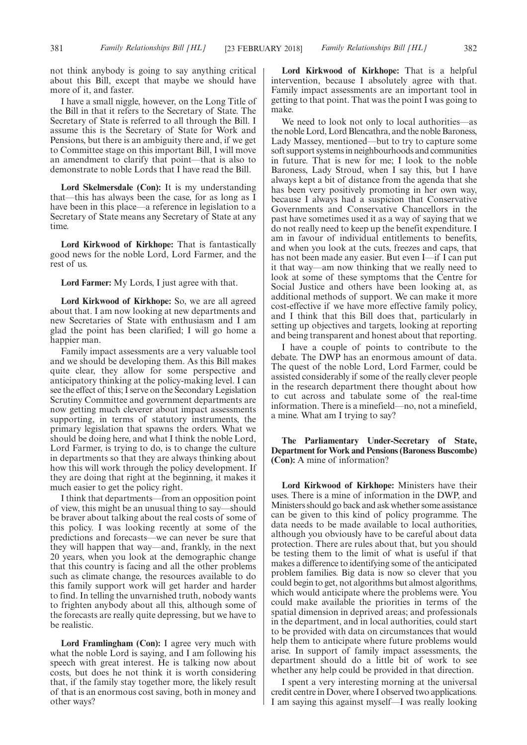not think anybody is going to say anything critical about this Bill, except that maybe we should have more of it, and faster.

I have a small niggle, however, on the Long Title of the Bill in that it refers to the Secretary of State. The Secretary of State is referred to all through the Bill. I assume this is the Secretary of State for Work and Pensions, but there is an ambiguity there and, if we get to Committee stage on this important Bill, I will move an amendment to clarify that point—that is also to demonstrate to noble Lords that I have read the Bill.

**Lord Skelmersdale (Con):** It is my understanding that—this has always been the case, for as long as I have been in this place—a reference in legislation to a Secretary of State means any Secretary of State at any time.

**Lord Kirkwood of Kirkhope:** That is fantastically good news for the noble Lord, Lord Farmer, and the rest of us.

**Lord Farmer:** My Lords, I just agree with that.

**Lord Kirkwood of Kirkhope:** So, we are all agreed about that. I am now looking at new departments and new Secretaries of State with enthusiasm and I am glad the point has been clarified; I will go home a happier man.

Family impact assessments are a very valuable tool and we should be developing them. As this Bill makes quite clear, they allow for some perspective and anticipatory thinking at the policy-making level. I can see the effect of this; I serve on the Secondary Legislation Scrutiny Committee and government departments are now getting much cleverer about impact assessments supporting, in terms of statutory instruments, the primary legislation that spawns the orders. What we should be doing here, and what I think the noble Lord, Lord Farmer, is trying to do, is to change the culture in departments so that they are always thinking about how this will work through the policy development. If they are doing that right at the beginning, it makes it much easier to get the policy right.

I think that departments—from an opposition point of view, this might be an unusual thing to say—should be braver about talking about the real costs of some of this policy. I was looking recently at some of the predictions and forecasts—we can never be sure that they will happen that way—and, frankly, in the next 20 years, when you look at the demographic change that this country is facing and all the other problems such as climate change, the resources available to do this family support work will get harder and harder to find. In telling the unvarnished truth, nobody wants to frighten anybody about all this, although some of the forecasts are really quite depressing, but we have to be realistic.

Lord Framlingham (Con): I agree very much with what the noble Lord is saying, and I am following his speech with great interest. He is talking now about costs, but does he not think it is worth considering that, if the family stay together more, the likely result of that is an enormous cost saving, both in money and other ways?

**Lord Kirkwood of Kirkhope:** That is a helpful intervention, because I absolutely agree with that. Family impact assessments are an important tool in getting to that point. That was the point I was going to make.

We need to look not only to local authorities—as the noble Lord, Lord Blencathra, and the noble Baroness, Lady Massey, mentioned—but to try to capture some soft support systems in neighbourhoods and communities in future. That is new for me; I look to the noble Baroness, Lady Stroud, when I say this, but I have always kept a bit of distance from the agenda that she has been very positively promoting in her own way, because I always had a suspicion that Conservative Governments and Conservative Chancellors in the past have sometimes used it as a way of saying that we do not really need to keep up the benefit expenditure. I am in favour of individual entitlements to benefits, and when you look at the cuts, freezes and caps, that has not been made any easier. But even I—if I can put it that way—am now thinking that we really need to look at some of these symptoms that the Centre for Social Justice and others have been looking at, as additional methods of support. We can make it more cost-effective if we have more effective family policy, and I think that this Bill does that, particularly in setting up objectives and targets, looking at reporting and being transparent and honest about that reporting.

I have a couple of points to contribute to the debate. The DWP has an enormous amount of data. The quest of the noble Lord, Lord Farmer, could be assisted considerably if some of the really clever people in the research department there thought about how to cut across and tabulate some of the real-time information. There is a minefield—no, not a minefield, a mine. What am I trying to say?

**The Parliamentary Under-Secretary of State, Department for Work and Pensions (Baroness Buscombe) (Con):** A mine of information?

**Lord Kirkwood of Kirkhope:** Ministers have their uses. There is a mine of information in the DWP, and Ministers should go back and ask whether some assistance can be given to this kind of policy programme. The data needs to be made available to local authorities, although you obviously have to be careful about data protection. There are rules about that, but you should be testing them to the limit of what is useful if that makes a difference to identifying some of the anticipated problem families. Big data is now so clever that you could begin to get, not algorithms but almost algorithms, which would anticipate where the problems were. You could make available the priorities in terms of the spatial dimension in deprived areas; and professionals in the department, and in local authorities, could start to be provided with data on circumstances that would help them to anticipate where future problems would arise. In support of family impact assessments, the department should do a little bit of work to see whether any help could be provided in that direction.

I spent a very interesting morning at the universal credit centre in Dover, where I observed two applications. I am saying this against myself—I was really looking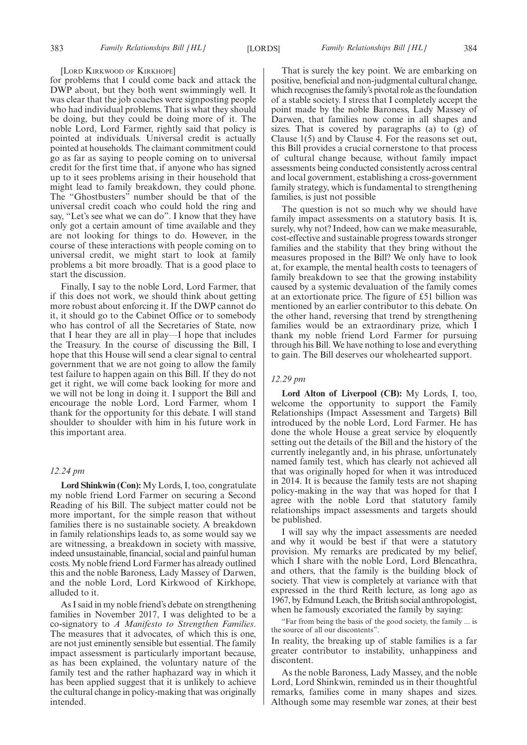#### [LORD KIRKWOOD OF KIRKHOPE]

for problems that I could come back and attack the DWP about, but they both went swimmingly well. It was clear that the job coaches were signposting people who had individual problems. That is what they should be doing, but they could be doing more of it. The noble Lord, Lord Farmer, rightly said that policy is pointed at individuals. Universal credit is actually pointed at households. The claimant commitment could go as far as saying to people coming on to universal credit for the first time that, if anyone who has signed up to it sees problems arising in their household that might lead to family breakdown, they could phone. The "Ghostbusters" number should be that of the universal credit coach who could hold the ring and say, "Let's see what we can do". I know that they have only got a certain amount of time available and they are not looking for things to do. However, in the course of these interactions with people coming on to universal credit, we might start to look at family problems a bit more broadly. That is a good place to start the discussion.

Finally, I say to the noble Lord, Lord Farmer, that if this does not work, we should think about getting more robust about enforcing it. If the DWP cannot do it, it should go to the Cabinet Office or to somebody who has control of all the Secretaries of State, now that I hear they are all in play—I hope that includes the Treasury. In the course of discussing the Bill, I hope that this House will send a clear signal to central government that we are not going to allow the family test failure to happen again on this Bill. If they do not get it right, we will come back looking for more and we will not be long in doing it. I support the Bill and encourage the noble Lord, Lord Farmer, whom I thank for the opportunity for this debate. I will stand shoulder to shoulder with him in his future work in this important area.

#### *12.24 pm*

**Lord Shinkwin (Con):** My Lords, I, too, congratulate my noble friend Lord Farmer on securing a Second Reading of his Bill. The subject matter could not be more important, for the simple reason that without families there is no sustainable society. A breakdown in family relationships leads to, as some would say we are witnessing, a breakdown in society with massive, indeed unsustainable, financial, social and painful human costs. My noble friend Lord Farmer has already outlined this and the noble Baroness, Lady Massey of Darwen, and the noble Lord, Lord Kirkwood of Kirkhope, alluded to it.

As I said in my noble friend's debate on strengthening families in November 2017, I was delighted to be a co-signatory to *A Manifesto to Strengthen Families*. The measures that it advocates, of which this is one, are not just eminently sensible but essential. The family impact assessment is particularly important because, as has been explained, the voluntary nature of the family test and the rather haphazard way in which it has been applied suggest that it is unlikely to achieve the cultural change in policy-making that was originally intended.

That is surely the key point. We are embarking on positive, beneficial and non-judgmental cultural change, which recognises the family's pivotal role as the foundation of a stable society. I stress that I completely accept the point made by the noble Baroness, Lady Massey of Darwen, that families now come in all shapes and sizes. That is covered by paragraphs (a) to (g) of Clause 1(5) and by Clause 4. For the reasons set out, this Bill provides a crucial cornerstone to that process of cultural change because, without family impact assessments being conducted consistently across central and local government, establishing a cross-government family strategy, which is fundamental to strengthening families, is just not possible

The question is not so much why we should have family impact assessments on a statutory basis. It is, surely, why not? Indeed, how can we make measurable, cost-effective and sustainable progress towards stronger families and the stability that they bring without the measures proposed in the Bill? We only have to look at, for example, the mental health costs to teenagers of family breakdown to see that the growing instability caused by a systemic devaluation of the family comes at an extortionate price. The figure of £51 billion was mentioned by an earlier contributor to this debate. On the other hand, reversing that trend by strengthening families would be an extraordinary prize, which I thank my noble friend Lord Farmer for pursuing through his Bill. We have nothing to lose and everything to gain. The Bill deserves our wholehearted support.

#### *12.29 pm*

**Lord Alton of Liverpool (CB):** My Lords, I, too, welcome the opportunity to support the Family Relationships (Impact Assessment and Targets) Bill introduced by the noble Lord, Lord Farmer. He has done the whole House a great service by eloquently setting out the details of the Bill and the history of the currently inelegantly and, in his phrase, unfortunately named family test, which has clearly not achieved all that was originally hoped for when it was introduced in 2014. It is because the family tests are not shaping policy-making in the way that was hoped for that I agree with the noble Lord that statutory family relationships impact assessments and targets should be published.

I will say why the impact assessments are needed and why it would be best if that were a statutory provision. My remarks are predicated by my belief, which I share with the noble Lord, Lord Blencathra, and others, that the family is the building block of society. That view is completely at variance with that expressed in the third Reith lecture, as long ago as 1967, by Edmund Leach, the British social anthropologist, when he famously excoriated the family by saying:

"Far from being the basis of the good society, the family ... is the source of all our discontents".

In reality, the breaking up of stable families is a far greater contributor to instability, unhappiness and discontent.

As the noble Baroness, Lady Massey, and the noble Lord, Lord Shinkwin, reminded us in their thoughtful remarks, families come in many shapes and sizes. Although some may resemble war zones, at their best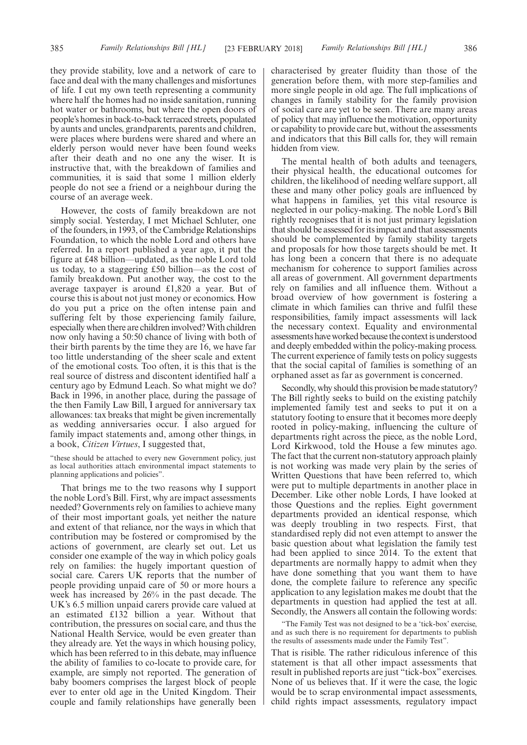they provide stability, love and a network of care to face and deal with the many challenges and misfortunes of life. I cut my own teeth representing a community where half the homes had no inside sanitation, running hot water or bathrooms, but where the open doors of people's homes in back-to-back terraced streets, populated by aunts and uncles, grandparents, parents and children, were places where burdens were shared and where an elderly person would never have been found weeks after their death and no one any the wiser. It is instructive that, with the breakdown of families and communities, it is said that some 1 million elderly people do not see a friend or a neighbour during the course of an average week.

However, the costs of family breakdown are not simply social. Yesterday, I met Michael Schluter, one of the founders, in 1993, of the Cambridge Relationships Foundation, to which the noble Lord and others have referred. In a report published a year ago, it put the figure at £48 billion—updated, as the noble Lord told us today, to a staggering £50 billion—as the cost of family breakdown. Put another way, the cost to the average taxpayer is around £1,820 a year. But of course this is about not just money or economics. How do you put a price on the often intense pain and suffering felt by those experiencing family failure, especially when there are children involved? With children now only having a 50:50 chance of living with both of their birth parents by the time they are 16, we have far too little understanding of the sheer scale and extent of the emotional costs. Too often, it is this that is the real source of distress and discontent identified half a century ago by Edmund Leach. So what might we do? Back in 1996, in another place, during the passage of the then Family Law Bill, I argued for anniversary tax allowances: tax breaks that might be given incrementally as wedding anniversaries occur. I also argued for family impact statements and, among other things, in a book, *Citizen Virtues*, I suggested that,

"these should be attached to every new Government policy, just as local authorities attach environmental impact statements to planning applications and policies".

That brings me to the two reasons why I support the noble Lord's Bill. First, why are impact assessments needed? Governments rely on families to achieve many of their most important goals, yet neither the nature and extent of that reliance, nor the ways in which that contribution may be fostered or compromised by the actions of government, are clearly set out. Let us consider one example of the way in which policy goals rely on families: the hugely important question of social care. Carers UK reports that the number of people providing unpaid care of 50 or more hours a week has increased by 26% in the past decade. The UK's 6.5 million unpaid carers provide care valued at an estimated £132 billion a year. Without that contribution, the pressures on social care, and thus the National Health Service, would be even greater than they already are. Yet the ways in which housing policy, which has been referred to in this debate, may influence the ability of families to co-locate to provide care, for example, are simply not reported. The generation of baby boomers comprises the largest block of people ever to enter old age in the United Kingdom. Their couple and family relationships have generally been

characterised by greater fluidity than those of the generation before them, with more step-families and more single people in old age. The full implications of changes in family stability for the family provision of social care are yet to be seen. There are many areas of policy that may influence the motivation, opportunity or capability to provide care but, without the assessments and indicators that this Bill calls for, they will remain hidden from view.

The mental health of both adults and teenagers, their physical health, the educational outcomes for children, the likelihood of needing welfare support, all these and many other policy goals are influenced by what happens in families, yet this vital resource is neglected in our policy-making. The noble Lord's Bill rightly recognises that it is not just primary legislation that should be assessed for its impact and that assessments should be complemented by family stability targets and proposals for how those targets should be met. It has long been a concern that there is no adequate mechanism for coherence to support families across all areas of government. All government departments rely on families and all influence them. Without a broad overview of how government is fostering a climate in which families can thrive and fulfil these responsibilities, family impact assessments will lack the necessary context. Equality and environmental assessments have worked because the context is understood and deeply embedded within the policy-making process. The current experience of family tests on policy suggests that the social capital of families is something of an orphaned asset as far as government is concerned.

Secondly, why should this provision be made statutory? The Bill rightly seeks to build on the existing patchily implemented family test and seeks to put it on a statutory footing to ensure that it becomes more deeply rooted in policy-making, influencing the culture of departments right across the piece, as the noble Lord, Lord Kirkwood, told the House a few minutes ago. The fact that the current non-statutory approach plainly is not working was made very plain by the series of Written Questions that have been referred to, which were put to multiple departments in another place in December. Like other noble Lords, I have looked at those Questions and the replies. Eight government departments provided an identical response, which was deeply troubling in two respects. First, that standardised reply did not even attempt to answer the basic question about what legislation the family test had been applied to since 2014. To the extent that departments are normally happy to admit when they have done something that you want them to have done, the complete failure to reference any specific application to any legislation makes me doubt that the departments in question had applied the test at all. Secondly, the Answers all contain the following words:

"The Family Test was not designed to be a 'tick-box' exercise, and as such there is no requirement for departments to publish the results of assessments made under the Family Test".

That is risible. The rather ridiculous inference of this statement is that all other impact assessments that result in published reports are just "tick-box" exercises. None of us believes that. If it were the case, the logic would be to scrap environmental impact assessments, child rights impact assessments, regulatory impact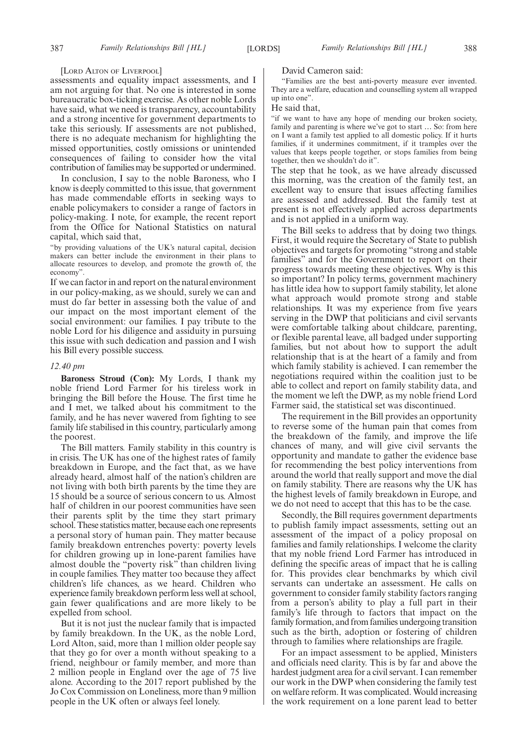#### [LORD ALTON OF LIVERPOOL]

assessments and equality impact assessments, and I am not arguing for that. No one is interested in some bureaucratic box-ticking exercise. As other noble Lords have said, what we need is transparency, accountability and a strong incentive for government departments to take this seriously. If assessments are not published, there is no adequate mechanism for highlighting the missed opportunities, costly omissions or unintended consequences of failing to consider how the vital contribution of families may be supported or undermined.

In conclusion, I say to the noble Baroness, who I know is deeply committed to this issue, that government has made commendable efforts in seeking ways to enable policymakers to consider a range of factors in policy-making. I note, for example, the recent report from the Office for National Statistics on natural capital, which said that,

"by providing valuations of the UK's natural capital, decision makers can better include the environment in their plans to allocate resources to develop, and promote the growth of, the economy".

If we can factor in and report on the natural environment in our policy-making, as we should, surely we can and must do far better in assessing both the value of and our impact on the most important element of the social environment: our families. I pay tribute to the noble Lord for his diligence and assiduity in pursuing this issue with such dedication and passion and I wish his Bill every possible success.

#### *12.40 pm*

**Baroness Stroud (Con):** My Lords, I thank my noble friend Lord Farmer for his tireless work in bringing the Bill before the House. The first time he and I met, we talked about his commitment to the family, and he has never wavered from fighting to see family life stabilised in this country, particularly among the poorest.

The Bill matters. Family stability in this country is in crisis. The UK has one of the highest rates of family breakdown in Europe, and the fact that, as we have already heard, almost half of the nation's children are not living with both birth parents by the time they are 15 should be a source of serious concern to us. Almost half of children in our poorest communities have seen their parents split by the time they start primary school. These statistics matter, because each one represents a personal story of human pain. They matter because family breakdown entrenches poverty: poverty levels for children growing up in lone-parent families have almost double the "poverty risk" than children living in couple families. They matter too because they affect children's life chances, as we heard. Children who experience family breakdown perform less well at school, gain fewer qualifications and are more likely to be expelled from school.

But it is not just the nuclear family that is impacted by family breakdown. In the UK, as the noble Lord, Lord Alton, said, more than 1 million older people say that they go for over a month without speaking to a friend, neighbour or family member, and more than 2 million people in England over the age of 75 live alone. According to the 2017 report published by the Jo Cox Commission on Loneliness, more than 9 million people in the UK often or always feel lonely.

#### David Cameron said:

"Families are the best anti-poverty measure ever invented. They are a welfare, education and counselling system all wrapped up into one".

#### He said that,

"if we want to have any hope of mending our broken society, family and parenting is where we've got to start … So: from here on I want a family test applied to all domestic policy. If it hurts families, if it undermines commitment, if it tramples over the values that keeps people together, or stops families from being together, then we shouldn't do it".

The step that he took, as we have already discussed this morning, was the creation of the family test, an excellent way to ensure that issues affecting families are assessed and addressed. But the family test at present is not effectively applied across departments and is not applied in a uniform way.

The Bill seeks to address that by doing two things. First, it would require the Secretary of State to publish objectives and targets for promoting "strong and stable families" and for the Government to report on their progress towards meeting these objectives. Why is this so important? In policy terms, government machinery has little idea how to support family stability, let alone what approach would promote strong and stable relationships. It was my experience from five years serving in the DWP that politicians and civil servants were comfortable talking about childcare, parenting, or flexible parental leave, all badged under supporting families, but not about how to support the adult relationship that is at the heart of a family and from which family stability is achieved. I can remember the negotiations required within the coalition just to be able to collect and report on family stability data, and the moment we left the DWP, as my noble friend Lord Farmer said, the statistical set was discontinued.

The requirement in the Bill provides an opportunity to reverse some of the human pain that comes from the breakdown of the family, and improve the life chances of many, and will give civil servants the opportunity and mandate to gather the evidence base for recommending the best policy interventions from around the world that really support and move the dial on family stability. There are reasons why the UK has the highest levels of family breakdown in Europe, and we do not need to accept that this has to be the case.

Secondly, the Bill requires government departments to publish family impact assessments, setting out an assessment of the impact of a policy proposal on families and family relationships. I welcome the clarity that my noble friend Lord Farmer has introduced in defining the specific areas of impact that he is calling for. This provides clear benchmarks by which civil servants can undertake an assessment. He calls on government to consider family stability factors ranging from a person's ability to play a full part in their family's life through to factors that impact on the family formation, and from families undergoing transition such as the birth, adoption or fostering of children through to families where relationships are fragile.

For an impact assessment to be applied, Ministers and officials need clarity. This is by far and above the hardest judgment area for a civil servant. I can remember our work in the DWP when considering the family test on welfare reform. It was complicated. Would increasing the work requirement on a lone parent lead to better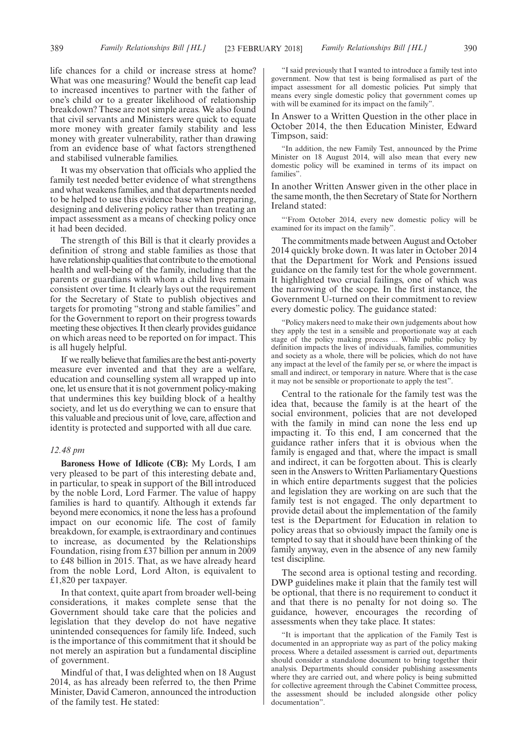life chances for a child or increase stress at home? What was one measuring? Would the benefit cap lead to increased incentives to partner with the father of one's child or to a greater likelihood of relationship breakdown? These are not simple areas. We also found that civil servants and Ministers were quick to equate more money with greater family stability and less money with greater vulnerability, rather than drawing from an evidence base of what factors strengthened and stabilised vulnerable families.

It was my observation that officials who applied the family test needed better evidence of what strengthens and what weakens families, and that departments needed to be helped to use this evidence base when preparing, designing and delivering policy rather than treating an impact assessment as a means of checking policy once it had been decided.

The strength of this Bill is that it clearly provides a definition of strong and stable families as those that have relationship qualities that contribute to the emotional health and well-being of the family, including that the parents or guardians with whom a child lives remain consistent over time. It clearly lays out the requirement for the Secretary of State to publish objectives and targets for promoting "strong and stable families" and for the Government to report on their progress towards meeting these objectives. It then clearly provides guidance on which areas need to be reported on for impact. This is all hugely helpful.

If we really believe that families are the best anti-poverty measure ever invented and that they are a welfare, education and counselling system all wrapped up into one, let us ensure that it is not government policy-making that undermines this key building block of a healthy society, and let us do everything we can to ensure that this valuable and precious unit of love, care, affection and identity is protected and supported with all due care.

#### *12.48 pm*

**Baroness Howe of Idlicote (CB):** My Lords, I am very pleased to be part of this interesting debate and, in particular, to speak in support of the Bill introduced by the noble Lord, Lord Farmer. The value of happy families is hard to quantify. Although it extends far beyond mere economics, it none the less has a profound impact on our economic life. The cost of family breakdown, for example, is extraordinary and continues to increase, as documented by the Relationships Foundation, rising from £37 billion per annum in 2009 to £48 billion in 2015. That, as we have already heard from the noble Lord, Lord Alton, is equivalent to £1,820 per taxpayer.

In that context, quite apart from broader well-being considerations, it makes complete sense that the Government should take care that the policies and legislation that they develop do not have negative unintended consequences for family life. Indeed, such is the importance of this commitment that it should be not merely an aspiration but a fundamental discipline of government.

Mindful of that, I was delighted when on 18 August 2014, as has already been referred to, the then Prime Minister, David Cameron, announced the introduction of the family test. He stated:

"I said previously that I wanted to introduce a family test into government. Now that test is being formalised as part of the impact assessment for all domestic policies. Put simply that means every single domestic policy that government comes up with will be examined for its impact on the family".

In Answer to a Written Question in the other place in October 2014, the then Education Minister, Edward Timpson, said:

"In addition, the new Family Test, announced by the Prime Minister on 18 August 2014, will also mean that every new domestic policy will be examined in terms of its impact on families".

In another Written Answer given in the other place in the same month, the then Secretary of State for Northern Ireland stated:

"'From October 2014, every new domestic policy will be examined for its impact on the family".

The commitments made between August and October 2014 quickly broke down. It was later in October 2014 that the Department for Work and Pensions issued guidance on the family test for the whole government. It highlighted two crucial failings, one of which was the narrowing of the scope. In the first instance, the Government U-turned on their commitment to review every domestic policy. The guidance stated:

"Policy makers need to make their own judgements about how they apply the test in a sensible and proportionate way at each stage of the policy making process ... While public policy by definition impacts the lives of individuals, families, communities and society as a whole, there will be policies, which do not have any impact at the level of the family per se, or where the impact is small and indirect, or temporary in nature. Where that is the case it may not be sensible or proportionate to apply the test".

Central to the rationale for the family test was the idea that, because the family is at the heart of the social environment, policies that are not developed with the family in mind can none the less end up impacting it. To this end, I am concerned that the guidance rather infers that it is obvious when the family is engaged and that, where the impact is small and indirect, it can be forgotten about. This is clearly seen in the Answers to Written Parliamentary Questions in which entire departments suggest that the policies and legislation they are working on are such that the family test is not engaged. The only department to provide detail about the implementation of the family test is the Department for Education in relation to policy areas that so obviously impact the family one is tempted to say that it should have been thinking of the family anyway, even in the absence of any new family test discipline.

The second area is optional testing and recording. DWP guidelines make it plain that the family test will be optional, that there is no requirement to conduct it and that there is no penalty for not doing so. The guidance, however, encourages the recording of assessments when they take place. It states:

"It is important that the application of the Family Test is documented in an appropriate way as part of the policy making process. Where a detailed assessment is carried out, departments should consider a standalone document to bring together their analysis. Departments should consider publishing assessments where they are carried out, and where policy is being submitted for collective agreement through the Cabinet Committee process, the assessment should be included alongside other policy documentation".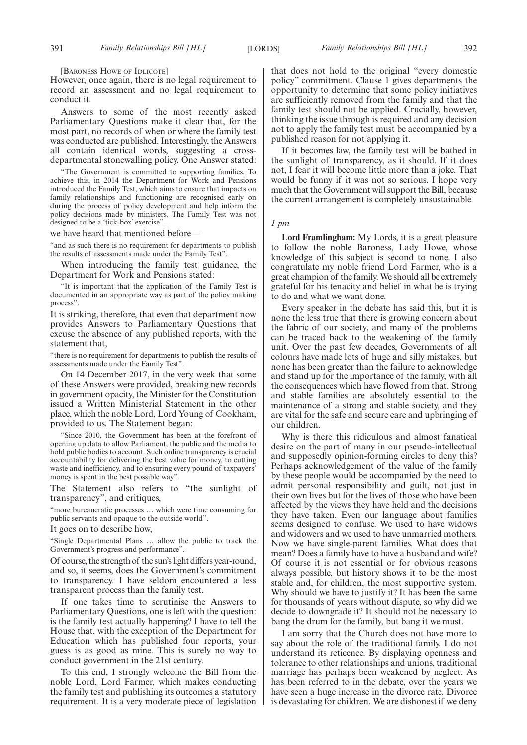[BARONESS HOWE OF IDLICOTE]

However, once again, there is no legal requirement to record an assessment and no legal requirement to conduct it.

Answers to some of the most recently asked Parliamentary Questions make it clear that, for the most part, no records of when or where the family test was conducted are published. Interestingly, the Answers all contain identical words, suggesting a crossdepartmental stonewalling policy. One Answer stated:

"The Government is committed to supporting families. To achieve this, in 2014 the Department for Work and Pensions introduced the Family Test, which aims to ensure that impacts on family relationships and functioning are recognised early on during the process of policy development and help inform the policy decisions made by ministers. The Family Test was not designed to be a 'tick-box' exercise"—

we have heard that mentioned before—

"and as such there is no requirement for departments to publish the results of assessments made under the Family Test".

When introducing the family test guidance, the Department for Work and Pensions stated:

"It is important that the application of the Family Test is documented in an appropriate way as part of the policy making process".

It is striking, therefore, that even that department now provides Answers to Parliamentary Questions that excuse the absence of any published reports, with the statement that,

"there is no requirement for departments to publish the results of assessments made under the Family Test".

On 14 December 2017, in the very week that some of these Answers were provided, breaking new records in government opacity, the Minister for the Constitution issued a Written Ministerial Statement in the other place, which the noble Lord, Lord Young of Cookham, provided to us. The Statement began:

"Since 2010, the Government has been at the forefront of opening up data to allow Parliament, the public and the media to hold public bodies to account. Such online transparency is crucial accountability for delivering the best value for money, to cutting waste and inefficiency, and to ensuring every pound of taxpayers' money is spent in the best possible way".

The Statement also refers to "the sunlight of transparency", and critiques,

"more bureaucratic processes … which were time consuming for public servants and opaque to the outside world".

It goes on to describe how,

"Single Departmental Plans … allow the public to track the Government's progress and performance".

Of course, the strength of the sun's light differs year-round, and so, it seems, does the Government's commitment to transparency. I have seldom encountered a less transparent process than the family test.

If one takes time to scrutinise the Answers to Parliamentary Questions, one is left with the question: is the family test actually happening? I have to tell the House that, with the exception of the Department for Education which has published four reports, your guess is as good as mine. This is surely no way to conduct government in the 21st century.

To this end, I strongly welcome the Bill from the noble Lord, Lord Farmer, which makes conducting the family test and publishing its outcomes a statutory requirement. It is a very moderate piece of legislation that does not hold to the original "every domestic policy" commitment. Clause 1 gives departments the opportunity to determine that some policy initiatives are sufficiently removed from the family and that the family test should not be applied. Crucially, however, thinking the issue through is required and any decision not to apply the family test must be accompanied by a published reason for not applying it.

If it becomes law, the family test will be bathed in the sunlight of transparency, as it should. If it does not, I fear it will become little more than a joke. That would be funny if it was not so serious. I hope very much that the Government will support the Bill, because the current arrangement is completely unsustainable.

#### *1 pm*

**Lord Framlingham:** My Lords, it is a great pleasure to follow the noble Baroness, Lady Howe, whose knowledge of this subject is second to none. I also congratulate my noble friend Lord Farmer, who is a great champion of the family. We should all be extremely grateful for his tenacity and belief in what he is trying to do and what we want done.

Every speaker in the debate has said this, but it is none the less true that there is growing concern about the fabric of our society, and many of the problems can be traced back to the weakening of the family unit. Over the past few decades, Governments of all colours have made lots of huge and silly mistakes, but none has been greater than the failure to acknowledge and stand up for the importance of the family, with all the consequences which have flowed from that. Strong and stable families are absolutely essential to the maintenance of a strong and stable society, and they are vital for the safe and secure care and upbringing of our children.

Why is there this ridiculous and almost fanatical desire on the part of many in our pseudo-intellectual and supposedly opinion-forming circles to deny this? Perhaps acknowledgement of the value of the family by these people would be accompanied by the need to admit personal responsibility and guilt, not just in their own lives but for the lives of those who have been affected by the views they have held and the decisions they have taken. Even our language about families seems designed to confuse. We used to have widows and widowers and we used to have unmarried mothers. Now we have single-parent families. What does that mean? Does a family have to have a husband and wife? Of course it is not essential or for obvious reasons always possible, but history shows it to be the most stable and, for children, the most supportive system. Why should we have to justify it? It has been the same for thousands of years without dispute, so why did we decide to downgrade it? It should not be necessary to bang the drum for the family, but bang it we must.

I am sorry that the Church does not have more to say about the role of the traditional family. I do not understand its reticence. By displaying openness and tolerance to other relationships and unions, traditional marriage has perhaps been weakened by neglect. As has been referred to in the debate, over the years we have seen a huge increase in the divorce rate. Divorce is devastating for children. We are dishonest if we deny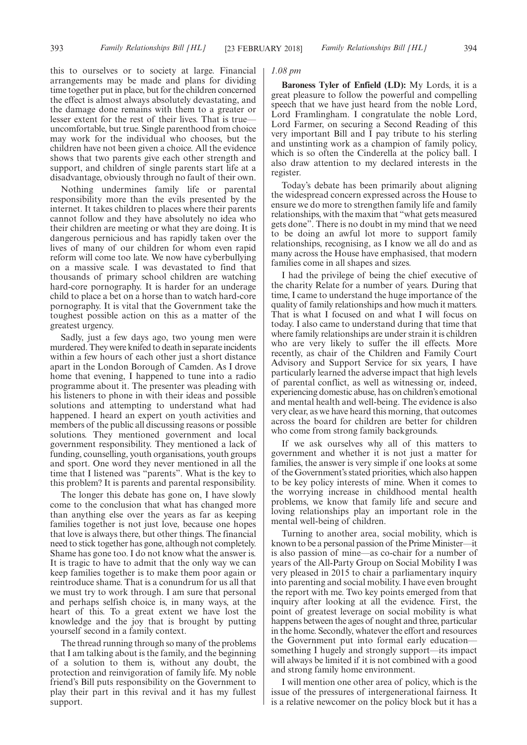this to ourselves or to society at large. Financial arrangements may be made and plans for dividing time together put in place, but for the children concerned the effect is almost always absolutely devastating, and the damage done remains with them to a greater or lesser extent for the rest of their lives. That is true uncomfortable, but true. Single parenthood from choice may work for the individual who chooses, but the children have not been given a choice. All the evidence shows that two parents give each other strength and support, and children of single parents start life at a disadvantage, obviously through no fault of their own.

Nothing undermines family life or parental responsibility more than the evils presented by the internet. It takes children to places where their parents cannot follow and they have absolutely no idea who their children are meeting or what they are doing. It is dangerous pernicious and has rapidly taken over the lives of many of our children for whom even rapid reform will come too late. We now have cyberbullying on a massive scale. I was devastated to find that thousands of primary school children are watching hard-core pornography. It is harder for an underage child to place a bet on a horse than to watch hard-core pornography. It is vital that the Government take the toughest possible action on this as a matter of the greatest urgency.

Sadly, just a few days ago, two young men were murdered. They were knifed to death in separate incidents within a few hours of each other just a short distance apart in the London Borough of Camden. As I drove home that evening, I happened to tune into a radio programme about it. The presenter was pleading with his listeners to phone in with their ideas and possible solutions and attempting to understand what had happened. I heard an expert on youth activities and members of the public all discussing reasons or possible solutions. They mentioned government and local government responsibility. They mentioned a lack of funding, counselling, youth organisations, youth groups and sport. One word they never mentioned in all the time that I listened was "parents". What is the key to this problem? It is parents and parental responsibility.

The longer this debate has gone on, I have slowly come to the conclusion that what has changed more than anything else over the years as far as keeping families together is not just love, because one hopes that love is always there, but other things. The financial need to stick together has gone, although not completely. Shame has gone too. I do not know what the answer is. It is tragic to have to admit that the only way we can keep families together is to make them poor again or reintroduce shame. That is a conundrum for us all that we must try to work through. I am sure that personal and perhaps selfish choice is, in many ways, at the heart of this. To a great extent we have lost the knowledge and the joy that is brought by putting yourself second in a family context.

The thread running through so many of the problems that I am talking about is the family, and the beginning of a solution to them is, without any doubt, the protection and reinvigoration of family life. My noble friend's Bill puts responsibility on the Government to play their part in this revival and it has my fullest support.

# *1.08 pm*

**Baroness Tyler of Enfield (LD):** My Lords, it is a great pleasure to follow the powerful and compelling speech that we have just heard from the noble Lord, Lord Framlingham. I congratulate the noble Lord, Lord Farmer, on securing a Second Reading of this very important Bill and I pay tribute to his sterling and unstinting work as a champion of family policy, which is so often the Cinderella at the policy ball. I also draw attention to my declared interests in the register.

Today's debate has been primarily about aligning the widespread concern expressed across the House to ensure we do more to strengthen family life and family relationships, with the maxim that "what gets measured gets done". There is no doubt in my mind that we need to be doing an awful lot more to support family relationships, recognising, as I know we all do and as many across the House have emphasised, that modern families come in all shapes and sizes.

I had the privilege of being the chief executive of the charity Relate for a number of years. During that time, I came to understand the huge importance of the quality of family relationships and how much it matters. That is what I focused on and what I will focus on today. I also came to understand during that time that where family relationships are under strain it is children who are very likely to suffer the ill effects. More recently, as chair of the Children and Family Court Advisory and Support Service for six years, I have particularly learned the adverse impact that high levels of parental conflict, as well as witnessing or, indeed, experiencing domestic abuse, has on children's emotional and mental health and well-being. The evidence is also very clear, as we have heard this morning, that outcomes across the board for children are better for children who come from strong family backgrounds.

If we ask ourselves why all of this matters to government and whether it is not just a matter for families, the answer is very simple if one looks at some of the Government's stated priorities, which also happen to be key policy interests of mine. When it comes to the worrying increase in childhood mental health problems, we know that family life and secure and loving relationships play an important role in the mental well-being of children.

Turning to another area, social mobility, which is known to be a personal passion of the Prime Minister—it is also passion of mine—as co-chair for a number of years of the All-Party Group on Social Mobility I was very pleased in 2015 to chair a parliamentary inquiry into parenting and social mobility. I have even brought the report with me. Two key points emerged from that inquiry after looking at all the evidence. First, the point of greatest leverage on social mobility is what happens between the ages of nought and three, particular in the home. Secondly, whatever the effort and resources the Government put into formal early education something I hugely and strongly support—its impact will always be limited if it is not combined with a good and strong family home environment.

I will mention one other area of policy, which is the issue of the pressures of intergenerational fairness. It is a relative newcomer on the policy block but it has a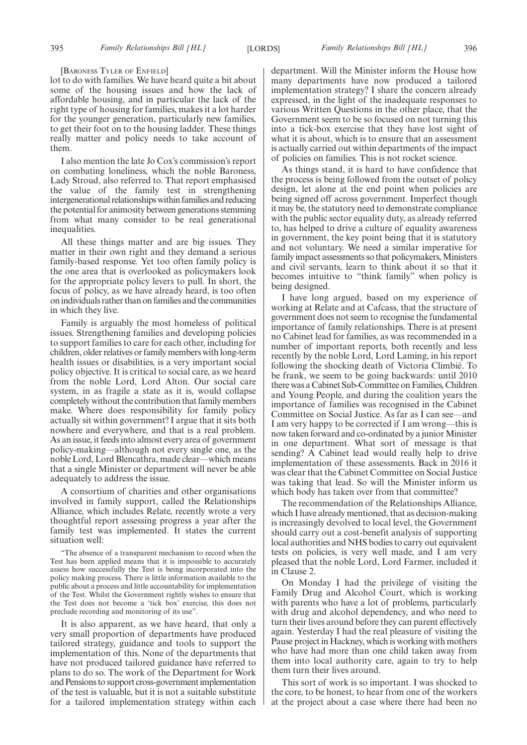#### [BARONESS TYLER OF ENFIELD]

lot to do with families. We have heard quite a bit about some of the housing issues and how the lack of affordable housing, and in particular the lack of the right type of housing for families, makes it a lot harder for the younger generation, particularly new families, to get their foot on to the housing ladder. These things really matter and policy needs to take account of them.

I also mention the late Jo Cox's commission's report on combating loneliness, which the noble Baroness, Lady Stroud, also referred to. That report emphasised the value of the family test in strengthening intergenerational relationships within families and reducing the potential for animosity between generations stemming from what many consider to be real generational inequalities.

All these things matter and are big issues. They matter in their own right and they demand a serious family-based response. Yet too often family policy is the one area that is overlooked as policymakers look for the appropriate policy levers to pull. In short, the focus of policy, as we have already heard, is too often on individuals rather than on families and the communities in which they live.

Family is arguably the most homeless of political issues. Strengthening families and developing policies to support families to care for each other, including for children, older relatives or family members with long-term health issues or disabilities, is a very important social policy objective. It is critical to social care, as we heard from the noble Lord, Lord Alton. Our social care system, in as fragile a state as it is, would collapse completely without the contribution that family members make. Where does responsibility for family policy actually sit within government? I argue that it sits both nowhere and everywhere, and that is a real problem. As an issue, it feeds into almost every area of government policy-making—although not every single one, as the noble Lord, Lord Blencathra, made clear—which means that a single Minister or department will never be able adequately to address the issue.

A consortium of charities and other organisations involved in family support, called the Relationships Alliance, which includes Relate, recently wrote a very thoughtful report assessing progress a year after the family test was implemented. It states the current situation well:

"The absence of a transparent mechanism to record when the Test has been applied means that it is impossible to accurately assess how successfully the Test is being incorporated into the policy making process. There is little information available to the public about a process and little accountability for implementation of the Test. Whilst the Government rightly wishes to ensure that the Test does not become a 'tick box' exercise, this does not preclude recording and monitoring of its use".

It is also apparent, as we have heard, that only a very small proportion of departments have produced tailored strategy, guidance and tools to support the implementation of this. None of the departments that have not produced tailored guidance have referred to plans to do so. The work of the Department for Work and Pensions to support cross-government implementation of the test is valuable, but it is not a suitable substitute for a tailored implementation strategy within each department. Will the Minister inform the House how many departments have now produced a tailored implementation strategy? I share the concern already expressed, in the light of the inadequate responses to various Written Questions in the other place, that the Government seem to be so focused on not turning this into a tick-box exercise that they have lost sight of what it is about, which is to ensure that an assessment is actually carried out within departments of the impact of policies on families. This is not rocket science.

As things stand, it is hard to have confidence that the process is being followed from the outset of policy design, let alone at the end point when policies are being signed off across government. Imperfect though it may be, the statutory need to demonstrate compliance with the public sector equality duty, as already referred to, has helped to drive a culture of equality awareness in government, the key point being that it is statutory and not voluntary. We need a similar imperative for family impact assessments so that policymakers, Ministers and civil servants, learn to think about it so that it becomes intuitive to "think family" when policy is being designed.

I have long argued, based on my experience of working at Relate and at Cafcass, that the structure of government does not seem to recognise the fundamental importance of family relationships. There is at present no Cabinet lead for families, as was recommended in a number of important reports, both recently and less recently by the noble Lord, Lord Laming, in his report following the shocking death of Victoria Climbié. To be frank, we seem to be going backwards: until 2010 there was a Cabinet Sub-Committee on Families, Children and Young People, and during the coalition years the importance of families was recognised in the Cabinet Committee on Social Justice. As far as I can see—and I am very happy to be corrected if I am wrong—this is now taken forward and co-ordinated by a junior Minister in one department. What sort of message is that sending? A Cabinet lead would really help to drive implementation of these assessments. Back in 2016 it was clear that the Cabinet Committee on Social Justice was taking that lead. So will the Minister inform us which body has taken over from that committee?

The recommendation of the Relationships Alliance, which I have already mentioned, that as decision-making is increasingly devolved to local level, the Government should carry out a cost-benefit analysis of supporting local authorities and NHS bodies to carry out equivalent tests on policies, is very well made, and I am very pleased that the noble Lord, Lord Farmer, included it in Clause 2.

On Monday I had the privilege of visiting the Family Drug and Alcohol Court, which is working with parents who have a lot of problems, particularly with drug and alcohol dependency, and who need to turn their lives around before they can parent effectively again. Yesterday I had the real pleasure of visiting the Pause project in Hackney, which is working with mothers who have had more than one child taken away from them into local authority care, again to try to help them turn their lives around.

This sort of work is so important. I was shocked to the core, to be honest, to hear from one of the workers at the project about a case where there had been no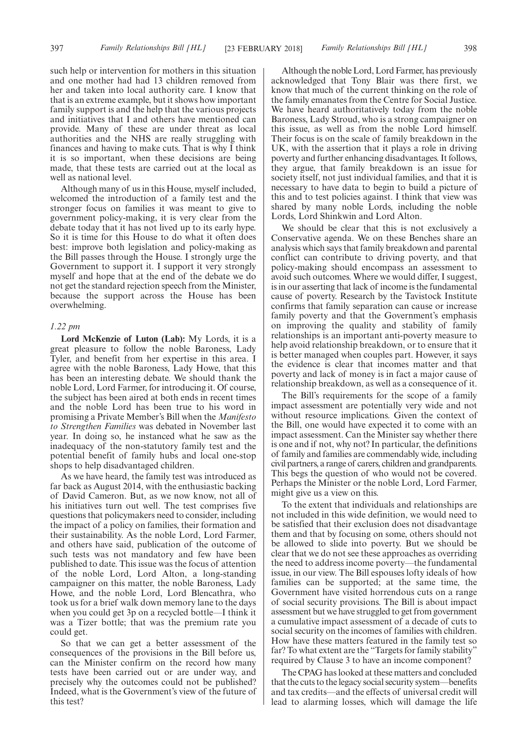such help or intervention for mothers in this situation and one mother had had 13 children removed from her and taken into local authority care. I know that that is an extreme example, but it shows how important family support is and the help that the various projects and initiatives that I and others have mentioned can provide. Many of these are under threat as local authorities and the NHS are really struggling with finances and having to make cuts. That is why I think it is so important, when these decisions are being made, that these tests are carried out at the local as well as national level.

Although many of us in this House, myself included, welcomed the introduction of a family test and the stronger focus on families it was meant to give to government policy-making, it is very clear from the debate today that it has not lived up to its early hype. So it is time for this House to do what it often does best: improve both legislation and policy-making as the Bill passes through the House. I strongly urge the Government to support it. I support it very strongly myself and hope that at the end of the debate we do not get the standard rejection speech from the Minister, because the support across the House has been overwhelming.

# *1.22 pm*

**Lord McKenzie of Luton (Lab):** My Lords, it is a great pleasure to follow the noble Baroness, Lady Tyler, and benefit from her expertise in this area. I agree with the noble Baroness, Lady Howe, that this has been an interesting debate. We should thank the noble Lord, Lord Farmer, for introducing it. Of course, the subject has been aired at both ends in recent times and the noble Lord has been true to his word in promising a Private Member's Bill when the *Manifesto to Strengthen Families* was debated in November last year. In doing so, he instanced what he saw as the inadequacy of the non-statutory family test and the potential benefit of family hubs and local one-stop shops to help disadvantaged children.

As we have heard, the family test was introduced as far back as August 2014, with the enthusiastic backing of David Cameron. But, as we now know, not all of his initiatives turn out well. The test comprises five questions that policymakers need to consider, including the impact of a policy on families, their formation and their sustainability. As the noble Lord, Lord Farmer, and others have said, publication of the outcome of such tests was not mandatory and few have been published to date. This issue was the focus of attention of the noble Lord, Lord Alton, a long-standing campaigner on this matter, the noble Baroness, Lady Howe, and the noble Lord, Lord Blencathra, who took us for a brief walk down memory lane to the days when you could get 3p on a recycled bottle—I think it was a Tizer bottle; that was the premium rate you could get.

So that we can get a better assessment of the consequences of the provisions in the Bill before us, can the Minister confirm on the record how many tests have been carried out or are under way, and precisely why the outcomes could not be published? Indeed, what is the Government's view of the future of this test?

Although the noble Lord, Lord Farmer, has previously acknowledged that Tony Blair was there first, we know that much of the current thinking on the role of the family emanates from the Centre for Social Justice. We have heard authoritatively today from the noble Baroness, Lady Stroud, who is a strong campaigner on this issue, as well as from the noble Lord himself. Their focus is on the scale of family breakdown in the UK, with the assertion that it plays a role in driving poverty and further enhancing disadvantages. It follows, they argue, that family breakdown is an issue for society itself, not just individual families, and that it is necessary to have data to begin to build a picture of this and to test policies against. I think that view was shared by many noble Lords, including the noble Lords, Lord Shinkwin and Lord Alton.

We should be clear that this is not exclusively a Conservative agenda. We on these Benches share an analysis which says that family breakdown and parental conflict can contribute to driving poverty, and that policy-making should encompass an assessment to avoid such outcomes. Where we would differ, I suggest, is in our asserting that lack of income is the fundamental cause of poverty. Research by the Tavistock Institute confirms that family separation can cause or increase family poverty and that the Government's emphasis on improving the quality and stability of family relationships is an important anti-poverty measure to help avoid relationship breakdown, or to ensure that it is better managed when couples part. However, it says the evidence is clear that incomes matter and that poverty and lack of money is in fact a major cause of relationship breakdown, as well as a consequence of it.

The Bill's requirements for the scope of a family impact assessment are potentially very wide and not without resource implications. Given the context of the Bill, one would have expected it to come with an impact assessment. Can the Minister say whether there is one and if not, why not? In particular, the definitions of family and families are commendably wide, including civil partners, a range of carers, children and grandparents. This begs the question of who would not be covered. Perhaps the Minister or the noble Lord, Lord Farmer, might give us a view on this.

To the extent that individuals and relationships are not included in this wide definition, we would need to be satisfied that their exclusion does not disadvantage them and that by focusing on some, others should not be allowed to slide into poverty. But we should be clear that we do not see these approaches as overriding the need to address income poverty—the fundamental issue, in our view. The Bill espouses lofty ideals of how families can be supported; at the same time, the Government have visited horrendous cuts on a range of social security provisions. The Bill is about impact assessment but we have struggled to get from government a cumulative impact assessment of a decade of cuts to social security on the incomes of families with children. How have these matters featured in the family test so far? To what extent are the "Targets for family stability" required by Clause 3 to have an income component?

The CPAG has looked at these matters and concluded that the cuts to the legacy social security system—benefits and tax credits—and the effects of universal credit will lead to alarming losses, which will damage the life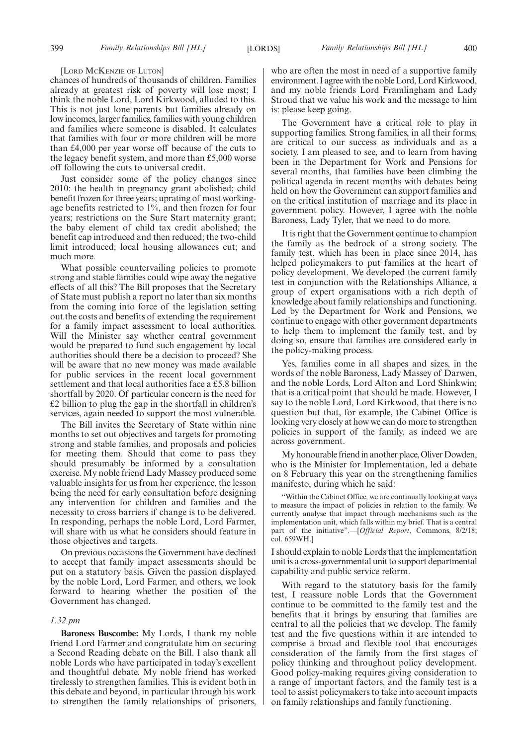#### [LORD MCKENZIE OF LUTON]

chances of hundreds of thousands of children. Families already at greatest risk of poverty will lose most; I think the noble Lord, Lord Kirkwood, alluded to this. This is not just lone parents but families already on low incomes, larger families, families with young children and families where someone is disabled. It calculates that families with four or more children will be more than £4,000 per year worse off because of the cuts to the legacy benefit system, and more than £5,000 worse off following the cuts to universal credit.

Just consider some of the policy changes since 2010: the health in pregnancy grant abolished; child benefit frozen for three years; uprating of most workingage benefits restricted to 1%, and then frozen for four years; restrictions on the Sure Start maternity grant; the baby element of child tax credit abolished; the benefit cap introduced and then reduced; the two-child limit introduced; local housing allowances cut; and much more.

What possible countervailing policies to promote strong and stable families could wipe away the negative effects of all this? The Bill proposes that the Secretary of State must publish a report no later than six months from the coming into force of the legislation setting out the costs and benefits of extending the requirement for a family impact assessment to local authorities. Will the Minister say whether central government would be prepared to fund such engagement by local authorities should there be a decision to proceed? She will be aware that no new money was made available for public services in the recent local government settlement and that local authorities face a £5.8 billion shortfall by 2020. Of particular concern is the need for £2 billion to plug the gap in the shortfall in children's services, again needed to support the most vulnerable.

The Bill invites the Secretary of State within nine months to set out objectives and targets for promoting strong and stable families, and proposals and policies for meeting them. Should that come to pass they should presumably be informed by a consultation exercise. My noble friend Lady Massey produced some valuable insights for us from her experience, the lesson being the need for early consultation before designing any intervention for children and families and the necessity to cross barriers if change is to be delivered. In responding, perhaps the noble Lord, Lord Farmer, will share with us what he considers should feature in those objectives and targets.

On previous occasions the Government have declined to accept that family impact assessments should be put on a statutory basis. Given the passion displayed by the noble Lord, Lord Farmer, and others, we look forward to hearing whether the position of the Government has changed.

#### *1.32 pm*

**Baroness Buscombe:** My Lords, I thank my noble friend Lord Farmer and congratulate him on securing a Second Reading debate on the Bill. I also thank all noble Lords who have participated in today's excellent and thoughtful debate. My noble friend has worked tirelessly to strengthen families. This is evident both in this debate and beyond, in particular through his work to strengthen the family relationships of prisoners, who are often the most in need of a supportive family environment. I agree with the noble Lord, Lord Kirkwood, and my noble friends Lord Framlingham and Lady Stroud that we value his work and the message to him is: please keep going.

The Government have a critical role to play in supporting families. Strong families, in all their forms, are critical to our success as individuals and as a society. I am pleased to see, and to learn from having been in the Department for Work and Pensions for several months, that families have been climbing the political agenda in recent months with debates being held on how the Government can support families and on the critical institution of marriage and its place in government policy. However, I agree with the noble Baroness, Lady Tyler, that we need to do more.

It is right that the Government continue to champion the family as the bedrock of a strong society. The family test, which has been in place since 2014, has helped policymakers to put families at the heart of policy development. We developed the current family test in conjunction with the Relationships Alliance, a group of expert organisations with a rich depth of knowledge about family relationships and functioning. Led by the Department for Work and Pensions, we continue to engage with other government departments to help them to implement the family test, and by doing so, ensure that families are considered early in the policy-making process.

Yes, families come in all shapes and sizes, in the words of the noble Baroness, Lady Massey of Darwen, and the noble Lords, Lord Alton and Lord Shinkwin; that is a critical point that should be made. However, I say to the noble Lord, Lord Kirkwood, that there is no question but that, for example, the Cabinet Office is looking very closely at how we can do more to strengthen policies in support of the family, as indeed we are across government.

My honourable friend in another place, Oliver Dowden, who is the Minister for Implementation, led a debate on 8 February this year on the strengthening families manifesto, during which he said:

"Within the Cabinet Office, we are continually looking at ways to measure the impact of policies in relation to the family. We currently analyse that impact through mechanisms such as the implementation unit, which falls within my brief. That is a central part of the initiative".—[*Official Report*, Commons, 8/2/18; col. 659WH.]

I should explain to noble Lords that the implementation unit is a cross-governmental unit to support departmental capability and public service reform.

With regard to the statutory basis for the family test, I reassure noble Lords that the Government continue to be committed to the family test and the benefits that it brings by ensuring that families are central to all the policies that we develop. The family test and the five questions within it are intended to comprise a broad and flexible tool that encourages consideration of the family from the first stages of policy thinking and throughout policy development. Good policy-making requires giving consideration to a range of important factors, and the family test is a tool to assist policymakers to take into account impacts on family relationships and family functioning.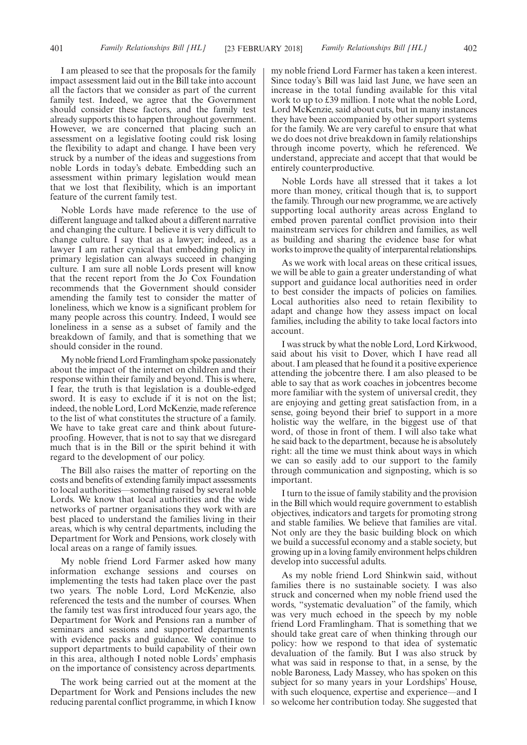I am pleased to see that the proposals for the family impact assessment laid out in the Bill take into account all the factors that we consider as part of the current family test. Indeed, we agree that the Government should consider these factors, and the family test already supports this to happen throughout government. However, we are concerned that placing such an assessment on a legislative footing could risk losing the flexibility to adapt and change. I have been very struck by a number of the ideas and suggestions from noble Lords in today's debate. Embedding such an assessment within primary legislation would mean that we lost that flexibility, which is an important feature of the current family test.

Noble Lords have made reference to the use of different language and talked about a different narrative and changing the culture. I believe it is very difficult to change culture. I say that as a lawyer; indeed, as a lawyer I am rather cynical that embedding policy in primary legislation can always succeed in changing culture. I am sure all noble Lords present will know that the recent report from the Jo Cox Foundation recommends that the Government should consider amending the family test to consider the matter of loneliness, which we know is a significant problem for many people across this country. Indeed, I would see loneliness in a sense as a subset of family and the breakdown of family, and that is something that we should consider in the round.

My noble friend Lord Framlingham spoke passionately about the impact of the internet on children and their response within their family and beyond. This is where, I fear, the truth is that legislation is a double-edged sword. It is easy to exclude if it is not on the list; indeed, the noble Lord, Lord McKenzie, made reference to the list of what constitutes the structure of a family. We have to take great care and think about futureproofing. However, that is not to say that we disregard much that is in the Bill or the spirit behind it with regard to the development of our policy.

The Bill also raises the matter of reporting on the costs and benefits of extending family impact assessments to local authorities—something raised by several noble Lords. We know that local authorities and the wide networks of partner organisations they work with are best placed to understand the families living in their areas, which is why central departments, including the Department for Work and Pensions, work closely with local areas on a range of family issues.

My noble friend Lord Farmer asked how many information exchange sessions and courses on implementing the tests had taken place over the past two years. The noble Lord, Lord McKenzie, also referenced the tests and the number of courses. When the family test was first introduced four years ago, the Department for Work and Pensions ran a number of seminars and sessions and supported departments with evidence packs and guidance. We continue to support departments to build capability of their own in this area, although I noted noble Lords' emphasis on the importance of consistency across departments.

The work being carried out at the moment at the Department for Work and Pensions includes the new reducing parental conflict programme, in which I know my noble friend Lord Farmer has taken a keen interest. Since today's Bill was laid last June, we have seen an increase in the total funding available for this vital work to up to £39 million. I note what the noble Lord, Lord McKenzie, said about cuts, but in many instances they have been accompanied by other support systems for the family. We are very careful to ensure that what we do does not drive breakdown in family relationships through income poverty, which he referenced. We understand, appreciate and accept that that would be entirely counterproductive.

Noble Lords have all stressed that it takes a lot more than money, critical though that is, to support the family. Through our new programme, we are actively supporting local authority areas across England to embed proven parental conflict provision into their mainstream services for children and families, as well as building and sharing the evidence base for what works to improve the quality of interparental relationships.

As we work with local areas on these critical issues, we will be able to gain a greater understanding of what support and guidance local authorities need in order to best consider the impacts of policies on families. Local authorities also need to retain flexibility to adapt and change how they assess impact on local families, including the ability to take local factors into account.

I was struck by what the noble Lord, Lord Kirkwood, said about his visit to Dover, which I have read all about. I am pleased that he found it a positive experience attending the jobcentre there. I am also pleased to be able to say that as work coaches in jobcentres become more familiar with the system of universal credit, they are enjoying and getting great satisfaction from, in a sense, going beyond their brief to support in a more holistic way the welfare, in the biggest use of that word, of those in front of them. I will also take what he said back to the department, because he is absolutely right: all the time we must think about ways in which we can so easily add to our support to the family through communication and signposting, which is so important.

I turn to the issue of family stability and the provision in the Bill which would require government to establish objectives, indicators and targets for promoting strong and stable families. We believe that families are vital. Not only are they the basic building block on which we build a successful economy and a stable society, but growing up in a loving family environment helps children develop into successful adults.

As my noble friend Lord Shinkwin said, without families there is no sustainable society. I was also struck and concerned when my noble friend used the words, "systematic devaluation" of the family, which was very much echoed in the speech by my noble friend Lord Framlingham. That is something that we should take great care of when thinking through our policy: how we respond to that idea of systematic devaluation of the family. But I was also struck by what was said in response to that, in a sense, by the noble Baroness, Lady Massey, who has spoken on this subject for so many years in your Lordships' House, with such eloquence, expertise and experience—and I so welcome her contribution today. She suggested that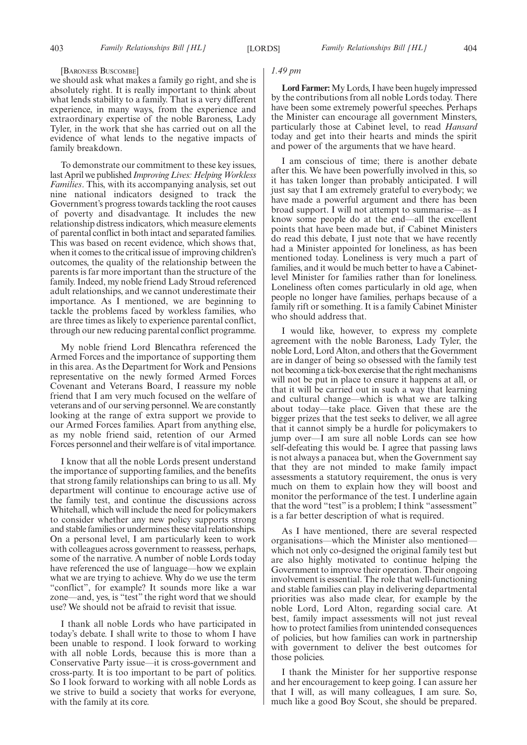#### [BARONESS BUSCOMBE]

we should ask what makes a family go right, and she is absolutely right. It is really important to think about what lends stability to a family. That is a very different experience, in many ways, from the experience and extraordinary expertise of the noble Baroness, Lady Tyler, in the work that she has carried out on all the evidence of what lends to the negative impacts of family breakdown.

To demonstrate our commitment to these key issues, last April we published *Improving Lives: Helping Workless Families*. This, with its accompanying analysis, set out nine national indicators designed to track the Government's progress towards tackling the root causes of poverty and disadvantage. It includes the new relationship distress indicators, which measure elements of parental conflict in both intact and separated families. This was based on recent evidence, which shows that, when it comes to the critical issue of improving children's outcomes, the quality of the relationship between the parents is far more important than the structure of the family. Indeed, my noble friend Lady Stroud referenced adult relationships, and we cannot underestimate their importance. As I mentioned, we are beginning to tackle the problems faced by workless families, who are three times as likely to experience parental conflict, through our new reducing parental conflict programme.

My noble friend Lord Blencathra referenced the Armed Forces and the importance of supporting them in this area. As the Department for Work and Pensions representative on the newly formed Armed Forces Covenant and Veterans Board, I reassure my noble friend that I am very much focused on the welfare of veterans and of our serving personnel. We are constantly looking at the range of extra support we provide to our Armed Forces families. Apart from anything else, as my noble friend said, retention of our Armed Forces personnel and their welfare is of vital importance.

I know that all the noble Lords present understand the importance of supporting families, and the benefits that strong family relationships can bring to us all. My department will continue to encourage active use of the family test, and continue the discussions across Whitehall, which will include the need for policymakers to consider whether any new policy supports strong and stable families or undermines these vital relationships. On a personal level, I am particularly keen to work with colleagues across government to reassess, perhaps, some of the narrative. A number of noble Lords today have referenced the use of language—how we explain what we are trying to achieve. Why do we use the term "conflict", for example? It sounds more like a war zone—and, yes, is "test" the right word that we should use? We should not be afraid to revisit that issue.

I thank all noble Lords who have participated in today's debate. I shall write to those to whom I have been unable to respond. I look forward to working with all noble Lords, because this is more than a Conservative Party issue—it is cross-government and cross-party. It is too important to be part of politics. So I look forward to working with all noble Lords as we strive to build a society that works for everyone, with the family at its core.

## *1.49 pm*

**Lord Farmer:**My Lords, I have been hugely impressed by the contributions from all noble Lords today. There have been some extremely powerful speeches. Perhaps the Minister can encourage all government Minsters, particularly those at Cabinet level, to read *Hansard* today and get into their hearts and minds the spirit and power of the arguments that we have heard.

I am conscious of time; there is another debate after this. We have been powerfully involved in this, so it has taken longer than probably anticipated. I will just say that I am extremely grateful to everybody; we have made a powerful argument and there has been broad support. I will not attempt to summarise—as I know some people do at the end—all the excellent points that have been made but, if Cabinet Ministers do read this debate, I just note that we have recently had a Minister appointed for loneliness, as has been mentioned today. Loneliness is very much a part of families, and it would be much better to have a Cabinetlevel Minister for families rather than for loneliness. Loneliness often comes particularly in old age, when people no longer have families, perhaps because of a family rift or something. It is a family Cabinet Minister who should address that.

I would like, however, to express my complete agreement with the noble Baroness, Lady Tyler, the noble Lord, Lord Alton, and others that the Government are in danger of being so obsessed with the family test not becoming a tick-box exercise that the right mechanisms will not be put in place to ensure it happens at all, or that it will be carried out in such a way that learning and cultural change—which is what we are talking about today—take place. Given that these are the bigger prizes that the test seeks to deliver, we all agree that it cannot simply be a hurdle for policymakers to jump over—I am sure all noble Lords can see how self-defeating this would be. I agree that passing laws is not always a panacea but, when the Government say that they are not minded to make family impact assessments a statutory requirement, the onus is very much on them to explain how they will boost and monitor the performance of the test. I underline again that the word "test" is a problem; I think "assessment" is a far better description of what is required.

As I have mentioned, there are several respected organisations—which the Minister also mentioned which not only co-designed the original family test but are also highly motivated to continue helping the Government to improve their operation. Their ongoing involvement is essential. The role that well-functioning and stable families can play in delivering departmental priorities was also made clear, for example by the noble Lord, Lord Alton, regarding social care. At best, family impact assessments will not just reveal how to protect families from unintended consequences of policies, but how families can work in partnership with government to deliver the best outcomes for those policies.

I thank the Minister for her supportive response and her encouragement to keep going. I can assure her that I will, as will many colleagues, I am sure. So, much like a good Boy Scout, she should be prepared.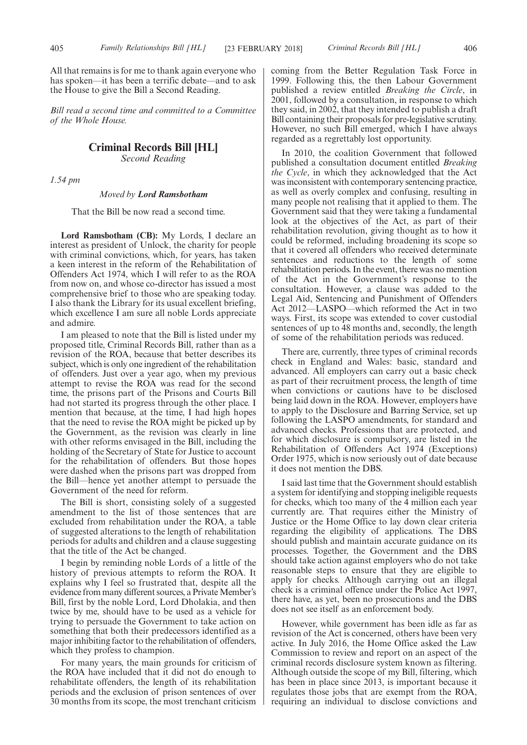All that remains is for me to thank again everyone who has spoken—it has been a terrific debate—and to ask the House to give the Bill a Second Reading.

*Bill read a second time and committed to a Committee of the Whole House.*

# **Criminal Records Bill [HL]**

*Second Reading*

*1.54 pm*

#### *Moved by Lord Ramsbotham*

That the Bill be now read a second time.

**Lord Ramsbotham (CB):** My Lords, I declare an interest as president of Unlock, the charity for people with criminal convictions, which, for years, has taken a keen interest in the reform of the Rehabilitation of Offenders Act 1974, which I will refer to as the ROA from now on, and whose co-director has issued a most comprehensive brief to those who are speaking today. I also thank the Library for its usual excellent briefing, which excellence I am sure all noble Lords appreciate and admire.

I am pleased to note that the Bill is listed under my proposed title, Criminal Records Bill, rather than as a revision of the ROA, because that better describes its subject, which is only one ingredient of the rehabilitation of offenders. Just over a year ago, when my previous attempt to revise the ROA was read for the second time, the prisons part of the Prisons and Courts Bill had not started its progress through the other place. I mention that because, at the time, I had high hopes that the need to revise the ROA might be picked up by the Government, as the revision was clearly in line with other reforms envisaged in the Bill, including the holding of the Secretary of State for Justice to account for the rehabilitation of offenders. But those hopes were dashed when the prisons part was dropped from the Bill—hence yet another attempt to persuade the Government of the need for reform.

The Bill is short, consisting solely of a suggested amendment to the list of those sentences that are excluded from rehabilitation under the ROA, a table of suggested alterations to the length of rehabilitation periods for adults and children and a clause suggesting that the title of the Act be changed.

I begin by reminding noble Lords of a little of the history of previous attempts to reform the ROA. It explains why I feel so frustrated that, despite all the evidence from many different sources, a Private Member's Bill, first by the noble Lord, Lord Dholakia, and then twice by me, should have to be used as a vehicle for trying to persuade the Government to take action on something that both their predecessors identified as a major inhibiting factor to the rehabilitation of offenders, which they profess to champion.

For many years, the main grounds for criticism of the ROA have included that it did not do enough to rehabilitate offenders, the length of its rehabilitation periods and the exclusion of prison sentences of over 30 months from its scope, the most trenchant criticism coming from the Better Regulation Task Force in 1999. Following this, the then Labour Government published a review entitled *Breaking the Circle*, in 2001, followed by a consultation, in response to which they said, in 2002, that they intended to publish a draft Bill containing their proposals for pre-legislative scrutiny. However, no such Bill emerged, which I have always regarded as a regrettably lost opportunity.

In 2010, the coalition Government that followed published a consultation document entitled *Breaking the Cycle*, in which they acknowledged that the Act was inconsistent with contemporary sentencing practice, as well as overly complex and confusing, resulting in many people not realising that it applied to them. The Government said that they were taking a fundamental look at the objectives of the Act, as part of their rehabilitation revolution, giving thought as to how it could be reformed, including broadening its scope so that it covered all offenders who received determinate sentences and reductions to the length of some rehabilitation periods. In the event, there was no mention of the Act in the Government's response to the consultation. However, a clause was added to the Legal Aid, Sentencing and Punishment of Offenders Act 2012—LASPO—which reformed the Act in two ways. First, its scope was extended to cover custodial sentences of up to 48 months and, secondly, the length of some of the rehabilitation periods was reduced.

There are, currently, three types of criminal records check in England and Wales: basic, standard and advanced. All employers can carry out a basic check as part of their recruitment process, the length of time when convictions or cautions have to be disclosed being laid down in the ROA. However, employers have to apply to the Disclosure and Barring Service, set up following the LASPO amendments, for standard and advanced checks. Professions that are protected, and for which disclosure is compulsory, are listed in the Rehabilitation of Offenders Act 1974 (Exceptions) Order 1975, which is now seriously out of date because it does not mention the DBS.

I said last time that the Government should establish a system for identifying and stopping ineligible requests for checks, which too many of the 4 million each year currently are. That requires either the Ministry of Justice or the Home Office to lay down clear criteria regarding the eligibility of applications. The DBS should publish and maintain accurate guidance on its processes. Together, the Government and the DBS should take action against employers who do not take reasonable steps to ensure that they are eligible to apply for checks. Although carrying out an illegal check is a criminal offence under the Police Act 1997, there have, as yet, been no prosecutions and the DBS does not see itself as an enforcement body.

However, while government has been idle as far as revision of the Act is concerned, others have been very active. In July 2016, the Home Office asked the Law Commission to review and report on an aspect of the criminal records disclosure system known as filtering. Although outside the scope of my Bill, filtering, which has been in place since 2013, is important because it regulates those jobs that are exempt from the ROA, requiring an individual to disclose convictions and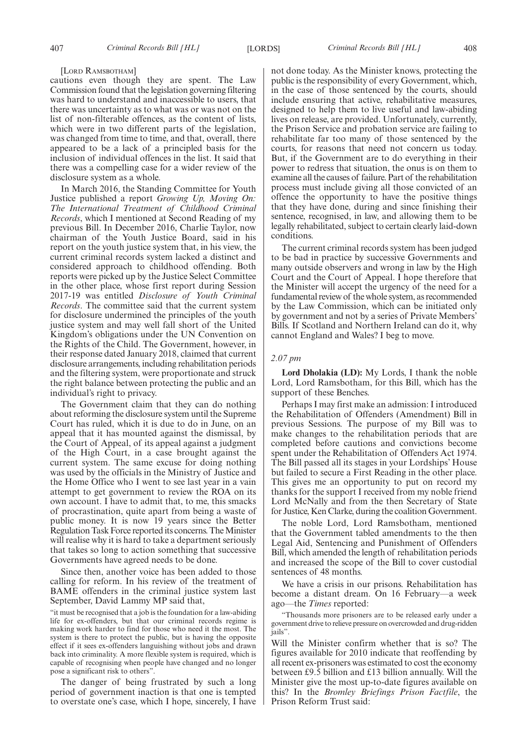#### [LORD RAMSBOTHAM]

cautions even though they are spent. The Law Commission found that the legislation governing filtering was hard to understand and inaccessible to users, that there was uncertainty as to what was or was not on the list of non-filterable offences, as the content of lists, which were in two different parts of the legislation, was changed from time to time, and that, overall, there appeared to be a lack of a principled basis for the inclusion of individual offences in the list. It said that there was a compelling case for a wider review of the disclosure system as a whole.

In March 2016, the Standing Committee for Youth Justice published a report *Growing Up, Moving On: The International Treatment of Childhood Criminal Records*, which I mentioned at Second Reading of my previous Bill. In December 2016, Charlie Taylor, now chairman of the Youth Justice Board, said in his report on the youth justice system that, in his view, the current criminal records system lacked a distinct and considered approach to childhood offending. Both reports were picked up by the Justice Select Committee in the other place, whose first report during Session 2017-19 was entitled *Disclosure of Youth Criminal Records*. The committee said that the current system for disclosure undermined the principles of the youth justice system and may well fall short of the United Kingdom's obligations under the UN Convention on the Rights of the Child. The Government, however, in their response dated January 2018, claimed that current disclosure arrangements, including rehabilitation periods and the filtering system, were proportionate and struck the right balance between protecting the public and an individual's right to privacy.

The Government claim that they can do nothing about reforming the disclosure system until the Supreme Court has ruled, which it is due to do in June, on an appeal that it has mounted against the dismissal, by the Court of Appeal, of its appeal against a judgment of the High Court, in a case brought against the current system. The same excuse for doing nothing was used by the officials in the Ministry of Justice and the Home Office who I went to see last year in a vain attempt to get government to review the ROA on its own account. I have to admit that, to me, this smacks of procrastination, quite apart from being a waste of public money. It is now 19 years since the Better Regulation Task Force reported its concerns. The Minister will realise why it is hard to take a department seriously that takes so long to action something that successive Governments have agreed needs to be done.

Since then, another voice has been added to those calling for reform. In his review of the treatment of BAME offenders in the criminal justice system last September, David Lammy MP said that,

"it must be recognised that a job is the foundation for a law-abiding life for ex-offenders, but that our criminal records regime is making work harder to find for those who need it the most. The system is there to protect the public, but is having the opposite effect if it sees ex-offenders languishing without jobs and drawn back into criminality. A more flexible system is required, which is capable of recognising when people have changed and no longer pose a significant risk to others".

The danger of being frustrated by such a long period of government inaction is that one is tempted to overstate one's case, which I hope, sincerely, I have not done today. As the Minister knows, protecting the public is the responsibility of every Government, which, in the case of those sentenced by the courts, should include ensuring that active, rehabilitative measures, designed to help them to live useful and law-abiding lives on release, are provided. Unfortunately, currently, the Prison Service and probation service are failing to rehabilitate far too many of those sentenced by the courts, for reasons that need not concern us today. But, if the Government are to do everything in their power to redress that situation, the onus is on them to examine all the causes of failure. Part of the rehabilitation process must include giving all those convicted of an offence the opportunity to have the positive things that they have done, during and since finishing their sentence, recognised, in law, and allowing them to be legally rehabilitated, subject to certain clearly laid-down conditions.

The current criminal records system has been judged to be bad in practice by successive Governments and many outside observers and wrong in law by the High Court and the Court of Appeal. I hope therefore that the Minister will accept the urgency of the need for a fundamental review of the whole system, as recommended by the Law Commission, which can be initiated only by government and not by a series of Private Members' Bills. If Scotland and Northern Ireland can do it, why cannot England and Wales? I beg to move.

#### *2.07 pm*

**Lord Dholakia (LD):** My Lords, I thank the noble Lord, Lord Ramsbotham, for this Bill, which has the support of these Benches.

Perhaps I may first make an admission: I introduced the Rehabilitation of Offenders (Amendment) Bill in previous Sessions. The purpose of my Bill was to make changes to the rehabilitation periods that are completed before cautions and convictions become spent under the Rehabilitation of Offenders Act 1974. The Bill passed all its stages in your Lordships' House but failed to secure a First Reading in the other place. This gives me an opportunity to put on record my thanks for the support I received from my noble friend Lord McNally and from the then Secretary of State for Justice, Ken Clarke, during the coalition Government.

The noble Lord, Lord Ramsbotham, mentioned that the Government tabled amendments to the then Legal Aid, Sentencing and Punishment of Offenders Bill, which amended the length of rehabilitation periods and increased the scope of the Bill to cover custodial sentences of 48 months.

We have a crisis in our prisons. Rehabilitation has become a distant dream. On 16 February—a week ago—the *Times* reported:

"Thousands more prisoners are to be released early under a government drive to relieve pressure on overcrowded and drug-ridden jails".

Will the Minister confirm whether that is so? The figures available for 2010 indicate that reoffending by all recent ex-prisoners was estimated to cost the economy between £9.5 billion and £13 billion annually. Will the Minister give the most up-to-date figures available on this? In the *Bromley Briefings Prison Factfile*, the Prison Reform Trust said: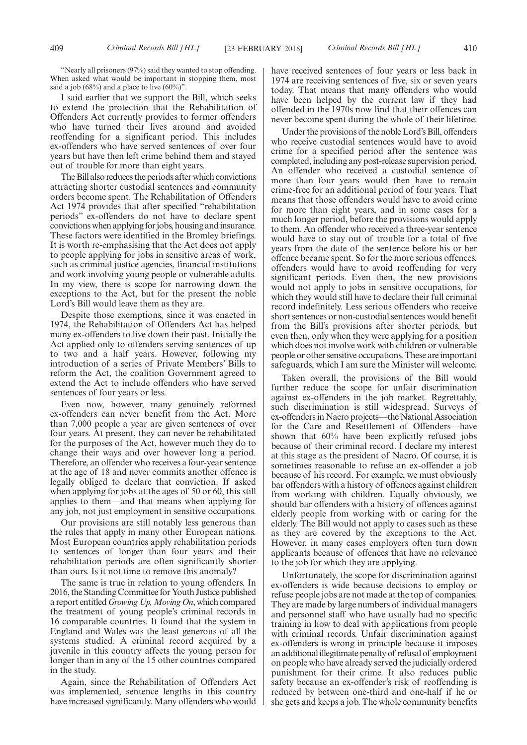"Nearly all prisoners (97%) said they wanted to stop offending. When asked what would be important in stopping them, most said a job (68%) and a place to live  $(60\%)$ ".

I said earlier that we support the Bill, which seeks to extend the protection that the Rehabilitation of Offenders Act currently provides to former offenders who have turned their lives around and avoided reoffending for a significant period. This includes ex-offenders who have served sentences of over four years but have then left crime behind them and stayed out of trouble for more than eight years.

The Bill also reduces the periods after which convictions attracting shorter custodial sentences and community orders become spent. The Rehabilitation of Offenders Act 1974 provides that after specified "rehabilitation periods" ex-offenders do not have to declare spent convictions when applying for jobs, housing and insurance. These factors were identified in the Bromley briefings. It is worth re-emphasising that the Act does not apply to people applying for jobs in sensitive areas of work, such as criminal justice agencies, financial institutions and work involving young people or vulnerable adults. In my view, there is scope for narrowing down the exceptions to the Act, but for the present the noble Lord's Bill would leave them as they are.

Despite those exemptions, since it was enacted in 1974, the Rehabilitation of Offenders Act has helped many ex-offenders to live down their past. Initially the Act applied only to offenders serving sentences of up to two and a half years. However, following my introduction of a series of Private Members' Bills to reform the Act, the coalition Government agreed to extend the Act to include offenders who have served sentences of four years or less.

Even now, however, many genuinely reformed ex-offenders can never benefit from the Act. More than 7,000 people a year are given sentences of over four years. At present, they can never be rehabilitated for the purposes of the Act, however much they do to change their ways and over however long a period. Therefore, an offender who receives a four-year sentence at the age of 18 and never commits another offence is legally obliged to declare that conviction. If asked when applying for jobs at the ages of 50 or 60, this still applies to them—and that means when applying for any job, not just employment in sensitive occupations.

Our provisions are still notably less generous than the rules that apply in many other European nations. Most European countries apply rehabilitation periods to sentences of longer than four years and their rehabilitation periods are often significantly shorter than ours. Is it not time to remove this anomaly?

The same is true in relation to young offenders. In 2016, the Standing Committee for Youth Justice published a report entitled*Growing Up, Moving On*, which compared the treatment of young people's criminal records in 16 comparable countries. It found that the system in England and Wales was the least generous of all the systems studied. A criminal record acquired by a juvenile in this country affects the young person for longer than in any of the 15 other countries compared in the study.

Again, since the Rehabilitation of Offenders Act was implemented, sentence lengths in this country have increased significantly. Many offenders who would have received sentences of four years or less back in 1974 are receiving sentences of five, six or seven years today. That means that many offenders who would have been helped by the current law if they had offended in the 1970s now find that their offences can never become spent during the whole of their lifetime.

Under the provisions of the noble Lord's Bill, offenders who receive custodial sentences would have to avoid crime for a specified period after the sentence was completed, including any post-release supervision period. An offender who received a custodial sentence of more than four years would then have to remain crime-free for an additional period of four years. That means that those offenders would have to avoid crime for more than eight years, and in some cases for a much longer period, before the provisions would apply to them. An offender who received a three-year sentence would have to stay out of trouble for a total of five years from the date of the sentence before his or her offence became spent. So for the more serious offences, offenders would have to avoid reoffending for very significant periods. Even then, the new provisions would not apply to jobs in sensitive occupations, for which they would still have to declare their full criminal record indefinitely. Less serious offenders who receive short sentences or non-custodial sentences would benefit from the Bill's provisions after shorter periods, but even then, only when they were applying for a position which does not involve work with children or vulnerable people or other sensitive occupations. These are important safeguards, which I am sure the Minister will welcome.

Taken overall, the provisions of the Bill would further reduce the scope for unfair discrimination against ex-offenders in the job market. Regrettably, such discrimination is still widespread. Surveys of ex-offenders in Nacro projects—the National Association for the Care and Resettlement of Offenders—have shown that 60% have been explicitly refused jobs because of their criminal record. I declare my interest at this stage as the president of Nacro. Of course, it is sometimes reasonable to refuse an ex-offender a job because of his record. For example, we must obviously bar offenders with a history of offences against children from working with children. Equally obviously, we should bar offenders with a history of offences against elderly people from working with or caring for the elderly. The Bill would not apply to cases such as these as they are covered by the exceptions to the Act. However, in many cases employers often turn down applicants because of offences that have no relevance to the job for which they are applying.

Unfortunately, the scope for discrimination against ex-offenders is wide because decisions to employ or refuse people jobs are not made at the top of companies. They are made by large numbers of individual managers and personnel staff who have usually had no specific training in how to deal with applications from people with criminal records. Unfair discrimination against ex-offenders is wrong in principle because it imposes an additional illegitimate penalty of refusal of employment on people who have already served the judicially ordered punishment for their crime. It also reduces public safety because an ex-offender's risk of reoffending is reduced by between one-third and one-half if he or she gets and keeps a job. The whole community benefits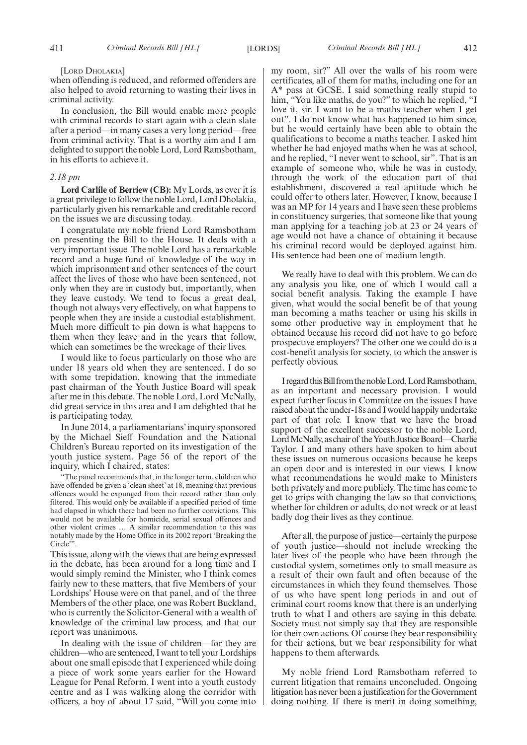[LORD DHOLAKIA]

when offending is reduced, and reformed offenders are also helped to avoid returning to wasting their lives in criminal activity.

In conclusion, the Bill would enable more people with criminal records to start again with a clean slate after a period—in many cases a very long period—free from criminal activity. That is a worthy aim and I am delighted to support the noble Lord, Lord Ramsbotham, in his efforts to achieve it.

#### *2.18 pm*

**Lord Carlile of Berriew (CB):** My Lords, as ever it is a great privilege to follow the noble Lord, Lord Dholakia, particularly given his remarkable and creditable record on the issues we are discussing today.

I congratulate my noble friend Lord Ramsbotham on presenting the Bill to the House. It deals with a very important issue. The noble Lord has a remarkable record and a huge fund of knowledge of the way in which imprisonment and other sentences of the court affect the lives of those who have been sentenced, not only when they are in custody but, importantly, when they leave custody. We tend to focus a great deal, though not always very effectively, on what happens to people when they are inside a custodial establishment. Much more difficult to pin down is what happens to them when they leave and in the years that follow, which can sometimes be the wreckage of their lives.

I would like to focus particularly on those who are under 18 years old when they are sentenced. I do so with some trepidation, knowing that the immediate past chairman of the Youth Justice Board will speak after me in this debate. The noble Lord, Lord McNally, did great service in this area and I am delighted that he is participating today.

In June 2014, a parliamentarians' inquiry sponsored by the Michael Sieff Foundation and the National Children's Bureau reported on its investigation of the youth justice system. Page 56 of the report of the inquiry, which I chaired, states:

"The panel recommends that, in the longer term, children who have offended be given a 'clean sheet' at 18, meaning that previous offences would be expunged from their record rather than only filtered. This would only be available if a specified period of time had elapsed in which there had been no further convictions. This would not be available for homicide, serial sexual offences and other violent crimes … A similar recommendation to this was notably made by the Home Office in its 2002 report 'Breaking the Circle"

This issue, along with the views that are being expressed in the debate, has been around for a long time and I would simply remind the Minister, who I think comes fairly new to these matters, that five Members of your Lordships' House were on that panel, and of the three Members of the other place, one was Robert Buckland, who is currently the Solicitor-General with a wealth of knowledge of the criminal law process, and that our report was unanimous.

In dealing with the issue of children—for they are children—who are sentenced, I want to tell your Lordships about one small episode that I experienced while doing a piece of work some years earlier for the Howard League for Penal Reform. I went into a youth custody centre and as I was walking along the corridor with officers, a boy of about 17 said, "Will you come into my room, sir?" All over the walls of his room were certificates, all of them for maths, including one for an A\* pass at GCSE. I said something really stupid to him, "You like maths, do you?" to which he replied, "I love it, sir. I want to be a maths teacher when I get out". I do not know what has happened to him since, but he would certainly have been able to obtain the qualifications to become a maths teacher. I asked him whether he had enjoyed maths when he was at school, and he replied, "I never went to school, sir". That is an example of someone who, while he was in custody, through the work of the education part of that establishment, discovered a real aptitude which he could offer to others later. However, I know, because I was an MP for 14 years and I have seen these problems in constituency surgeries, that someone like that young man applying for a teaching job at 23 or 24 years of age would not have a chance of obtaining it because his criminal record would be deployed against him. His sentence had been one of medium length.

We really have to deal with this problem. We can do any analysis you like, one of which I would call a social benefit analysis. Taking the example I have given, what would the social benefit be of that young man becoming a maths teacher or using his skills in some other productive way in employment that he obtained because his record did not have to go before prospective employers? The other one we could do is a cost-benefit analysis for society, to which the answer is perfectly obvious.

IregardthisBillfromthenobleLord,LordRamsbotham, as an important and necessary provision. I would expect further focus in Committee on the issues I have raised about the under-18s and I would happily undertake part of that role. I know that we have the broad support of the excellent successor to the noble Lord, Lord McNally, as chair of the Youth Justice Board—Charlie Taylor. I and many others have spoken to him about these issues on numerous occasions because he keeps an open door and is interested in our views. I know what recommendations he would make to Ministers both privately and more publicly. The time has come to get to grips with changing the law so that convictions, whether for children or adults, do not wreck or at least badly dog their lives as they continue.

After all, the purpose of justice—certainly the purpose of youth justice—should not include wrecking the later lives of the people who have been through the custodial system, sometimes only to small measure as a result of their own fault and often because of the circumstances in which they found themselves. Those of us who have spent long periods in and out of criminal court rooms know that there is an underlying truth to what I and others are saying in this debate. Society must not simply say that they are responsible for their own actions. Of course they bear responsibility for their actions, but we bear responsibility for what happens to them afterwards.

My noble friend Lord Ramsbotham referred to current litigation that remains unconcluded. Ongoing litigation has never been a justification for the Government doing nothing. If there is merit in doing something,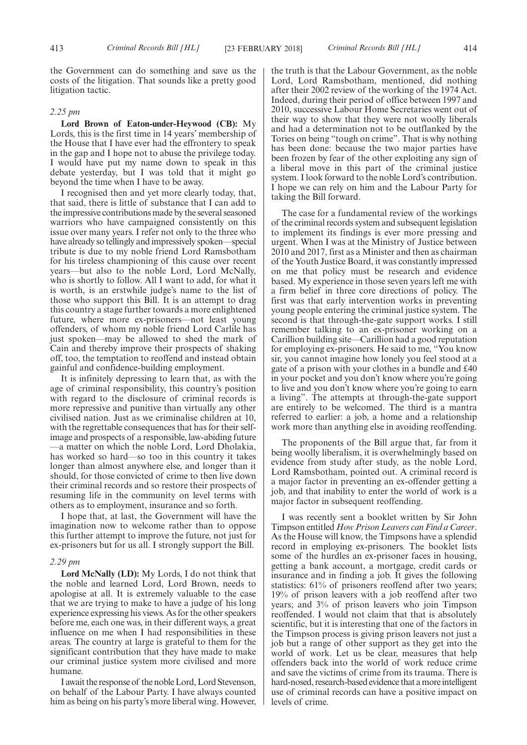the Government can do something and save us the costs of the litigation. That sounds like a pretty good litigation tactic.

#### *2.25 pm*

**Lord Brown of Eaton-under-Heywood (CB):** My Lords, this is the first time in 14 years' membership of the House that I have ever had the effrontery to speak in the gap and I hope not to abuse the privilege today. I would have put my name down to speak in this debate yesterday, but I was told that it might go beyond the time when I have to be away.

I recognised then and yet more clearly today, that, that said, there is little of substance that I can add to the impressive contributions made by the several seasoned warriors who have campaigned consistently on this issue over many years. I refer not only to the three who have already so tellingly and impressively spoken—special tribute is due to my noble friend Lord Ramsbotham for his tireless championing of this cause over recent years—but also to the noble Lord, Lord McNally, who is shortly to follow. All I want to add, for what it is worth, is an erstwhile judge's name to the list of those who support this Bill. It is an attempt to drag this country a stage further towards a more enlightened future, where more ex-prisoners—not least young offenders, of whom my noble friend Lord Carlile has just spoken—may be allowed to shed the mark of Cain and thereby improve their prospects of shaking off, too, the temptation to reoffend and instead obtain gainful and confidence-building employment.

It is infinitely depressing to learn that, as with the age of criminal responsibility, this country's position with regard to the disclosure of criminal records is more repressive and punitive than virtually any other civilised nation. Just as we criminalise children at 10, with the regrettable consequences that has for their selfimage and prospects of a responsible, law-abiding future —a matter on which the noble Lord, Lord Dholakia, has worked so hard—so too in this country it takes longer than almost anywhere else, and longer than it should, for those convicted of crime to then live down their criminal records and so restore their prospects of resuming life in the community on level terms with others as to employment, insurance and so forth.

I hope that, at last, the Government will have the imagination now to welcome rather than to oppose this further attempt to improve the future, not just for ex-prisoners but for us all. I strongly support the Bill.

#### *2.29 pm*

**Lord McNally (LD):** My Lords, I do not think that the noble and learned Lord, Lord Brown, needs to apologise at all. It is extremely valuable to the case that we are trying to make to have a judge of his long experience expressing his views. As for the other speakers before me, each one was, in their different ways, a great influence on me when I had responsibilities in these areas. The country at large is grateful to them for the significant contribution that they have made to make our criminal justice system more civilised and more humane.

I await the response of the noble Lord, Lord Stevenson, on behalf of the Labour Party. I have always counted him as being on his party's more liberal wing. However, the truth is that the Labour Government, as the noble Lord, Lord Ramsbotham, mentioned, did nothing after their 2002 review of the working of the 1974 Act. Indeed, during their period of office between 1997 and 2010, successive Labour Home Secretaries went out of their way to show that they were not woolly liberals and had a determination not to be outflanked by the Tories on being "tough on crime". That is why nothing has been done: because the two major parties have been frozen by fear of the other exploiting any sign of a liberal move in this part of the criminal justice system. I look forward to the noble Lord's contribution. I hope we can rely on him and the Labour Party for taking the Bill forward.

The case for a fundamental review of the workings of the criminal records system and subsequent legislation to implement its findings is ever more pressing and urgent. When I was at the Ministry of Justice between 2010 and 2017, first as a Minister and then as chairman of the Youth Justice Board, it was constantly impressed on me that policy must be research and evidence based. My experience in those seven years left me with a firm belief in three core directions of policy. The first was that early intervention works in preventing young people entering the criminal justice system. The second is that through-the-gate support works. I still remember talking to an ex-prisoner working on a Carillion building site—Carillion had a good reputation for employing ex-prisoners. He said to me, "You know sir, you cannot imagine how lonely you feel stood at a gate of a prison with your clothes in a bundle and £40 in your pocket and you don't know where you're going to live and you don't know where you're going to earn a living". The attempts at through-the-gate support are entirely to be welcomed. The third is a mantra referred to earlier: a job, a home and a relationship work more than anything else in avoiding reoffending.

The proponents of the Bill argue that, far from it being woolly liberalism, it is overwhelmingly based on evidence from study after study, as the noble Lord, Lord Ramsbotham, pointed out. A criminal record is a major factor in preventing an ex-offender getting a job, and that inability to enter the world of work is a major factor in subsequent reoffending.

I was recently sent a booklet written by Sir John Timpson entitled *How Prison Leavers can Find a Career*. As the House will know, the Timpsons have a splendid record in employing ex-prisoners. The booklet lists some of the hurdles an ex-prisoner faces in housing, getting a bank account, a mortgage, credit cards or insurance and in finding a job. It gives the following statistics: 61% of prisoners reoffend after two years; 19% of prison leavers with a job reoffend after two years; and 3% of prison leavers who join Timpson reoffended. I would not claim that that is absolutely scientific, but it is interesting that one of the factors in the Timpson process is giving prison leavers not just a job but a range of other support as they get into the world of work. Let us be clear, measures that help offenders back into the world of work reduce crime and save the victims of crime from its trauma. There is hard-nosed, research-based evidence that a more intelligent use of criminal records can have a positive impact on levels of crime.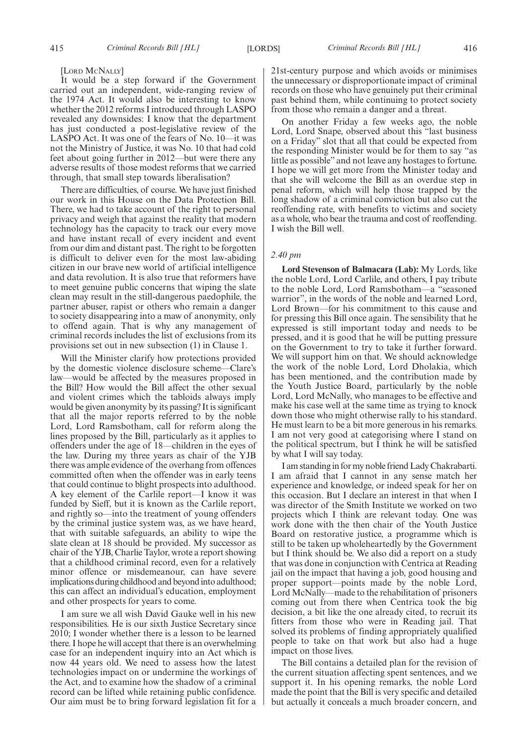#### [LORD MCNALLY]

It would be a step forward if the Government carried out an independent, wide-ranging review of the 1974 Act. It would also be interesting to know whether the 2012 reforms I introduced through LASPO revealed any downsides: I know that the department has just conducted a post-legislative review of the LASPO Act. It was one of the fears of No. 10—it was not the Ministry of Justice, it was No. 10 that had cold feet about going further in 2012—but were there any adverse results of those modest reforms that we carried through, that small step towards liberalisation?

There are difficulties, of course. We have just finished our work in this House on the Data Protection Bill. There, we had to take account of the right to personal privacy and weigh that against the reality that modern technology has the capacity to track our every move and have instant recall of every incident and event from our dim and distant past. The right to be forgotten is difficult to deliver even for the most law-abiding citizen in our brave new world of artificial intelligence and data revolution. It is also true that reformers have to meet genuine public concerns that wiping the slate clean may result in the still-dangerous paedophile, the partner abuser, rapist or others who remain a danger to society disappearing into a maw of anonymity, only to offend again. That is why any management of criminal records includes the list of exclusions from its provisions set out in new subsection (1) in Clause 1.

Will the Minister clarify how protections provided by the domestic violence disclosure scheme—Clare's law—would be affected by the measures proposed in the Bill? How would the Bill affect the other sexual and violent crimes which the tabloids always imply would be given anonymity by its passing? It is significant that all the major reports referred to by the noble Lord, Lord Ramsbotham, call for reform along the lines proposed by the Bill, particularly as it applies to offenders under the age of 18—children in the eyes of the law. During my three years as chair of the YJB there was ample evidence of the overhang from offences committed often when the offender was in early teens that could continue to blight prospects into adulthood. A key element of the Carlile report—I know it was funded by Sieff, but it is known as the Carlile report, and rightly so—into the treatment of young offenders by the criminal justice system was, as we have heard, that with suitable safeguards, an ability to wipe the slate clean at 18 should be provided. My successor as chair of the YJB, Charlie Taylor, wrote a report showing that a childhood criminal record, even for a relatively minor offence or misdemeanour, can have severe implications during childhood and beyond into adulthood; this can affect an individual's education, employment and other prospects for years to come.

I am sure we all wish David Gauke well in his new responsibilities. He is our sixth Justice Secretary since 2010; I wonder whether there is a lesson to be learned there. I hope he will accept that there is an overwhelming case for an independent inquiry into an Act which is now 44 years old. We need to assess how the latest technologies impact on or undermine the workings of the Act, and to examine how the shadow of a criminal record can be lifted while retaining public confidence. Our aim must be to bring forward legislation fit for a 21st-century purpose and which avoids or minimises the unnecessary or disproportionate impact of criminal records on those who have genuinely put their criminal past behind them, while continuing to protect society from those who remain a danger and a threat.

On another Friday a few weeks ago, the noble Lord, Lord Snape, observed about this "last business on a Friday" slot that all that could be expected from the responding Minister would be for them to say "as little as possible" and not leave any hostages to fortune. I hope we will get more from the Minister today and that she will welcome the Bill as an overdue step in penal reform, which will help those trapped by the long shadow of a criminal conviction but also cut the reoffending rate, with benefits to victims and society as a whole, who bear the trauma and cost of reoffending. I wish the Bill well.

# *2.40 pm*

**Lord Stevenson of Balmacara (Lab):** My Lords, like the noble Lord, Lord Carlile, and others, I pay tribute to the noble Lord, Lord Ramsbotham—a "seasoned warrior", in the words of the noble and learned Lord, Lord Brown—for his commitment to this cause and for pressing this Bill once again. The sensibility that he expressed is still important today and needs to be pressed, and it is good that he will be putting pressure on the Government to try to take it further forward. We will support him on that. We should acknowledge the work of the noble Lord, Lord Dholakia, which has been mentioned, and the contribution made by the Youth Justice Board, particularly by the noble Lord, Lord McNally, who manages to be effective and make his case well at the same time as trying to knock down those who might otherwise rally to his standard. He must learn to be a bit more generous in his remarks. I am not very good at categorising where I stand on the political spectrum, but  $\overline{I}$  think he will be satisfied by what I will say today.

I am standing in for my noble friend Lady Chakrabarti. I am afraid that I cannot in any sense match her experience and knowledge, or indeed speak for her on this occasion. But I declare an interest in that when I was director of the Smith Institute we worked on two projects which I think are relevant today. One was work done with the then chair of the Youth Justice Board on restorative justice, a programme which is still to be taken up wholeheartedly by the Government but I think should be. We also did a report on a study that was done in conjunction with Centrica at Reading jail on the impact that having a job, good housing and proper support—points made by the noble Lord, Lord McNally—made to the rehabilitation of prisoners coming out from there when Centrica took the big decision, a bit like the one already cited, to recruit its fitters from those who were in Reading jail. That solved its problems of finding appropriately qualified people to take on that work but also had a huge impact on those lives.

The Bill contains a detailed plan for the revision of the current situation affecting spent sentences, and we support it. In his opening remarks, the noble Lord made the point that the Bill is very specific and detailed but actually it conceals a much broader concern, and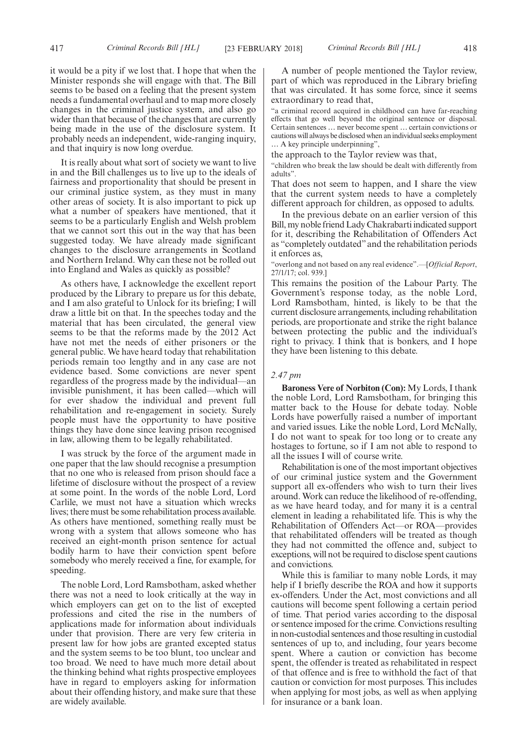it would be a pity if we lost that. I hope that when the Minister responds she will engage with that. The Bill seems to be based on a feeling that the present system needs a fundamental overhaul and to map more closely changes in the criminal justice system, and also go wider than that because of the changes that are currently being made in the use of the disclosure system. It probably needs an independent, wide-ranging inquiry, and that inquiry is now long overdue.

It is really about what sort of society we want to live in and the Bill challenges us to live up to the ideals of fairness and proportionality that should be present in our criminal justice system, as they must in many other areas of society. It is also important to pick up what a number of speakers have mentioned, that it seems to be a particularly English and Welsh problem that we cannot sort this out in the way that has been suggested today. We have already made significant changes to the disclosure arrangements in Scotland and Northern Ireland. Why can these not be rolled out into England and Wales as quickly as possible?

As others have, I acknowledge the excellent report produced by the Library to prepare us for this debate, and I am also grateful to Unlock for its briefing; I will draw a little bit on that. In the speeches today and the material that has been circulated, the general view seems to be that the reforms made by the 2012 Act have not met the needs of either prisoners or the general public. We have heard today that rehabilitation periods remain too lengthy and in any case are not evidence based. Some convictions are never spent regardless of the progress made by the individual—an invisible punishment, it has been called—which will for ever shadow the individual and prevent full rehabilitation and re-engagement in society. Surely people must have the opportunity to have positive things they have done since leaving prison recognised in law, allowing them to be legally rehabilitated.

I was struck by the force of the argument made in one paper that the law should recognise a presumption that no one who is released from prison should face a lifetime of disclosure without the prospect of a review at some point. In the words of the noble Lord, Lord Carlile, we must not have a situation which wrecks lives; there must be some rehabilitation process available. As others have mentioned, something really must be wrong with a system that allows someone who has received an eight-month prison sentence for actual bodily harm to have their conviction spent before somebody who merely received a fine, for example, for speeding.

The noble Lord, Lord Ramsbotham, asked whether there was not a need to look critically at the way in which employers can get on to the list of excepted professions and cited the rise in the numbers of applications made for information about individuals under that provision. There are very few criteria in present law for how jobs are granted excepted status and the system seems to be too blunt, too unclear and too broad. We need to have much more detail about the thinking behind what rights prospective employees have in regard to employers asking for information about their offending history, and make sure that these are widely available.

A number of people mentioned the Taylor review, part of which was reproduced in the Library briefing that was circulated. It has some force, since it seems extraordinary to read that,

"a criminal record acquired in childhood can have far-reaching effects that go well beyond the original sentence or disposal. Certain sentences … never become spent … certain convictions or cautions will always be disclosed when an individual seeks employment … A key principle underpinning",

the approach to the Taylor review was that,

"children who break the law should be dealt with differently from adults".

That does not seem to happen, and I share the view that the current system needs to have a completely different approach for children, as opposed to adults.

In the previous debate on an earlier version of this Bill, my noble friend Lady Chakrabarti indicated support for it, describing the Rehabilitation of Offenders Act as "completely outdated" and the rehabilitation periods it enforces as,

"overlong and not based on any real evidence".—[*Official Report*, 27/1/17; col. 939.]

This remains the position of the Labour Party. The Government's response today, as the noble Lord, Lord Ramsbotham, hinted, is likely to be that the current disclosure arrangements, including rehabilitation periods, are proportionate and strike the right balance between protecting the public and the individual's right to privacy. I think that is bonkers, and I hope they have been listening to this debate.

# *2.47 pm*

**Baroness Vere of Norbiton (Con):** My Lords, I thank the noble Lord, Lord Ramsbotham, for bringing this matter back to the House for debate today. Noble Lords have powerfully raised a number of important and varied issues. Like the noble Lord, Lord McNally, I do not want to speak for too long or to create any hostages to fortune, so if I am not able to respond to all the issues I will of course write.

Rehabilitation is one of the most important objectives of our criminal justice system and the Government support all ex-offenders who wish to turn their lives around. Work can reduce the likelihood of re-offending, as we have heard today, and for many it is a central element in leading a rehabilitated life. This is why the Rehabilitation of Offenders Act—or ROA—provides that rehabilitated offenders will be treated as though they had not committed the offence and, subject to exceptions, will not be required to disclose spent cautions and convictions.

While this is familiar to many noble Lords, it may help if I briefly describe the ROA and how it supports ex-offenders. Under the Act, most convictions and all cautions will become spent following a certain period of time. That period varies according to the disposal or sentence imposed for the crime. Convictions resulting in non-custodial sentences and those resulting in custodial sentences of up to, and including, four years become spent. Where a caution or conviction has become spent, the offender is treated as rehabilitated in respect of that offence and is free to withhold the fact of that caution or conviction for most purposes. This includes when applying for most jobs, as well as when applying for insurance or a bank loan.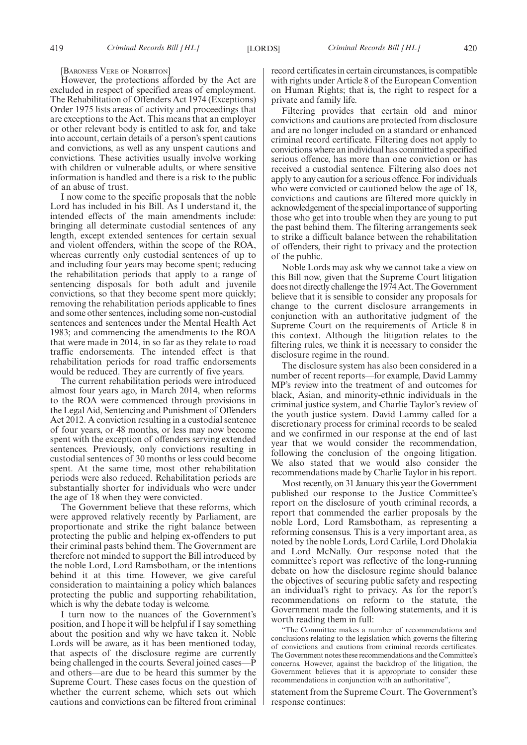[BARONESS VERE OF NORBITON]

However, the protections afforded by the Act are excluded in respect of specified areas of employment. The Rehabilitation of Offenders Act 1974 (Exceptions) Order 1975 lists areas of activity and proceedings that are exceptions to the Act. This means that an employer or other relevant body is entitled to ask for, and take into account, certain details of a person's spent cautions and convictions, as well as any unspent cautions and convictions. These activities usually involve working with children or vulnerable adults, or where sensitive information is handled and there is a risk to the public of an abuse of trust.

I now come to the specific proposals that the noble Lord has included in his Bill. As I understand it, the intended effects of the main amendments include: bringing all determinate custodial sentences of any length, except extended sentences for certain sexual and violent offenders, within the scope of the ROA, whereas currently only custodial sentences of up to and including four years may become spent; reducing the rehabilitation periods that apply to a range of sentencing disposals for both adult and juvenile convictions, so that they become spent more quickly; removing the rehabilitation periods applicable to fines and some other sentences, including some non-custodial sentences and sentences under the Mental Health Act 1983; and commencing the amendments to the ROA that were made in 2014, in so far as they relate to road traffic endorsements. The intended effect is that rehabilitation periods for road traffic endorsements would be reduced. They are currently of five years.

The current rehabilitation periods were introduced almost four years ago, in March 2014, when reforms to the ROA were commenced through provisions in the Legal Aid, Sentencing and Punishment of Offenders Act 2012. A conviction resulting in a custodial sentence of four years, or 48 months, or less may now become spent with the exception of offenders serving extended sentences. Previously, only convictions resulting in custodial sentences of 30 months or less could become spent. At the same time, most other rehabilitation periods were also reduced. Rehabilitation periods are substantially shorter for individuals who were under the age of 18 when they were convicted.

The Government believe that these reforms, which were approved relatively recently by Parliament, are proportionate and strike the right balance between protecting the public and helping ex-offenders to put their criminal pasts behind them. The Government are therefore not minded to support the Bill introduced by the noble Lord, Lord Ramsbotham, or the intentions behind it at this time. However, we give careful consideration to maintaining a policy which balances protecting the public and supporting rehabilitation, which is why the debate today is welcome.

I turn now to the nuances of the Government's position, and I hope it will be helpful if I say something about the position and why we have taken it. Noble Lords will be aware, as it has been mentioned today, that aspects of the disclosure regime are currently being challenged in the courts. Several joined cases—P and others—are due to be heard this summer by the Supreme Court. These cases focus on the question of whether the current scheme, which sets out which cautions and convictions can be filtered from criminal record certificates in certain circumstances, is compatible with rights under Article 8 of the European Convention on Human Rights; that is, the right to respect for a private and family life.

Filtering provides that certain old and minor convictions and cautions are protected from disclosure and are no longer included on a standard or enhanced criminal record certificate. Filtering does not apply to convictions where an individual has committed a specified serious offence, has more than one conviction or has received a custodial sentence. Filtering also does not apply to any caution for a serious offence. For individuals who were convicted or cautioned below the age of 18, convictions and cautions are filtered more quickly in acknowledgement of the special importance of supporting those who get into trouble when they are young to put the past behind them. The filtering arrangements seek to strike a difficult balance between the rehabilitation of offenders, their right to privacy and the protection of the public.

Noble Lords may ask why we cannot take a view on this Bill now, given that the Supreme Court litigation does not directly challenge the 1974 Act. The Government believe that it is sensible to consider any proposals for change to the current disclosure arrangements in conjunction with an authoritative judgment of the Supreme Court on the requirements of Article 8 in this context. Although the litigation relates to the filtering rules, we think it is necessary to consider the disclosure regime in the round.

The disclosure system has also been considered in a number of recent reports—for example, David Lammy MP's review into the treatment of and outcomes for black, Asian, and minority-ethnic individuals in the criminal justice system, and Charlie Taylor's review of the youth justice system. David Lammy called for a discretionary process for criminal records to be sealed and we confirmed in our response at the end of last year that we would consider the recommendation, following the conclusion of the ongoing litigation. We also stated that we would also consider the recommendations made by Charlie Taylor in his report.

Most recently, on 31 January this year the Government published our response to the Justice Committee's report on the disclosure of youth criminal records, a report that commended the earlier proposals by the noble Lord, Lord Ramsbotham, as representing a reforming consensus. This is a very important area, as noted by the noble Lords, Lord Carlile, Lord Dholakia and Lord McNally. Our response noted that the committee's report was reflective of the long-running debate on how the disclosure regime should balance the objectives of securing public safety and respecting an individual's right to privacy. As for the report's recommendations on reform to the statute, the Government made the following statements, and it is worth reading them in full:

"The Committee makes a number of recommendations and conclusions relating to the legislation which governs the filtering of convictions and cautions from criminal records certificates. The Government notes these recommendations and the Committee's concerns. However, against the backdrop of the litigation, the Government believes that it is appropriate to consider these recommendations in conjunction with an authoritative",

statement from the Supreme Court. The Government's response continues: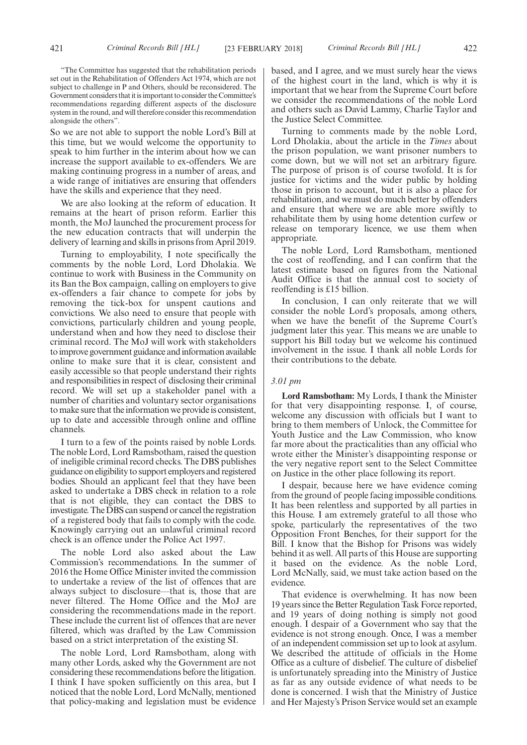"The Committee has suggested that the rehabilitation periods set out in the Rehabilitation of Offenders Act 1974, which are not subject to challenge in P and Others, should be reconsidered. The Government considers that it is important to consider the Committee's recommendations regarding different aspects of the disclosure system in the round, and will therefore consider this recommendation alongside the others".

So we are not able to support the noble Lord's Bill at this time, but we would welcome the opportunity to speak to him further in the interim about how we can increase the support available to ex-offenders. We are making continuing progress in a number of areas, and a wide range of initiatives are ensuring that offenders have the skills and experience that they need.

We are also looking at the reform of education. It remains at the heart of prison reform. Earlier this month, the MoJ launched the procurement process for the new education contracts that will underpin the delivery of learning and skills in prisons from April 2019.

Turning to employability, I note specifically the comments by the noble Lord, Lord Dholakia. We continue to work with Business in the Community on its Ban the Box campaign, calling on employers to give ex-offenders a fair chance to compete for jobs by removing the tick-box for unspent cautions and convictions. We also need to ensure that people with convictions, particularly children and young people, understand when and how they need to disclose their criminal record. The MoJ will work with stakeholders to improve government guidance and information available online to make sure that it is clear, consistent and easily accessible so that people understand their rights and responsibilities in respect of disclosing their criminal record. We will set up a stakeholder panel with a number of charities and voluntary sector organisations to make sure that the information we provide is consistent, up to date and accessible through online and offline channels.

I turn to a few of the points raised by noble Lords. The noble Lord, Lord Ramsbotham, raised the question of ineligible criminal record checks. The DBS publishes guidance on eligibility to support employers and registered bodies. Should an applicant feel that they have been asked to undertake a DBS check in relation to a role that is not eligible, they can contact the DBS to investigate. The DBS can suspend or cancel the registration of a registered body that fails to comply with the code. Knowingly carrying out an unlawful criminal record check is an offence under the Police Act 1997.

The noble Lord also asked about the Law Commission's recommendations. In the summer of 2016 the Home Office Minister invited the commission to undertake a review of the list of offences that are always subject to disclosure—that is, those that are never filtered. The Home Office and the MoJ are considering the recommendations made in the report. These include the current list of offences that are never filtered, which was drafted by the Law Commission based on a strict interpretation of the existing SI.

The noble Lord, Lord Ramsbotham, along with many other Lords, asked why the Government are not considering these recommendations before the litigation. I think I have spoken sufficiently on this area, but I noticed that the noble Lord, Lord McNally, mentioned that policy-making and legislation must be evidence based, and I agree, and we must surely hear the views of the highest court in the land, which is why it is important that we hear from the Supreme Court before we consider the recommendations of the noble Lord and others such as David Lammy, Charlie Taylor and the Justice Select Committee.

Turning to comments made by the noble Lord, Lord Dholakia, about the article in the *Times* about the prison population, we want prisoner numbers to come down, but we will not set an arbitrary figure. The purpose of prison is of course twofold. It is for justice for victims and the wider public by holding those in prison to account, but it is also a place for rehabilitation, and we must do much better by offenders and ensure that where we are able more swiftly to rehabilitate them by using home detention curfew or release on temporary licence, we use them when appropriate.

The noble Lord, Lord Ramsbotham, mentioned the cost of reoffending, and I can confirm that the latest estimate based on figures from the National Audit Office is that the annual cost to society of reoffending is £15 billion.

In conclusion, I can only reiterate that we will consider the noble Lord's proposals, among others, when we have the benefit of the Supreme Court's judgment later this year. This means we are unable to support his Bill today but we welcome his continued involvement in the issue. I thank all noble Lords for their contributions to the debate.

## *3.01 pm*

**Lord Ramsbotham:** My Lords, I thank the Minister for that very disappointing response. I, of course, welcome any discussion with officials but I want to bring to them members of Unlock, the Committee for Youth Justice and the Law Commission, who know far more about the practicalities than any official who wrote either the Minister's disappointing response or the very negative report sent to the Select Committee on Justice in the other place following its report.

I despair, because here we have evidence coming from the ground of people facing impossible conditions. It has been relentless and supported by all parties in this House. I am extremely grateful to all those who spoke, particularly the representatives of the two Opposition Front Benches, for their support for the Bill. I know that the Bishop for Prisons was widely behind it as well. All parts of this House are supporting it based on the evidence. As the noble Lord, Lord McNally, said, we must take action based on the evidence.

That evidence is overwhelming. It has now been 19 years since the Better Regulation Task Force reported, and 19 years of doing nothing is simply not good enough. I despair of a Government who say that the evidence is not strong enough. Once, I was a member of an independent commission set up to look at asylum. We described the attitude of officials in the Home Office as a culture of disbelief. The culture of disbelief is unfortunately spreading into the Ministry of Justice as far as any outside evidence of what needs to be done is concerned. I wish that the Ministry of Justice and Her Majesty's Prison Service would set an example